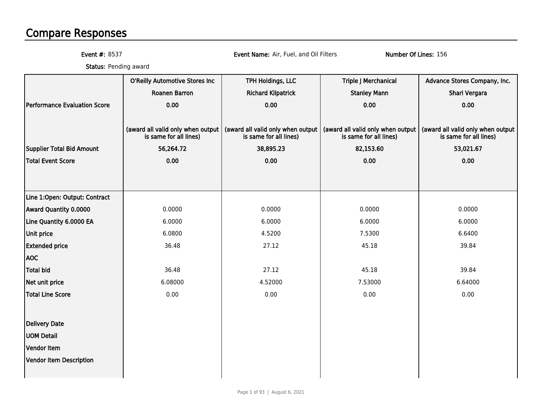# Compare Responses

Event #: 8537

Event Name: Air, Fuel, and Oil Filters Number Of Lines: 156

**Status:** Pending award

|                                     | O'Reilly Automotive Stores Inc    | TPH Holdings, LLC                 | <b>Triple J Merchanical</b>       | Advance Stores Company, Inc.      |
|-------------------------------------|-----------------------------------|-----------------------------------|-----------------------------------|-----------------------------------|
|                                     | <b>Roanen Barron</b>              | <b>Richard Kilpatrick</b>         | <b>Stanley Mann</b>               | Shari Vergara                     |
| <b>Performance Evaluation Score</b> | 0.00                              | 0.00                              | 0.00                              | 0.00                              |
|                                     | (award all valid only when output | (award all valid only when output | (award all valid only when output | (award all valid only when output |
|                                     | is same for all lines)            | is same for all lines)            | is same for all lines)            | is same for all lines)            |
| Supplier Total Bid Amount           | 56,264.72                         | 38,895.23                         | 82,153.60                         | 53,021.67                         |
| Total Event Score                   | 0.00                              | 0.00                              | 0.00                              | 0.00                              |
|                                     |                                   |                                   |                                   |                                   |
| Line 1:Open: Output: Contract       |                                   |                                   |                                   |                                   |
| <b>Award Quantity 0.0000</b>        | 0.0000                            | 0.0000                            | 0.0000                            | 0.0000                            |
| Line Quantity 6.0000 EA             | 6.0000                            | 6.0000                            | 6.0000                            | 6.0000                            |
| Unit price                          | 6.0800                            | 4.5200                            | 7.5300                            | 6.6400                            |
| <b>Extended price</b>               | 36.48                             | 27.12                             | 45.18                             | 39.84                             |
| <b>AOC</b>                          |                                   |                                   |                                   |                                   |
| <b>Total bid</b>                    | 36.48                             | 27.12                             | 45.18                             | 39.84                             |
| Net unit price                      | 6.08000                           | 4.52000                           | 7.53000                           | 6.64000                           |
| <b>Total Line Score</b>             | 0.00                              | 0.00                              | 0.00                              | 0.00                              |
| Delivery Date                       |                                   |                                   |                                   |                                   |
| <b>UOM Detail</b>                   |                                   |                                   |                                   |                                   |
| Vendor Item                         |                                   |                                   |                                   |                                   |
| Vendor Item Description             |                                   |                                   |                                   |                                   |
|                                     |                                   |                                   |                                   |                                   |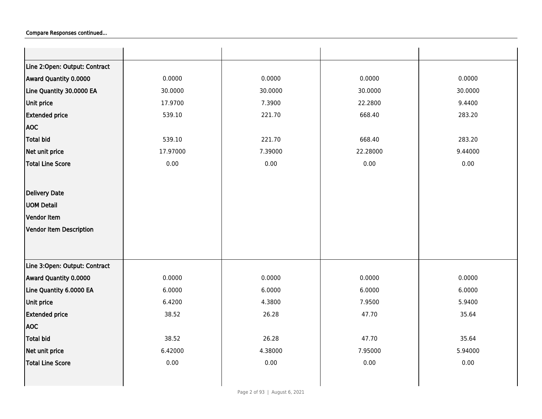| Line 2:Open: Output: Contract  |          |         |          |         |
|--------------------------------|----------|---------|----------|---------|
| Award Quantity 0.0000          | 0.0000   | 0.0000  | 0.0000   | 0.0000  |
| Line Quantity 30.0000 EA       | 30.0000  | 30.0000 | 30.0000  | 30.0000 |
| Unit price                     | 17.9700  | 7.3900  | 22.2800  | 9.4400  |
| <b>Extended price</b>          | 539.10   | 221.70  | 668.40   | 283.20  |
| <b>AOC</b>                     |          |         |          |         |
| <b>Total bid</b>               | 539.10   | 221.70  | 668.40   | 283.20  |
| Net unit price                 | 17.97000 | 7.39000 | 22.28000 | 9.44000 |
| <b>Total Line Score</b>        | 0.00     | 0.00    | 0.00     | 0.00    |
|                                |          |         |          |         |
| <b>Delivery Date</b>           |          |         |          |         |
| <b>UOM Detail</b>              |          |         |          |         |
| Vendor Item                    |          |         |          |         |
| <b>Vendor Item Description</b> |          |         |          |         |
|                                |          |         |          |         |
|                                |          |         |          |         |
| Line 3:Open: Output: Contract  |          |         |          |         |
| Award Quantity 0.0000          | 0.0000   | 0.0000  | 0.0000   | 0.0000  |
| Line Quantity 6.0000 EA        | 6.0000   | 6.0000  | 6.0000   | 6.0000  |
| Unit price                     | 6.4200   | 4.3800  | 7.9500   | 5.9400  |
| <b>Extended price</b>          | 38.52    | 26.28   | 47.70    | 35.64   |
| <b>AOC</b>                     |          |         |          |         |
| <b>Total bid</b>               | 38.52    | 26.28   | 47.70    | 35.64   |
| Net unit price                 | 6.42000  | 4.38000 | 7.95000  | 5.94000 |
| <b>Total Line Score</b>        | 0.00     | 0.00    | 0.00     | 0.00    |
|                                |          |         |          |         |
|                                |          |         |          |         |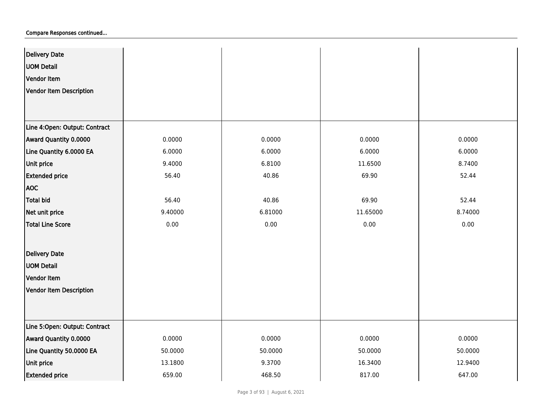| <b>Delivery Date</b>          |         |         |          |         |
|-------------------------------|---------|---------|----------|---------|
| <b>UOM Detail</b>             |         |         |          |         |
| Vendor Item                   |         |         |          |         |
| Vendor Item Description       |         |         |          |         |
|                               |         |         |          |         |
|                               |         |         |          |         |
| Line 4:Open: Output: Contract |         |         |          |         |
| Award Quantity 0.0000         | 0.0000  | 0.0000  | 0.0000   | 0.0000  |
| Line Quantity 6.0000 EA       | 6.0000  | 6.0000  | 6.0000   | 6.0000  |
| Unit price                    | 9.4000  | 6.8100  | 11.6500  | 8.7400  |
| <b>Extended price</b>         | 56.40   | 40.86   | 69.90    | 52.44   |
| <b>AOC</b>                    |         |         |          |         |
| Total bid                     | 56.40   | 40.86   | 69.90    | 52.44   |
| Net unit price                | 9.40000 | 6.81000 | 11.65000 | 8.74000 |
| <b>Total Line Score</b>       | 0.00    | 0.00    | 0.00     | 0.00    |
|                               |         |         |          |         |
| <b>Delivery Date</b>          |         |         |          |         |
| <b>UOM Detail</b>             |         |         |          |         |
| Vendor Item                   |         |         |          |         |
| Vendor Item Description       |         |         |          |         |
|                               |         |         |          |         |
|                               |         |         |          |         |
| Line 5:Open: Output: Contract |         |         |          |         |
| Award Quantity 0.0000         | 0.0000  | 0.0000  | 0.0000   | 0.0000  |
| Line Quantity 50.0000 EA      | 50.0000 | 50.0000 | 50.0000  | 50.0000 |
| Unit price                    | 13.1800 | 9.3700  | 16.3400  | 12.9400 |
| <b>Extended price</b>         | 659.00  | 468.50  | 817.00   | 647.00  |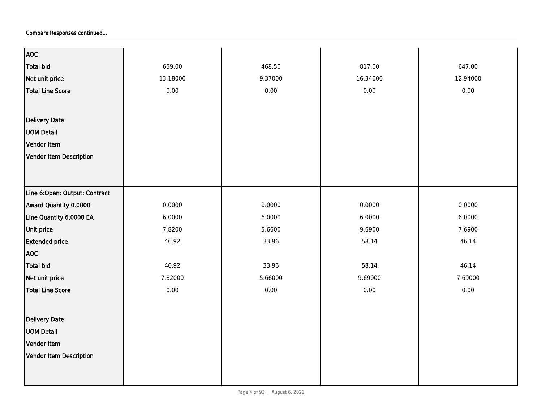| <b>AOC</b>                     |          |         |          |          |
|--------------------------------|----------|---------|----------|----------|
| <b>Total bid</b>               | 659.00   | 468.50  | 817.00   | 647.00   |
| Net unit price                 | 13.18000 | 9.37000 | 16.34000 | 12.94000 |
| <b>Total Line Score</b>        | 0.00     | 0.00    | 0.00     | 0.00     |
|                                |          |         |          |          |
| <b>Delivery Date</b>           |          |         |          |          |
| <b>UOM Detail</b>              |          |         |          |          |
|                                |          |         |          |          |
| Vendor Item                    |          |         |          |          |
| Vendor Item Description        |          |         |          |          |
|                                |          |         |          |          |
|                                |          |         |          |          |
| Line 6:Open: Output: Contract  |          |         |          |          |
| Award Quantity 0.0000          | 0.0000   | 0.0000  | 0.0000   | 0.0000   |
| Line Quantity 6.0000 EA        | 6.0000   | 6.0000  | 6.0000   | 6.0000   |
| Unit price                     | 7.8200   | 5.6600  | 9.6900   | 7.6900   |
| <b>Extended price</b>          | 46.92    | 33.96   | 58.14    | 46.14    |
| <b>AOC</b>                     |          |         |          |          |
| <b>Total bid</b>               | 46.92    | 33.96   | 58.14    | 46.14    |
| Net unit price                 | 7.82000  | 5.66000 | 9.69000  | 7.69000  |
| <b>Total Line Score</b>        | 0.00     | 0.00    | 0.00     | 0.00     |
|                                |          |         |          |          |
| <b>Delivery Date</b>           |          |         |          |          |
| <b>UOM Detail</b>              |          |         |          |          |
| Vendor Item                    |          |         |          |          |
|                                |          |         |          |          |
| <b>Vendor Item Description</b> |          |         |          |          |
|                                |          |         |          |          |
|                                |          |         |          |          |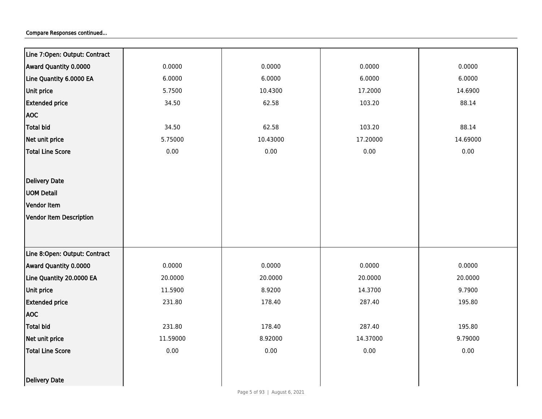| Line 7:Open: Output: Contract  |          |          |          |          |
|--------------------------------|----------|----------|----------|----------|
| Award Quantity 0.0000          | 0.0000   | 0.0000   | 0.0000   | 0.0000   |
| Line Quantity 6.0000 EA        | 6.0000   | 6.0000   | 6.0000   | 6.0000   |
| Unit price                     | 5.7500   | 10.4300  | 17.2000  | 14.6900  |
| <b>Extended price</b>          | 34.50    | 62.58    | 103.20   | 88.14    |
| <b>AOC</b>                     |          |          |          |          |
| <b>Total bid</b>               | 34.50    | 62.58    | 103.20   | 88.14    |
| Net unit price                 | 5.75000  | 10.43000 | 17.20000 | 14.69000 |
| <b>Total Line Score</b>        | 0.00     | 0.00     | 0.00     | 0.00     |
|                                |          |          |          |          |
| Delivery Date                  |          |          |          |          |
| <b>UOM Detail</b>              |          |          |          |          |
| Vendor Item                    |          |          |          |          |
| <b>Vendor Item Description</b> |          |          |          |          |
|                                |          |          |          |          |
|                                |          |          |          |          |
| Line 8:Open: Output: Contract  |          |          |          |          |
| Award Quantity 0.0000          | 0.0000   | 0.0000   | 0.0000   | 0.0000   |
| Line Quantity 20.0000 EA       | 20.0000  | 20.0000  | 20.0000  | 20.0000  |
| Unit price                     | 11.5900  | 8.9200   | 14.3700  | 9.7900   |
| <b>Extended price</b>          | 231.80   | 178.40   | 287.40   | 195.80   |
| <b>AOC</b>                     |          |          |          |          |
| <b>Total bid</b>               | 231.80   | 178.40   | 287.40   | 195.80   |
| Net unit price                 | 11.59000 | 8.92000  | 14.37000 | 9.79000  |
| <b>Total Line Score</b>        | 0.00     | 0.00     | 0.00     | 0.00     |
|                                |          |          |          |          |
| Delivery Date                  |          |          |          |          |
|                                |          |          |          |          |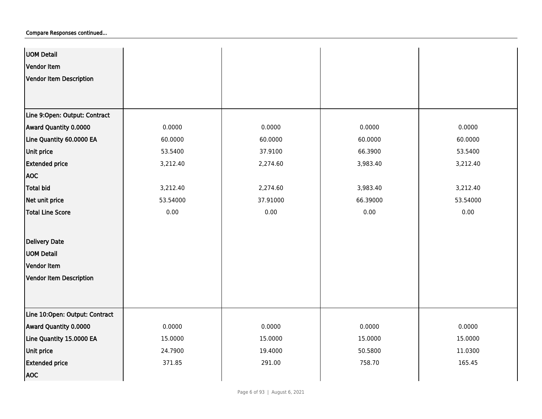| <b>UOM Detail</b>              |          |          |          |          |
|--------------------------------|----------|----------|----------|----------|
| Vendor Item                    |          |          |          |          |
| Vendor Item Description        |          |          |          |          |
|                                |          |          |          |          |
|                                |          |          |          |          |
| Line 9:Open: Output: Contract  |          |          |          |          |
| Award Quantity 0.0000          | 0.0000   | 0.0000   | 0.0000   | 0.0000   |
| Line Quantity 60.0000 EA       | 60.0000  | 60.0000  | 60.0000  | 60.0000  |
| Unit price                     | 53.5400  | 37.9100  | 66.3900  | 53.5400  |
| <b>Extended price</b>          | 3,212.40 | 2,274.60 | 3,983.40 | 3,212.40 |
| <b>AOC</b>                     |          |          |          |          |
| Total bid                      | 3,212.40 | 2,274.60 | 3,983.40 | 3,212.40 |
| Net unit price                 | 53.54000 | 37.91000 | 66.39000 | 53.54000 |
| <b>Total Line Score</b>        | 0.00     | 0.00     | 0.00     | 0.00     |
|                                |          |          |          |          |
| <b>Delivery Date</b>           |          |          |          |          |
| <b>UOM Detail</b>              |          |          |          |          |
| Vendor Item                    |          |          |          |          |
| Vendor Item Description        |          |          |          |          |
|                                |          |          |          |          |
|                                |          |          |          |          |
| Line 10:Open: Output: Contract |          |          |          |          |
| Award Quantity 0.0000          | 0.0000   | 0.0000   | 0.0000   | 0.0000   |
| Line Quantity 15.0000 EA       | 15.0000  | 15.0000  | 15.0000  | 15.0000  |
| Unit price                     | 24.7900  | 19.4000  | 50.5800  | 11.0300  |
| <b>Extended price</b>          | 371.85   | 291.00   | 758.70   | 165.45   |
| <b>AOC</b>                     |          |          |          |          |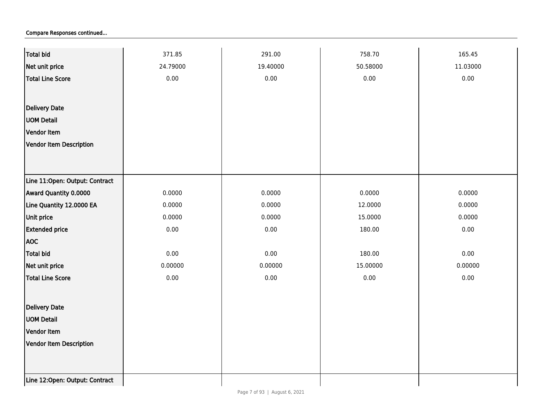| Total bid                      | 371.85   | 291.00   | 758.70   | 165.45   |
|--------------------------------|----------|----------|----------|----------|
| Net unit price                 | 24.79000 | 19.40000 | 50.58000 | 11.03000 |
| Total Line Score               | 0.00     | 0.00     | 0.00     | 0.00     |
|                                |          |          |          |          |
| <b>Delivery Date</b>           |          |          |          |          |
| <b>UOM Detail</b>              |          |          |          |          |
| Vendor Item                    |          |          |          |          |
| Vendor Item Description        |          |          |          |          |
|                                |          |          |          |          |
|                                |          |          |          |          |
| Line 11:Open: Output: Contract |          |          |          |          |
| Award Quantity 0.0000          | 0.0000   | 0.0000   | 0.0000   | 0.0000   |
| Line Quantity 12.0000 EA       | 0.0000   | 0.0000   | 12.0000  | 0.0000   |
| Unit price                     | 0.0000   | 0.0000   | 15.0000  | 0.0000   |
| <b>Extended price</b>          | $0.00\,$ | 0.00     | 180.00   | 0.00     |
| <b>AOC</b>                     |          |          |          |          |
| Total bid                      | 0.00     | 0.00     | 180.00   | 0.00     |
| Net unit price                 | 0.00000  | 0.00000  | 15.00000 | 0.00000  |
| Total Line Score               | 0.00     | 0.00     | 0.00     | 0.00     |
|                                |          |          |          |          |
| <b>Delivery Date</b>           |          |          |          |          |
| <b>UOM Detail</b>              |          |          |          |          |
| Vendor Item                    |          |          |          |          |
| Vendor Item Description        |          |          |          |          |
|                                |          |          |          |          |
|                                |          |          |          |          |
| Line 12:Open: Output: Contract |          |          |          |          |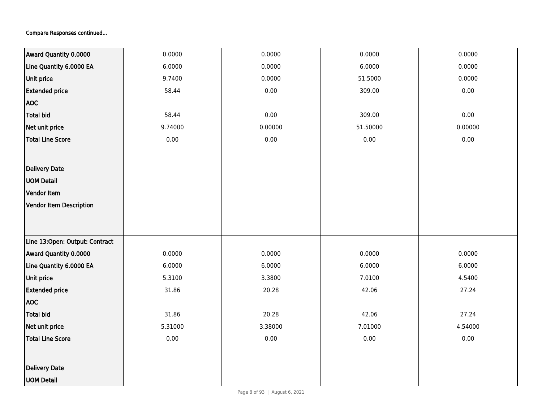| Award Quantity 0.0000          | 0.0000  | 0.0000  | 0.0000   | 0.0000  |
|--------------------------------|---------|---------|----------|---------|
| Line Quantity 6.0000 EA        | 6.0000  | 0.0000  | 6.0000   | 0.0000  |
| Unit price                     | 9.7400  | 0.0000  | 51.5000  | 0.0000  |
| <b>Extended price</b>          | 58.44   | 0.00    | 309.00   | 0.00    |
| <b>AOC</b>                     |         |         |          |         |
| Total bid                      | 58.44   | 0.00    | 309.00   | 0.00    |
| Net unit price                 | 9.74000 | 0.00000 | 51.50000 | 0.00000 |
| <b>Total Line Score</b>        | 0.00    | 0.00    | 0.00     | 0.00    |
|                                |         |         |          |         |
| <b>Delivery Date</b>           |         |         |          |         |
| <b>UOM Detail</b>              |         |         |          |         |
| Vendor Item                    |         |         |          |         |
| Vendor Item Description        |         |         |          |         |
|                                |         |         |          |         |
|                                |         |         |          |         |
| Line 13:Open: Output: Contract |         |         |          |         |
| Award Quantity 0.0000          | 0.0000  | 0.0000  | 0.0000   | 0.0000  |
| Line Quantity 6.0000 EA        | 6.0000  | 6.0000  | 6.0000   | 6.0000  |
| Unit price                     | 5.3100  | 3.3800  | 7.0100   | 4.5400  |
| <b>Extended price</b>          | 31.86   | 20.28   | 42.06    | 27.24   |
| <b>AOC</b>                     |         |         |          |         |
| Total bid                      | 31.86   | 20.28   | 42.06    | 27.24   |
| Net unit price                 | 5.31000 | 3.38000 | 7.01000  | 4.54000 |
| <b>Total Line Score</b>        | 0.00    | 0.00    | 0.00     | 0.00    |
|                                |         |         |          |         |
| <b>Delivery Date</b>           |         |         |          |         |
| <b>UOM Detail</b>              |         |         |          |         |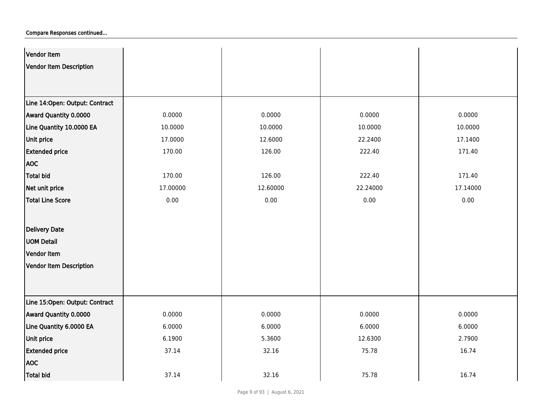| Vendor Item                    |          |          |          |          |
|--------------------------------|----------|----------|----------|----------|
| Vendor Item Description        |          |          |          |          |
|                                |          |          |          |          |
|                                |          |          |          |          |
| Line 14:Open: Output: Contract |          |          |          |          |
| Award Quantity 0.0000          | 0.0000   | 0.0000   | 0.0000   | 0.0000   |
| Line Quantity 10.0000 EA       | 10.0000  | 10.0000  | 10.0000  | 10.0000  |
| Unit price                     | 17.0000  | 12.6000  | 22.2400  | 17.1400  |
| <b>Extended price</b>          | 170.00   | 126.00   | 222.40   | 171.40   |
| <b>AOC</b>                     |          |          |          |          |
| Total bid                      | 170.00   | 126.00   | 222.40   | 171.40   |
| Net unit price                 | 17.00000 | 12.60000 | 22.24000 | 17.14000 |
| <b>Total Line Score</b>        | 0.00     | 0.00     | 0.00     | 0.00     |
|                                |          |          |          |          |
| <b>Delivery Date</b>           |          |          |          |          |
| <b>UOM Detail</b>              |          |          |          |          |
| Vendor Item                    |          |          |          |          |
| Vendor Item Description        |          |          |          |          |
|                                |          |          |          |          |
|                                |          |          |          |          |
| Line 15:Open: Output: Contract |          |          |          |          |
| Award Quantity 0.0000          | 0.0000   | 0.0000   | 0.0000   | 0.0000   |
| Line Quantity 6.0000 EA        | 6.0000   | 6.0000   | 6.0000   | 6.0000   |
| Unit price                     | 6.1900   | 5.3600   | 12.6300  | 2.7900   |
| <b>Extended price</b>          | 37.14    | 32.16    | 75.78    | 16.74    |
| <b>AOC</b>                     |          |          |          |          |
| Total bid                      | 37.14    | 32.16    | 75.78    | 16.74    |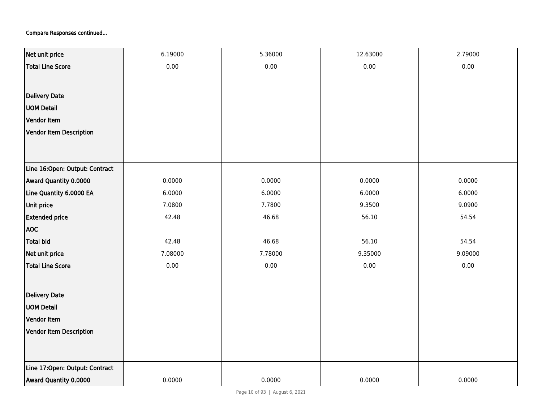| Net unit price                 | 6.19000 | 5.36000 | 12.63000 | 2.79000  |
|--------------------------------|---------|---------|----------|----------|
| <b>Total Line Score</b>        | 0.00    | 0.00    | $0.00\,$ | 0.00     |
|                                |         |         |          |          |
| <b>Delivery Date</b>           |         |         |          |          |
| <b>UOM Detail</b>              |         |         |          |          |
| Vendor Item                    |         |         |          |          |
| <b>Vendor Item Description</b> |         |         |          |          |
|                                |         |         |          |          |
|                                |         |         |          |          |
| Line 16:Open: Output: Contract |         |         |          |          |
| Award Quantity 0.0000          | 0.0000  | 0.0000  | 0.0000   | 0.0000   |
| Line Quantity 6.0000 EA        | 6.0000  | 6.0000  | 6.0000   | 6.0000   |
| Unit price                     | 7.0800  | 7.7800  | 9.3500   | 9.0900   |
| <b>Extended price</b>          | 42.48   | 46.68   | 56.10    | 54.54    |
| <b>AOC</b>                     |         |         |          |          |
| <b>Total bid</b>               | 42.48   | 46.68   | 56.10    | 54.54    |
| Net unit price                 | 7.08000 | 7.78000 | 9.35000  | 9.09000  |
| <b>Total Line Score</b>        | 0.00    | 0.00    | 0.00     | $0.00\,$ |
|                                |         |         |          |          |
| <b>Delivery Date</b>           |         |         |          |          |
| <b>UOM Detail</b>              |         |         |          |          |
| Vendor Item                    |         |         |          |          |
| Vendor Item Description        |         |         |          |          |
|                                |         |         |          |          |
|                                |         |         |          |          |
| Line 17:Open: Output: Contract |         |         |          |          |
| Award Quantity 0.0000          | 0.0000  | 0.0000  | 0.0000   | 0.0000   |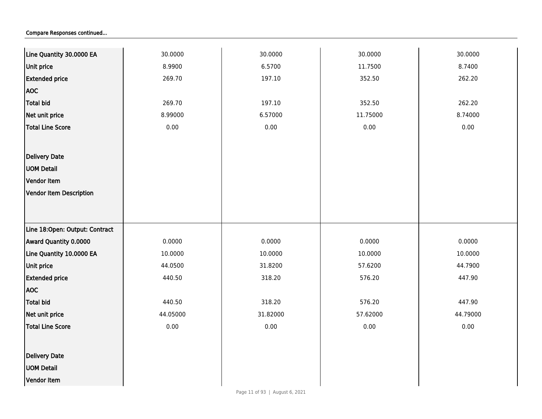| Line Quantity 30.0000 EA       | 30.0000  | 30.0000  | 30.0000  | 30.0000  |
|--------------------------------|----------|----------|----------|----------|
| <b>Unit price</b>              | 8.9900   | 6.5700   | 11.7500  | 8.7400   |
| <b>Extended price</b>          | 269.70   | 197.10   | 352.50   | 262.20   |
| <b>AOC</b>                     |          |          |          |          |
| Total bid                      | 269.70   | 197.10   | 352.50   | 262.20   |
| Net unit price                 | 8.99000  | 6.57000  | 11.75000 | 8.74000  |
| <b>Total Line Score</b>        | $0.00\,$ | $0.00\,$ | 0.00     | 0.00     |
|                                |          |          |          |          |
| Delivery Date                  |          |          |          |          |
| <b>UOM Detail</b>              |          |          |          |          |
| Vendor Item                    |          |          |          |          |
| Vendor Item Description        |          |          |          |          |
|                                |          |          |          |          |
|                                |          |          |          |          |
| Line 18:Open: Output: Contract |          |          |          |          |
| Award Quantity 0.0000          | 0.0000   | 0.0000   | 0.0000   | 0.0000   |
| Line Quantity 10.0000 EA       | 10.0000  | 10.0000  | 10.0000  | 10.0000  |
| <b>Unit price</b>              | 44.0500  | 31.8200  | 57.6200  | 44.7900  |
| <b>Extended price</b>          | 440.50   | 318.20   | 576.20   | 447.90   |
| <b>AOC</b>                     |          |          |          |          |
| <b>Total bid</b>               | 440.50   | 318.20   | 576.20   | 447.90   |
| Net unit price                 | 44.05000 | 31.82000 | 57.62000 | 44.79000 |
| <b>Total Line Score</b>        | 0.00     | 0.00     | 0.00     | 0.00     |
|                                |          |          |          |          |
| <b>Delivery Date</b>           |          |          |          |          |
| <b>UOM Detail</b>              |          |          |          |          |
| Vendor Item                    |          |          |          |          |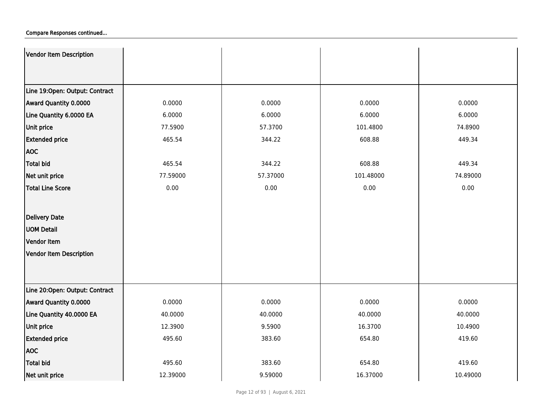| Vendor Item Description        |          |          |           |          |
|--------------------------------|----------|----------|-----------|----------|
|                                |          |          |           |          |
| Line 19:Open: Output: Contract |          |          |           |          |
| Award Quantity 0.0000          | 0.0000   | 0.0000   | 0.0000    | 0.0000   |
| Line Quantity 6.0000 EA        | 6.0000   | 6.0000   | 6.0000    | 6.0000   |
| <b>Unit price</b>              | 77.5900  | 57.3700  | 101.4800  | 74.8900  |
| <b>Extended price</b>          | 465.54   | 344.22   | 608.88    | 449.34   |
| <b>AOC</b>                     |          |          |           |          |
| <b>Total bid</b>               | 465.54   | 344.22   | 608.88    | 449.34   |
| Net unit price                 | 77.59000 | 57.37000 | 101.48000 | 74.89000 |
| Total Line Score               | 0.00     | 0.00     | 0.00      | 0.00     |
|                                |          |          |           |          |
| Delivery Date                  |          |          |           |          |
| <b>UOM Detail</b>              |          |          |           |          |
| Vendor Item                    |          |          |           |          |
| Vendor Item Description        |          |          |           |          |
|                                |          |          |           |          |
|                                |          |          |           |          |
| Line 20:Open: Output: Contract |          |          |           |          |
| Award Quantity 0.0000          | 0.0000   | 0.0000   | 0.0000    | 0.0000   |
| Line Quantity 40.0000 EA       | 40.0000  | 40.0000  | 40.0000   | 40.0000  |
| <b>Unit price</b>              | 12.3900  | 9.5900   | 16.3700   | 10.4900  |
| <b>Extended price</b>          | 495.60   | 383.60   | 654.80    | 419.60   |
| <b>AOC</b>                     |          |          |           |          |
| <b>Total bid</b>               | 495.60   | 383.60   | 654.80    | 419.60   |
| Net unit price                 | 12.39000 | 9.59000  | 16.37000  | 10.49000 |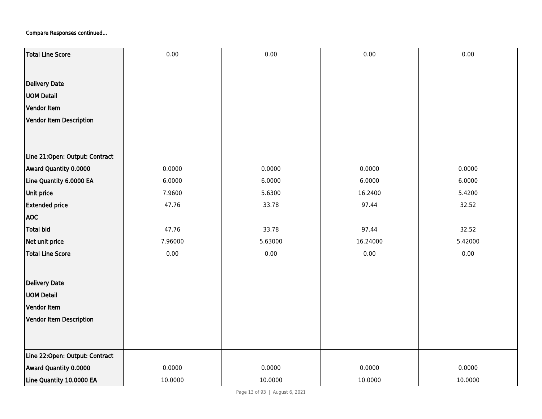| Total Line Score               | 0.00    | 0.00    | 0.00     | 0.00    |
|--------------------------------|---------|---------|----------|---------|
|                                |         |         |          |         |
| <b>Delivery Date</b>           |         |         |          |         |
| <b>UOM Detail</b>              |         |         |          |         |
| Vendor Item                    |         |         |          |         |
| Vendor Item Description        |         |         |          |         |
|                                |         |         |          |         |
|                                |         |         |          |         |
| Line 21:Open: Output: Contract |         |         |          |         |
| Award Quantity 0.0000          | 0.0000  | 0.0000  | 0.0000   | 0.0000  |
| Line Quantity 6.0000 EA        | 6.0000  | 6.0000  | 6.0000   | 6.0000  |
| Unit price                     | 7.9600  | 5.6300  | 16.2400  | 5.4200  |
| <b>Extended price</b>          | 47.76   | 33.78   | 97.44    | 32.52   |
| <b>AOC</b>                     |         |         |          |         |
| <b>Total bid</b>               | 47.76   | 33.78   | 97.44    | 32.52   |
| Net unit price                 | 7.96000 | 5.63000 | 16.24000 | 5.42000 |
| <b>Total Line Score</b>        | 0.00    | 0.00    | 0.00     | 0.00    |
|                                |         |         |          |         |
| <b>Delivery Date</b>           |         |         |          |         |
| <b>UOM Detail</b>              |         |         |          |         |
| Vendor Item                    |         |         |          |         |
| Vendor Item Description        |         |         |          |         |
|                                |         |         |          |         |
|                                |         |         |          |         |
| Line 22:Open: Output: Contract |         |         |          |         |
| Award Quantity 0.0000          | 0.0000  | 0.0000  | 0.0000   | 0.0000  |
| Line Quantity 10.0000 EA       | 10.0000 | 10.0000 | 10.0000  | 10.0000 |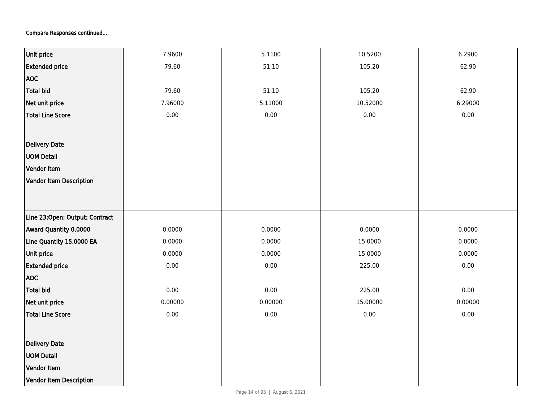| Unit price                     | 7.9600   | 5.1100  | 10.5200  | 6.2900  |
|--------------------------------|----------|---------|----------|---------|
| <b>Extended price</b>          | 79.60    | 51.10   | 105.20   | 62.90   |
| <b>AOC</b>                     |          |         |          |         |
| <b>Total bid</b>               | 79.60    | 51.10   | 105.20   | 62.90   |
| Net unit price                 | 7.96000  | 5.11000 | 10.52000 | 6.29000 |
| Total Line Score               | 0.00     | 0.00    | 0.00     | 0.00    |
|                                |          |         |          |         |
| Delivery Date                  |          |         |          |         |
| <b>UOM Detail</b>              |          |         |          |         |
| Vendor Item                    |          |         |          |         |
| Vendor Item Description        |          |         |          |         |
|                                |          |         |          |         |
|                                |          |         |          |         |
| Line 23:Open: Output: Contract |          |         |          |         |
| <b>Award Quantity 0.0000</b>   | 0.0000   | 0.0000  | 0.0000   | 0.0000  |
| Line Quantity 15.0000 EA       | 0.0000   | 0.0000  | 15.0000  | 0.0000  |
| Unit price                     | 0.0000   | 0.0000  | 15.0000  | 0.0000  |
| <b>Extended price</b>          | 0.00     | 0.00    | 225.00   | 0.00    |
| <b>AOC</b>                     |          |         |          |         |
| Total bid                      | 0.00     | 0.00    | 225.00   | 0.00    |
| Net unit price                 | 0.00000  | 0.00000 | 15.00000 | 0.00000 |
| Total Line Score               | $0.00\,$ | 0.00    | 0.00     | 0.00    |
|                                |          |         |          |         |
| Delivery Date                  |          |         |          |         |
| <b>UOM Detail</b>              |          |         |          |         |
| Vendor Item                    |          |         |          |         |
| Vendor Item Description        |          |         |          |         |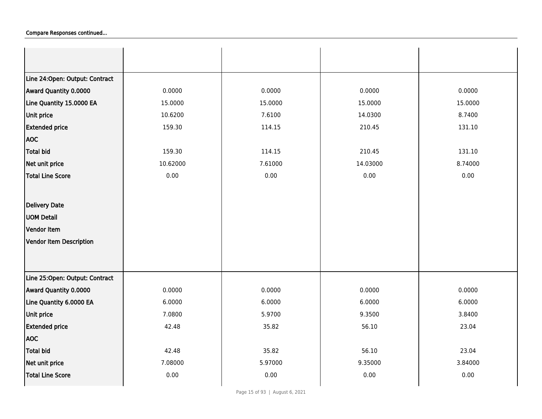| Line 24: Open: Output: Contract |          |         |          |         |
|---------------------------------|----------|---------|----------|---------|
| Award Quantity 0.0000           | 0.0000   | 0.0000  | 0.0000   | 0.0000  |
| Line Quantity 15.0000 EA        | 15.0000  | 15.0000 | 15.0000  | 15.0000 |
| <b>Unit price</b>               | 10.6200  | 7.6100  | 14.0300  | 8.7400  |
| <b>Extended price</b>           | 159.30   | 114.15  | 210.45   | 131.10  |
| <b>AOC</b>                      |          |         |          |         |
| <b>Total bid</b>                | 159.30   | 114.15  | 210.45   | 131.10  |
| Net unit price                  | 10.62000 | 7.61000 | 14.03000 | 8.74000 |
| <b>Total Line Score</b>         | 0.00     | 0.00    | 0.00     | 0.00    |
|                                 |          |         |          |         |
| Delivery Date                   |          |         |          |         |
| <b>UOM Detail</b>               |          |         |          |         |
| Vendor Item                     |          |         |          |         |
| Vendor Item Description         |          |         |          |         |
|                                 |          |         |          |         |
|                                 |          |         |          |         |
| Line 25:Open: Output: Contract  |          |         |          |         |
| Award Quantity 0.0000           | 0.0000   | 0.0000  | 0.0000   | 0.0000  |
| Line Quantity 6.0000 EA         | 6.0000   | 6.0000  | 6.0000   | 6.0000  |
| Unit price                      | 7.0800   | 5.9700  | 9.3500   | 3.8400  |
| <b>Extended price</b>           | 42.48    | 35.82   | 56.10    | 23.04   |
| <b>AOC</b>                      |          |         |          |         |
| <b>Total bid</b>                | 42.48    | 35.82   | 56.10    | 23.04   |
| Net unit price                  | 7.08000  | 5.97000 | 9.35000  | 3.84000 |
| <b>Total Line Score</b>         | 0.00     | 0.00    | 0.00     | 0.00    |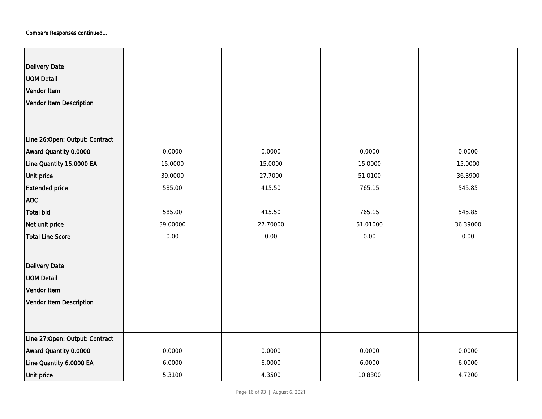| <b>Delivery Date</b><br><b>UOM Detail</b><br>Vendor Item<br>Vendor Item Description |          |          |          |          |
|-------------------------------------------------------------------------------------|----------|----------|----------|----------|
| Line 26:Open: Output: Contract                                                      |          |          |          |          |
| Award Quantity 0.0000                                                               | 0.0000   | 0.0000   | 0.0000   | 0.0000   |
| Line Quantity 15.0000 EA                                                            | 15.0000  | 15.0000  | 15.0000  | 15.0000  |
| Unit price                                                                          | 39.0000  | 27.7000  | 51.0100  | 36.3900  |
| <b>Extended price</b>                                                               | 585.00   | 415.50   | 765.15   | 545.85   |
| <b>AOC</b>                                                                          |          |          |          |          |
| Total bid                                                                           | 585.00   | 415.50   | 765.15   | 545.85   |
| Net unit price                                                                      | 39.00000 | 27.70000 | 51.01000 | 36.39000 |
| Total Line Score                                                                    | 0.00     | 0.00     | 0.00     | 0.00     |
| Delivery Date                                                                       |          |          |          |          |
| <b>UOM Detail</b>                                                                   |          |          |          |          |
| Vendor Item                                                                         |          |          |          |          |
| Vendor Item Description                                                             |          |          |          |          |
|                                                                                     |          |          |          |          |
| Line 27:Open: Output: Contract                                                      |          |          |          |          |
| Award Quantity 0.0000                                                               | 0.0000   | 0.0000   | 0.0000   | 0.0000   |
| Line Quantity 6.0000 EA                                                             | 6.0000   | 6.0000   | 6.0000   | 6.0000   |
| Unit price                                                                          | 5.3100   | 4.3500   | 10.8300  | 4.7200   |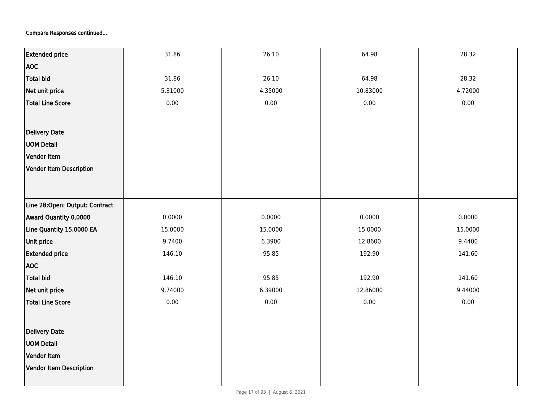| <b>Extended price</b>          | 31.86   | 26.10   | 64.98    | 28.32   |
|--------------------------------|---------|---------|----------|---------|
| <b>AOC</b>                     |         |         |          |         |
| Total bid                      | 31.86   | 26.10   | 64.98    | 28.32   |
| Net unit price                 | 5.31000 | 4.35000 | 10.83000 | 4.72000 |
| Total Line Score               | 0.00    | 0.00    | 0.00     | 0.00    |
|                                |         |         |          |         |
| Delivery Date                  |         |         |          |         |
| <b>UOM Detail</b>              |         |         |          |         |
| Vendor Item                    |         |         |          |         |
| Vendor Item Description        |         |         |          |         |
|                                |         |         |          |         |
|                                |         |         |          |         |
| Line 28:Open: Output: Contract |         |         |          |         |
| Award Quantity 0.0000          | 0.0000  | 0.0000  | 0.0000   | 0.0000  |
| Line Quantity 15.0000 EA       | 15.0000 | 15.0000 | 15.0000  | 15.0000 |
| Unit price                     | 9.7400  | 6.3900  | 12.8600  | 9.4400  |
| <b>Extended price</b>          | 146.10  | 95.85   | 192.90   | 141.60  |
| <b>AOC</b>                     |         |         |          |         |
| <b>Total bid</b>               | 146.10  | 95.85   | 192.90   | 141.60  |
| Net unit price                 | 9.74000 | 6.39000 | 12.86000 | 9.44000 |
| Total Line Score               | 0.00    | 0.00    | $0.00\,$ | 0.00    |
|                                |         |         |          |         |
| Delivery Date                  |         |         |          |         |
| <b>UOM Detail</b>              |         |         |          |         |
| Vendor Item                    |         |         |          |         |
| Vendor Item Description        |         |         |          |         |
|                                |         |         |          |         |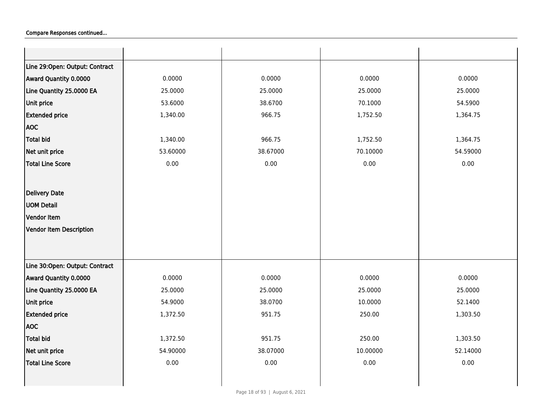| Line 29:Open: Output: Contract |          |          |          |          |
|--------------------------------|----------|----------|----------|----------|
| Award Quantity 0.0000          | 0.0000   | 0.0000   | 0.0000   | 0.0000   |
| Line Quantity 25.0000 EA       | 25.0000  | 25.0000  | 25.0000  | 25.0000  |
| Unit price                     | 53.6000  | 38.6700  | 70.1000  | 54.5900  |
| <b>Extended price</b>          | 1,340.00 | 966.75   | 1,752.50 | 1,364.75 |
| <b>AOC</b>                     |          |          |          |          |
| <b>Total bid</b>               | 1,340.00 | 966.75   | 1,752.50 | 1,364.75 |
| Net unit price                 | 53.60000 | 38.67000 | 70.10000 | 54.59000 |
| <b>Total Line Score</b>        | 0.00     | 0.00     | 0.00     | 0.00     |
|                                |          |          |          |          |
| Delivery Date                  |          |          |          |          |
| <b>UOM Detail</b>              |          |          |          |          |
| Vendor Item                    |          |          |          |          |
| Vendor Item Description        |          |          |          |          |
|                                |          |          |          |          |
|                                |          |          |          |          |
| Line 30:Open: Output: Contract |          |          |          |          |
| Award Quantity 0.0000          | 0.0000   | 0.0000   | 0.0000   | 0.0000   |
| Line Quantity 25.0000 EA       | 25.0000  | 25.0000  | 25.0000  | 25.0000  |
| Unit price                     | 54.9000  | 38.0700  | 10.0000  | 52.1400  |
| <b>Extended price</b>          | 1,372.50 | 951.75   | 250.00   | 1,303.50 |
| <b>AOC</b>                     |          |          |          |          |
| Total bid                      | 1,372.50 | 951.75   | 250.00   | 1,303.50 |
| Net unit price                 | 54.90000 | 38.07000 | 10.00000 | 52.14000 |
| Total Line Score               | 0.00     | 0.00     | 0.00     | $0.00\,$ |
|                                |          |          |          |          |
|                                |          |          |          |          |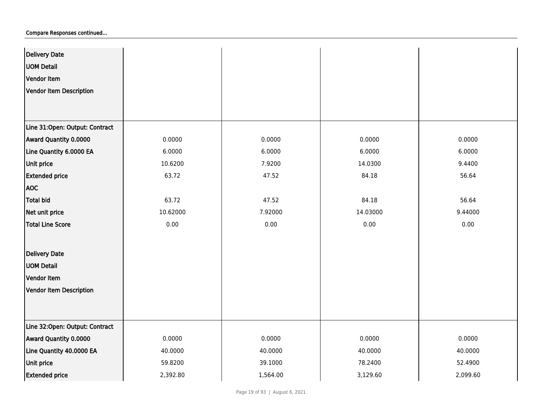| <b>Delivery Date</b>           |          |          |          |          |
|--------------------------------|----------|----------|----------|----------|
| <b>UOM Detail</b>              |          |          |          |          |
| Vendor Item                    |          |          |          |          |
| Vendor Item Description        |          |          |          |          |
|                                |          |          |          |          |
|                                |          |          |          |          |
| Line 31:Open: Output: Contract |          |          |          |          |
| Award Quantity 0.0000          | 0.0000   | 0.0000   | 0.0000   | 0.0000   |
| Line Quantity 6.0000 EA        | 6.0000   | 6.0000   | 6.0000   | 6.0000   |
| Unit price                     | 10.6200  | 7.9200   | 14.0300  | 9.4400   |
| <b>Extended price</b>          | 63.72    | 47.52    | 84.18    | 56.64    |
| <b>AOC</b>                     |          |          |          |          |
| Total bid                      | 63.72    | 47.52    | 84.18    | 56.64    |
| Net unit price                 | 10.62000 | 7.92000  | 14.03000 | 9.44000  |
| <b>Total Line Score</b>        | 0.00     | 0.00     | 0.00     | 0.00     |
|                                |          |          |          |          |
| <b>Delivery Date</b>           |          |          |          |          |
| <b>UOM Detail</b>              |          |          |          |          |
| Vendor Item                    |          |          |          |          |
| Vendor Item Description        |          |          |          |          |
|                                |          |          |          |          |
|                                |          |          |          |          |
| Line 32:Open: Output: Contract |          |          |          |          |
| Award Quantity 0.0000          | 0.0000   | 0.0000   | 0.0000   | 0.0000   |
| Line Quantity 40.0000 EA       | 40.0000  | 40.0000  | 40.0000  | 40.0000  |
| Unit price                     | 59.8200  | 39.1000  | 78.2400  | 52.4900  |
| <b>Extended price</b>          | 2,392.80 | 1,564.00 | 3,129.60 | 2,099.60 |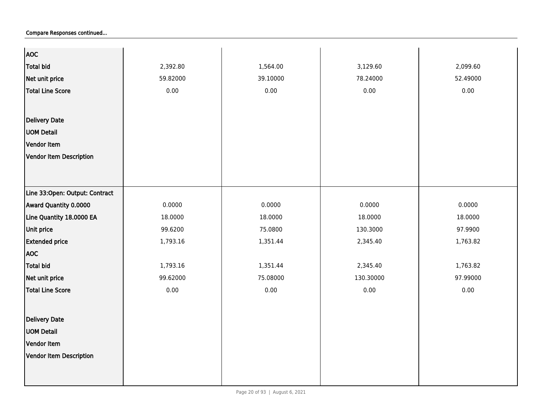| <b>AOC</b>                     |          |          |           |          |
|--------------------------------|----------|----------|-----------|----------|
| <b>Total bid</b>               | 2,392.80 | 1,564.00 | 3,129.60  | 2,099.60 |
| Net unit price                 | 59.82000 | 39.10000 | 78.24000  | 52.49000 |
| <b>Total Line Score</b>        | 0.00     | 0.00     | 0.00      | 0.00     |
|                                |          |          |           |          |
|                                |          |          |           |          |
| <b>Delivery Date</b>           |          |          |           |          |
| <b>UOM Detail</b>              |          |          |           |          |
| Vendor Item                    |          |          |           |          |
| Vendor Item Description        |          |          |           |          |
|                                |          |          |           |          |
|                                |          |          |           |          |
| Line 33:Open: Output: Contract |          |          |           |          |
| Award Quantity 0.0000          | 0.0000   | 0.0000   | 0.0000    | 0.0000   |
| Line Quantity 18.0000 EA       | 18.0000  | 18.0000  | 18.0000   | 18.0000  |
| Unit price                     | 99.6200  | 75.0800  | 130.3000  | 97.9900  |
| <b>Extended price</b>          | 1,793.16 | 1,351.44 | 2,345.40  | 1,763.82 |
| <b>AOC</b>                     |          |          |           |          |
| <b>Total bid</b>               | 1,793.16 | 1,351.44 | 2,345.40  | 1,763.82 |
| Net unit price                 | 99.62000 | 75.08000 | 130.30000 | 97.99000 |
| <b>Total Line Score</b>        | 0.00     | 0.00     | 0.00      | 0.00     |
|                                |          |          |           |          |
| <b>Delivery Date</b>           |          |          |           |          |
| <b>UOM Detail</b>              |          |          |           |          |
| Vendor Item                    |          |          |           |          |
|                                |          |          |           |          |
| <b>Vendor Item Description</b> |          |          |           |          |
|                                |          |          |           |          |
|                                |          |          |           |          |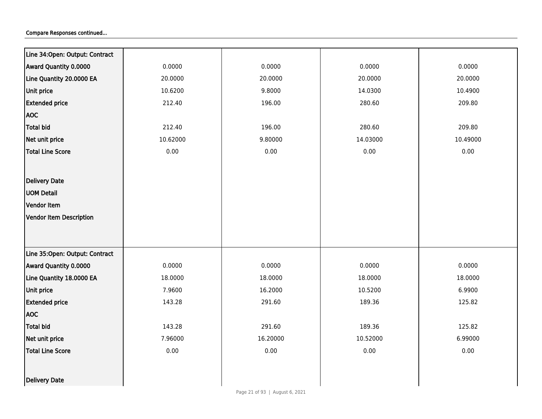| Line 34: Open: Output: Contract |          |          |          |          |
|---------------------------------|----------|----------|----------|----------|
| Award Quantity 0.0000           | 0.0000   | 0.0000   | 0.0000   | 0.0000   |
| Line Quantity 20.0000 EA        | 20.0000  | 20.0000  | 20.0000  | 20.0000  |
| Unit price                      | 10.6200  | 9.8000   | 14.0300  | 10.4900  |
| <b>Extended price</b>           | 212.40   | 196.00   | 280.60   | 209.80   |
| <b>AOC</b>                      |          |          |          |          |
| <b>Total bid</b>                | 212.40   | 196.00   | 280.60   | 209.80   |
| Net unit price                  | 10.62000 | 9.80000  | 14.03000 | 10.49000 |
| <b>Total Line Score</b>         | 0.00     | 0.00     | 0.00     | 0.00     |
|                                 |          |          |          |          |
| Delivery Date                   |          |          |          |          |
| <b>UOM Detail</b>               |          |          |          |          |
| Vendor Item                     |          |          |          |          |
| <b>Vendor Item Description</b>  |          |          |          |          |
|                                 |          |          |          |          |
|                                 |          |          |          |          |
| Line 35:Open: Output: Contract  |          |          |          |          |
| Award Quantity 0.0000           | 0.0000   | 0.0000   | 0.0000   | 0.0000   |
| Line Quantity 18.0000 EA        | 18.0000  | 18.0000  | 18.0000  | 18.0000  |
| Unit price                      | 7.9600   | 16.2000  | 10.5200  | 6.9900   |
| <b>Extended price</b>           | 143.28   | 291.60   | 189.36   | 125.82   |
| <b>AOC</b>                      |          |          |          |          |
| <b>Total bid</b>                | 143.28   | 291.60   | 189.36   | 125.82   |
| Net unit price                  | 7.96000  | 16.20000 | 10.52000 | 6.99000  |
| <b>Total Line Score</b>         | 0.00     | 0.00     | 0.00     | 0.00     |
|                                 |          |          |          |          |
| Delivery Date                   |          |          |          |          |
|                                 |          |          |          |          |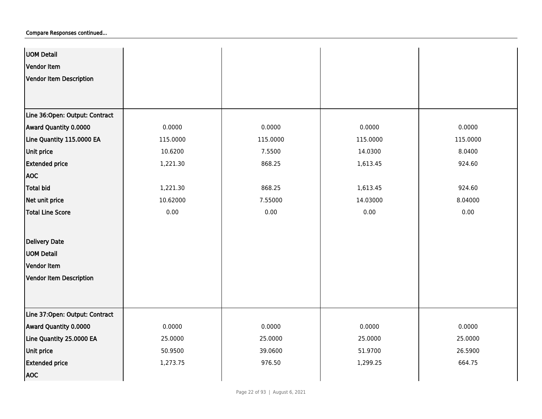| <b>UOM Detail</b>              |          |          |          |          |
|--------------------------------|----------|----------|----------|----------|
| Vendor Item                    |          |          |          |          |
| <b>Vendor Item Description</b> |          |          |          |          |
|                                |          |          |          |          |
|                                |          |          |          |          |
| Line 36:Open: Output: Contract |          |          |          |          |
| Award Quantity 0.0000          | 0.0000   | 0.0000   | 0.0000   | 0.0000   |
| Line Quantity 115.0000 EA      | 115.0000 | 115.0000 | 115.0000 | 115.0000 |
| Unit price                     | 10.6200  | 7.5500   | 14.0300  | 8.0400   |
| <b>Extended price</b>          | 1,221.30 | 868.25   | 1,613.45 | 924.60   |
| <b>AOC</b>                     |          |          |          |          |
| Total bid                      | 1,221.30 | 868.25   | 1,613.45 | 924.60   |
| Net unit price                 | 10.62000 | 7.55000  | 14.03000 | 8.04000  |
| <b>Total Line Score</b>        | 0.00     | 0.00     | 0.00     | 0.00     |
|                                |          |          |          |          |
| Delivery Date                  |          |          |          |          |
| <b>UOM Detail</b>              |          |          |          |          |
| Vendor Item                    |          |          |          |          |
| <b>Vendor Item Description</b> |          |          |          |          |
|                                |          |          |          |          |
|                                |          |          |          |          |
| Line 37:Open: Output: Contract |          |          |          |          |
| Award Quantity 0.0000          | 0.0000   | 0.0000   | 0.0000   | 0.0000   |
| Line Quantity 25.0000 EA       | 25.0000  | 25.0000  | 25.0000  | 25.0000  |
| Unit price                     | 50.9500  | 39.0600  | 51.9700  | 26.5900  |
| <b>Extended price</b>          | 1,273.75 | 976.50   | 1,299.25 | 664.75   |
| <b>AOC</b>                     |          |          |          |          |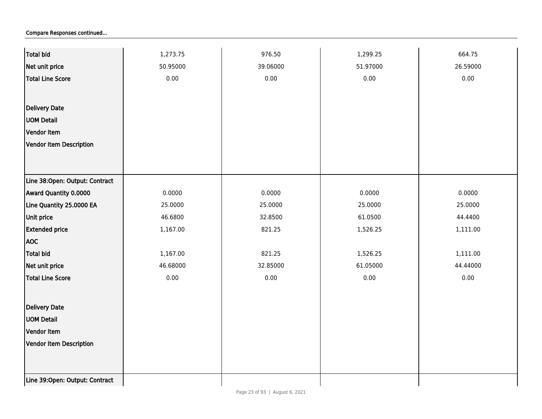| <b>Total bid</b>               | 1,273.75 | 976.50   | 1,299.25 | 664.75   |
|--------------------------------|----------|----------|----------|----------|
| Net unit price                 | 50.95000 | 39.06000 | 51.97000 | 26.59000 |
| <b>Total Line Score</b>        | 0.00     | 0.00     | 0.00     | 0.00     |
|                                |          |          |          |          |
| Delivery Date                  |          |          |          |          |
| <b>UOM Detail</b>              |          |          |          |          |
| Vendor Item                    |          |          |          |          |
| Vendor Item Description        |          |          |          |          |
|                                |          |          |          |          |
|                                |          |          |          |          |
| Line 38:Open: Output: Contract |          |          |          |          |
| Award Quantity 0.0000          | 0.0000   | 0.0000   | 0.0000   | 0.0000   |
| Line Quantity 25.0000 EA       | 25.0000  | 25.0000  | 25.0000  | 25.0000  |
| Unit price                     | 46.6800  | 32.8500  | 61.0500  | 44.4400  |
| <b>Extended price</b>          | 1,167.00 | 821.25   | 1,526.25 | 1,111.00 |
| <b>AOC</b>                     |          |          |          |          |
| <b>Total bid</b>               | 1,167.00 | 821.25   | 1,526.25 | 1,111.00 |
| Net unit price                 | 46.68000 | 32.85000 | 61.05000 | 44.44000 |
| <b>Total Line Score</b>        | $0.00\,$ | 0.00     | 0.00     | 0.00     |
|                                |          |          |          |          |
| Delivery Date                  |          |          |          |          |
| <b>UOM Detail</b>              |          |          |          |          |
| Vendor Item                    |          |          |          |          |
| <b>Vendor Item Description</b> |          |          |          |          |
|                                |          |          |          |          |
|                                |          |          |          |          |
| Line 39:Open: Output: Contract |          |          |          |          |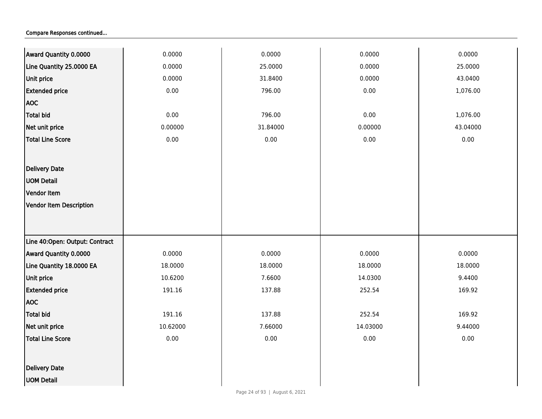| Award Quantity 0.0000          | 0.0000   | 0.0000   | 0.0000   | 0.0000   |
|--------------------------------|----------|----------|----------|----------|
| Line Quantity 25.0000 EA       | 0.0000   | 25.0000  | 0.0000   | 25.0000  |
| Unit price                     | 0.0000   | 31.8400  | 0.0000   | 43.0400  |
| <b>Extended price</b>          | 0.00     | 796.00   | 0.00     | 1,076.00 |
| <b>AOC</b>                     |          |          |          |          |
| Total bid                      | 0.00     | 796.00   | 0.00     | 1,076.00 |
| Net unit price                 | 0.00000  | 31.84000 | 0.00000  | 43.04000 |
| <b>Total Line Score</b>        | 0.00     | 0.00     | 0.00     | $0.00\,$ |
|                                |          |          |          |          |
| <b>Delivery Date</b>           |          |          |          |          |
| <b>UOM Detail</b>              |          |          |          |          |
| <b>Vendor Item</b>             |          |          |          |          |
| Vendor Item Description        |          |          |          |          |
|                                |          |          |          |          |
|                                |          |          |          |          |
| Line 40:Open: Output: Contract |          |          |          |          |
| Award Quantity 0.0000          | 0.0000   | 0.0000   | 0.0000   | 0.0000   |
| Line Quantity 18.0000 EA       | 18.0000  | 18.0000  | 18.0000  | 18.0000  |
| Unit price                     | 10.6200  | 7.6600   | 14.0300  | 9.4400   |
| <b>Extended price</b>          | 191.16   | 137.88   | 252.54   | 169.92   |
| <b>AOC</b>                     |          |          |          |          |
| Total bid                      | 191.16   | 137.88   | 252.54   | 169.92   |
| Net unit price                 | 10.62000 | 7.66000  | 14.03000 | 9.44000  |
| <b>Total Line Score</b>        | 0.00     | 0.00     | 0.00     | 0.00     |
|                                |          |          |          |          |
| <b>Delivery Date</b>           |          |          |          |          |
| <b>UOM Detail</b>              |          |          |          |          |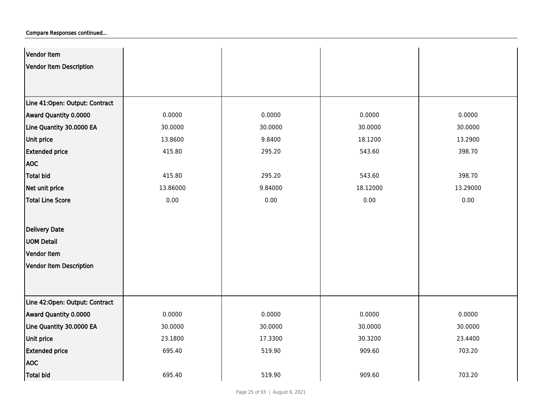| Vendor Item                    |          |         |          |          |
|--------------------------------|----------|---------|----------|----------|
| <b>Vendor Item Description</b> |          |         |          |          |
|                                |          |         |          |          |
|                                |          |         |          |          |
| Line 41:Open: Output: Contract |          |         |          |          |
| Award Quantity 0.0000          | 0.0000   | 0.0000  | 0.0000   | 0.0000   |
| Line Quantity 30.0000 EA       | 30.0000  | 30.0000 | 30.0000  | 30.0000  |
| Unit price                     | 13.8600  | 9.8400  | 18.1200  | 13.2900  |
| <b>Extended price</b>          | 415.80   | 295.20  | 543.60   | 398.70   |
| <b>AOC</b>                     |          |         |          |          |
| <b>Total bid</b>               | 415.80   | 295.20  | 543.60   | 398.70   |
| Net unit price                 | 13.86000 | 9.84000 | 18.12000 | 13.29000 |
| <b>Total Line Score</b>        | 0.00     | 0.00    | 0.00     | 0.00     |
|                                |          |         |          |          |
| <b>Delivery Date</b>           |          |         |          |          |
| <b>UOM Detail</b>              |          |         |          |          |
| Vendor Item                    |          |         |          |          |
| <b>Vendor Item Description</b> |          |         |          |          |
|                                |          |         |          |          |
|                                |          |         |          |          |
| Line 42:Open: Output: Contract |          |         |          |          |
| Award Quantity 0.0000          | 0.0000   | 0.0000  | 0.0000   | 0.0000   |
| Line Quantity 30.0000 EA       | 30.0000  | 30.0000 | 30.0000  | 30.0000  |
| Unit price                     | 23.1800  | 17.3300 | 30.3200  | 23.4400  |
| <b>Extended price</b>          | 695.40   | 519.90  | 909.60   | 703.20   |
| <b>AOC</b>                     |          |         |          |          |
| <b>Total bid</b>               | 695.40   | 519.90  | 909.60   | 703.20   |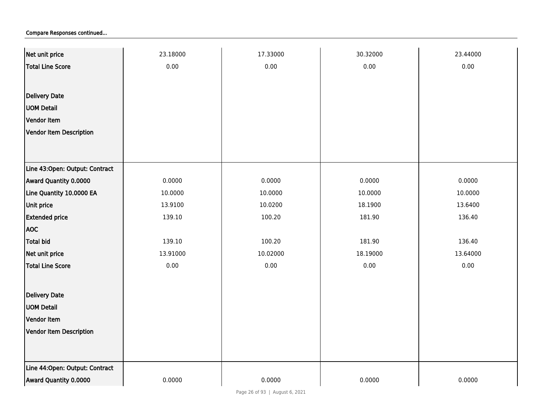| Net unit price                 | 23.18000 | 17.33000 | 30.32000 | 23.44000 |
|--------------------------------|----------|----------|----------|----------|
| <b>Total Line Score</b>        | 0.00     | 0.00     | 0.00     | 0.00     |
|                                |          |          |          |          |
| <b>Delivery Date</b>           |          |          |          |          |
| <b>UOM Detail</b>              |          |          |          |          |
| Vendor Item                    |          |          |          |          |
| Vendor Item Description        |          |          |          |          |
|                                |          |          |          |          |
|                                |          |          |          |          |
| Line 43:Open: Output: Contract |          |          |          |          |
| Award Quantity 0.0000          | 0.0000   | 0.0000   | 0.0000   | 0.0000   |
| Line Quantity 10.0000 EA       | 10.0000  | 10.0000  | 10.0000  | 10.0000  |
| Unit price                     | 13.9100  | 10.0200  | 18.1900  | 13.6400  |
| <b>Extended price</b>          | 139.10   | 100.20   | 181.90   | 136.40   |
| <b>AOC</b>                     |          |          |          |          |
| <b>Total bid</b>               | 139.10   | 100.20   | 181.90   | 136.40   |
| Net unit price                 | 13.91000 | 10.02000 | 18.19000 | 13.64000 |
| <b>Total Line Score</b>        | 0.00     | 0.00     | 0.00     | 0.00     |
|                                |          |          |          |          |
| Delivery Date                  |          |          |          |          |
| <b>UOM Detail</b>              |          |          |          |          |
| Vendor Item                    |          |          |          |          |
| <b>Vendor Item Description</b> |          |          |          |          |
|                                |          |          |          |          |
| Line 44:Open: Output: Contract |          |          |          |          |
|                                |          |          |          |          |
| Award Quantity 0.0000          | 0.0000   | 0.0000   | 0.0000   | 0.0000   |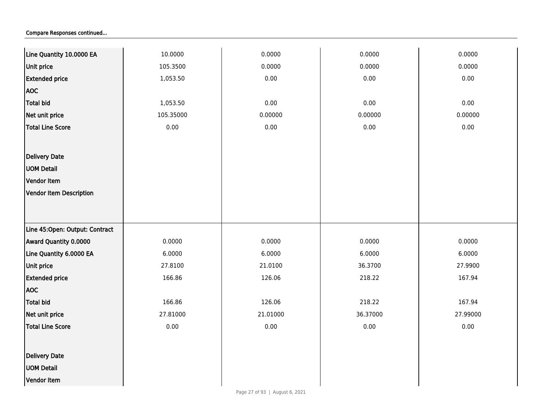| Line Quantity 10.0000 EA       | 10.0000   | 0.0000   | 0.0000   | 0.0000   |
|--------------------------------|-----------|----------|----------|----------|
| <b>Unit price</b>              | 105.3500  | 0.0000   | 0.0000   | 0.0000   |
| <b>Extended price</b>          | 1,053.50  | 0.00     | 0.00     | 0.00     |
| <b>AOC</b>                     |           |          |          |          |
| <b>Total bid</b>               | 1,053.50  | $0.00\,$ | 0.00     | 0.00     |
| Net unit price                 | 105.35000 | 0.00000  | 0.00000  | 0.00000  |
| <b>Total Line Score</b>        | 0.00      | $0.00\,$ | $0.00\,$ | 0.00     |
|                                |           |          |          |          |
| Delivery Date                  |           |          |          |          |
| <b>UOM Detail</b>              |           |          |          |          |
| Vendor Item                    |           |          |          |          |
| <b>Vendor Item Description</b> |           |          |          |          |
|                                |           |          |          |          |
|                                |           |          |          |          |
| Line 45:Open: Output: Contract |           |          |          |          |
| Award Quantity 0.0000          | 0.0000    | 0.0000   | 0.0000   | 0.0000   |
| Line Quantity 6.0000 EA        | 6.0000    | 6.0000   | 6.0000   | 6.0000   |
| Unit price                     | 27.8100   | 21.0100  | 36.3700  | 27.9900  |
| <b>Extended price</b>          | 166.86    | 126.06   | 218.22   | 167.94   |
| <b>AOC</b>                     |           |          |          |          |
| <b>Total bid</b>               | 166.86    | 126.06   | 218.22   | 167.94   |
| Net unit price                 | 27.81000  | 21.01000 | 36.37000 | 27.99000 |
| <b>Total Line Score</b>        | $0.00\,$  | $0.00\,$ | 0.00     | 0.00     |
|                                |           |          |          |          |
| Delivery Date                  |           |          |          |          |
| <b>UOM Detail</b>              |           |          |          |          |
| Vendor Item                    |           |          |          |          |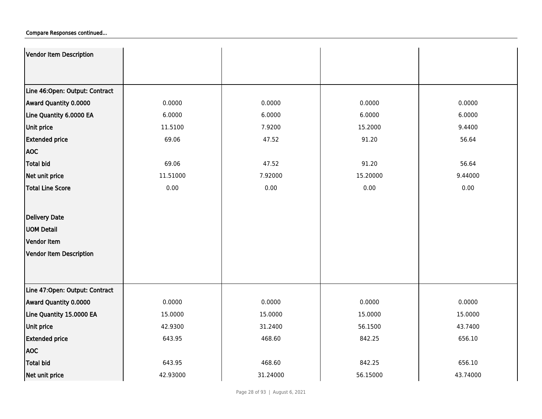| Vendor Item Description        |          |          |          |          |
|--------------------------------|----------|----------|----------|----------|
|                                |          |          |          |          |
| Line 46:Open: Output: Contract |          |          |          |          |
| Award Quantity 0.0000          | 0.0000   | 0.0000   | 0.0000   | 0.0000   |
| Line Quantity 6.0000 EA        | 6.0000   | 6.0000   | 6.0000   | 6.0000   |
| <b>Unit price</b>              | 11.5100  | 7.9200   | 15.2000  | 9.4400   |
| <b>Extended price</b>          | 69.06    | 47.52    | 91.20    | 56.64    |
| <b>AOC</b>                     |          |          |          |          |
| <b>Total bid</b>               | 69.06    | 47.52    | 91.20    | 56.64    |
| Net unit price                 | 11.51000 | 7.92000  | 15.20000 | 9.44000  |
| <b>Total Line Score</b>        | 0.00     | 0.00     | 0.00     | 0.00     |
|                                |          |          |          |          |
| Delivery Date                  |          |          |          |          |
| <b>UOM Detail</b>              |          |          |          |          |
| Vendor Item                    |          |          |          |          |
| Vendor Item Description        |          |          |          |          |
|                                |          |          |          |          |
|                                |          |          |          |          |
| Line 47:Open: Output: Contract |          |          |          |          |
| Award Quantity 0.0000          | 0.0000   | 0.0000   | 0.0000   | 0.0000   |
| Line Quantity 15.0000 EA       | 15.0000  | 15.0000  | 15.0000  | 15.0000  |
| <b>Unit price</b>              | 42.9300  | 31.2400  | 56.1500  | 43.7400  |
| <b>Extended price</b>          | 643.95   | 468.60   | 842.25   | 656.10   |
| <b>AOC</b>                     |          |          |          |          |
| <b>Total bid</b>               | 643.95   | 468.60   | 842.25   | 656.10   |
| Net unit price                 | 42.93000 | 31.24000 | 56.15000 | 43.74000 |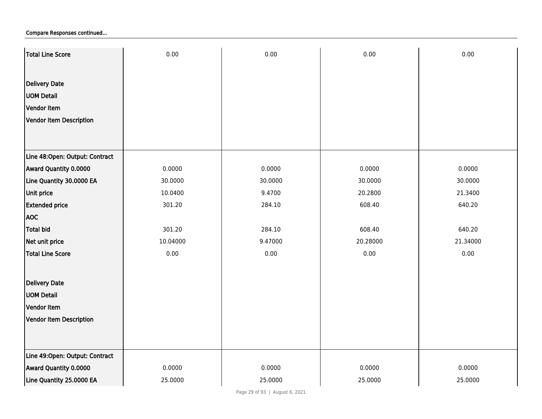| Total Line Score               | 0.00     | 0.00    | 0.00     | 0.00     |
|--------------------------------|----------|---------|----------|----------|
|                                |          |         |          |          |
| <b>Delivery Date</b>           |          |         |          |          |
| <b>UOM Detail</b>              |          |         |          |          |
| Vendor Item                    |          |         |          |          |
| Vendor Item Description        |          |         |          |          |
|                                |          |         |          |          |
|                                |          |         |          |          |
| Line 48:Open: Output: Contract |          |         |          |          |
| Award Quantity 0.0000          | 0.0000   | 0.0000  | 0.0000   | 0.0000   |
| Line Quantity 30.0000 EA       | 30.0000  | 30.0000 | 30.0000  | 30.0000  |
| Unit price                     | 10.0400  | 9.4700  | 20.2800  | 21.3400  |
| <b>Extended price</b>          | 301.20   | 284.10  | 608.40   | 640.20   |
| <b>AOC</b>                     |          |         |          |          |
| <b>Total bid</b>               | 301.20   | 284.10  | 608.40   | 640.20   |
| Net unit price                 | 10.04000 | 9.47000 | 20.28000 | 21.34000 |
| <b>Total Line Score</b>        | 0.00     | 0.00    | 0.00     | 0.00     |
|                                |          |         |          |          |
| <b>Delivery Date</b>           |          |         |          |          |
| <b>UOM Detail</b>              |          |         |          |          |
| Vendor Item                    |          |         |          |          |
| Vendor Item Description        |          |         |          |          |
|                                |          |         |          |          |
|                                |          |         |          |          |
| Line 49:Open: Output: Contract |          |         |          |          |
| Award Quantity 0.0000          | 0.0000   | 0.0000  | 0.0000   | 0.0000   |
| Line Quantity 25.0000 EA       | 25.0000  | 25.0000 | 25.0000  | 25.0000  |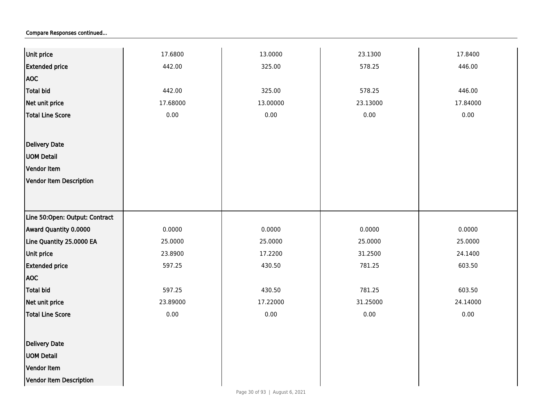| Unit price                     | 17.6800  | 13.0000  | 23.1300  | 17.8400  |
|--------------------------------|----------|----------|----------|----------|
| <b>Extended price</b>          | 442.00   | 325.00   | 578.25   | 446.00   |
| <b>AOC</b>                     |          |          |          |          |
| <b>Total bid</b>               | 442.00   | 325.00   | 578.25   | 446.00   |
| Net unit price                 | 17.68000 | 13.00000 | 23.13000 | 17.84000 |
| Total Line Score               | 0.00     | 0.00     | 0.00     | 0.00     |
|                                |          |          |          |          |
| <b>Delivery Date</b>           |          |          |          |          |
| <b>UOM Detail</b>              |          |          |          |          |
| Vendor Item                    |          |          |          |          |
| Vendor Item Description        |          |          |          |          |
|                                |          |          |          |          |
|                                |          |          |          |          |
| Line 50:Open: Output: Contract |          |          |          |          |
| Award Quantity 0.0000          | 0.0000   | 0.0000   | 0.0000   | 0.0000   |
| Line Quantity 25.0000 EA       | 25.0000  | 25.0000  | 25.0000  | 25.0000  |
| Unit price                     | 23.8900  | 17.2200  | 31.2500  | 24.1400  |
| <b>Extended price</b>          | 597.25   | 430.50   | 781.25   | 603.50   |
| <b>AOC</b>                     |          |          |          |          |
| Total bid                      | 597.25   | 430.50   | 781.25   | 603.50   |
| Net unit price                 | 23.89000 | 17.22000 | 31.25000 | 24.14000 |
| Total Line Score               | 0.00     | 0.00     | 0.00     | 0.00     |
|                                |          |          |          |          |
| Delivery Date                  |          |          |          |          |
| <b>UOM Detail</b>              |          |          |          |          |
| Vendor Item                    |          |          |          |          |
| Vendor Item Description        |          |          |          |          |
|                                |          |          |          |          |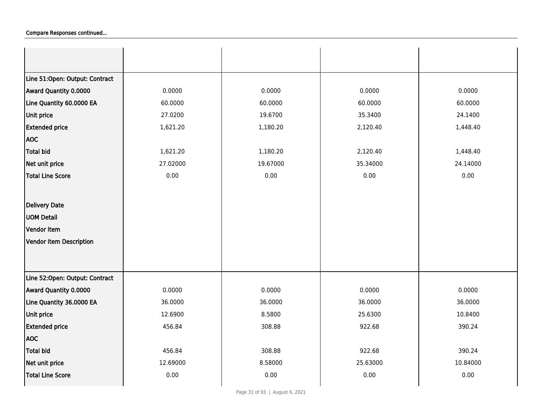| Line 51:Open: Output: Contract |          |          |          |          |
|--------------------------------|----------|----------|----------|----------|
| Award Quantity 0.0000          | 0.0000   | 0.0000   | 0.0000   | 0.0000   |
| Line Quantity 60.0000 EA       | 60.0000  | 60.0000  | 60.0000  | 60.0000  |
| <b>Unit price</b>              | 27.0200  | 19.6700  | 35.3400  | 24.1400  |
| <b>Extended price</b>          | 1,621.20 | 1,180.20 | 2,120.40 | 1,448.40 |
| <b>AOC</b>                     |          |          |          |          |
| <b>Total bid</b>               | 1,621.20 | 1,180.20 | 2,120.40 | 1,448.40 |
| Net unit price                 | 27.02000 | 19.67000 | 35.34000 | 24.14000 |
| <b>Total Line Score</b>        | 0.00     | 0.00     | 0.00     | 0.00     |
|                                |          |          |          |          |
| Delivery Date                  |          |          |          |          |
| <b>UOM Detail</b>              |          |          |          |          |
| <b>Vendor Item</b>             |          |          |          |          |
| Vendor Item Description        |          |          |          |          |
|                                |          |          |          |          |
|                                |          |          |          |          |
| Line 52:Open: Output: Contract |          |          |          |          |
| Award Quantity 0.0000          | 0.0000   | 0.0000   | 0.0000   | 0.0000   |
| Line Quantity 36.0000 EA       | 36.0000  | 36.0000  | 36.0000  | 36.0000  |
| Unit price                     | 12.6900  | 8.5800   | 25.6300  | 10.8400  |
| <b>Extended price</b>          | 456.84   | 308.88   | 922.68   | 390.24   |
| <b>AOC</b>                     |          |          |          |          |
| <b>Total bid</b>               | 456.84   | 308.88   | 922.68   | 390.24   |
| Net unit price                 | 12.69000 | 8.58000  | 25.63000 | 10.84000 |
| <b>Total Line Score</b>        | 0.00     | 0.00     | 0.00     | 0.00     |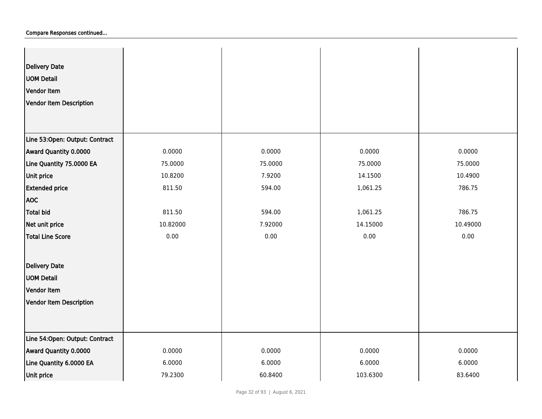| <b>Delivery Date</b><br><b>UOM Detail</b><br>Vendor Item<br>Vendor Item Description |          |         |          |          |
|-------------------------------------------------------------------------------------|----------|---------|----------|----------|
| Line 53:Open: Output: Contract                                                      |          |         |          |          |
| Award Quantity 0.0000                                                               | 0.0000   | 0.0000  | 0.0000   | 0.0000   |
| Line Quantity 75.0000 EA                                                            | 75.0000  | 75.0000 | 75.0000  | 75.0000  |
| Unit price                                                                          | 10.8200  | 7.9200  | 14.1500  | 10.4900  |
| <b>Extended price</b>                                                               | 811.50   | 594.00  | 1,061.25 | 786.75   |
| <b>AOC</b>                                                                          |          |         |          |          |
| Total bid                                                                           | 811.50   | 594.00  | 1,061.25 | 786.75   |
| Net unit price                                                                      | 10.82000 | 7.92000 | 14.15000 | 10.49000 |
| Total Line Score                                                                    | 0.00     | 0.00    | 0.00     | 0.00     |
| <b>Delivery Date</b>                                                                |          |         |          |          |
| <b>UOM Detail</b>                                                                   |          |         |          |          |
| Vendor Item                                                                         |          |         |          |          |
| Vendor Item Description                                                             |          |         |          |          |
|                                                                                     |          |         |          |          |
| Line 54: Open: Output: Contract                                                     |          |         |          |          |
| Award Quantity 0.0000                                                               | 0.0000   | 0.0000  | 0.0000   | 0.0000   |
| Line Quantity 6.0000 EA                                                             | 6.0000   | 6.0000  | 6.0000   | 6.0000   |
| Unit price                                                                          | 79.2300  | 60.8400 | 103.6300 | 83.6400  |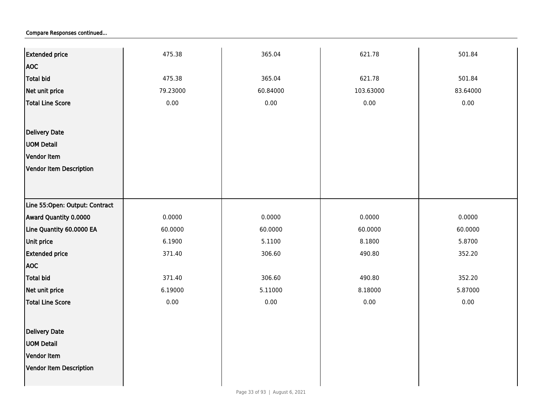| <b>Extended price</b>          | 475.38   | 365.04   | 621.78    | 501.84   |
|--------------------------------|----------|----------|-----------|----------|
| <b>AOC</b>                     |          |          |           |          |
| <b>Total bid</b>               | 475.38   | 365.04   | 621.78    | 501.84   |
| Net unit price                 | 79.23000 | 60.84000 | 103.63000 | 83.64000 |
| <b>Total Line Score</b>        | 0.00     | 0.00     | 0.00      | 0.00     |
|                                |          |          |           |          |
|                                |          |          |           |          |
| Delivery Date                  |          |          |           |          |
| <b>UOM Detail</b>              |          |          |           |          |
| Vendor Item                    |          |          |           |          |
| Vendor Item Description        |          |          |           |          |
|                                |          |          |           |          |
| Line 55:Open: Output: Contract |          |          |           |          |
| Award Quantity 0.0000          | 0.0000   | 0.0000   | 0.0000    | 0.0000   |
| Line Quantity 60.0000 EA       | 60.0000  | 60.0000  | 60.0000   | 60.0000  |
| <b>Unit price</b>              | 6.1900   | 5.1100   | 8.1800    | 5.8700   |
| <b>Extended price</b>          | 371.40   | 306.60   | 490.80    | 352.20   |
| <b>AOC</b>                     |          |          |           |          |
| Total bid                      | 371.40   | 306.60   | 490.80    | 352.20   |
| Net unit price                 | 6.19000  | 5.11000  | 8.18000   | 5.87000  |
| <b>Total Line Score</b>        | 0.00     | 0.00     | $0.00\,$  | 0.00     |
|                                |          |          |           |          |
| Delivery Date                  |          |          |           |          |
| <b>UOM Detail</b>              |          |          |           |          |
| Vendor Item                    |          |          |           |          |
| Vendor Item Description        |          |          |           |          |
|                                |          |          |           |          |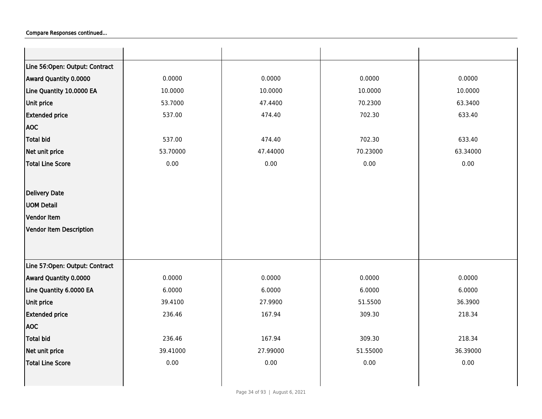| Line 56:Open: Output: Contract |          |          |          |          |
|--------------------------------|----------|----------|----------|----------|
| Award Quantity 0.0000          | 0.0000   | 0.0000   | 0.0000   | 0.0000   |
| Line Quantity 10.0000 EA       | 10.0000  | 10.0000  | 10.0000  | 10.0000  |
| Unit price                     | 53.7000  | 47.4400  | 70.2300  | 63.3400  |
| <b>Extended price</b>          | 537.00   | 474.40   | 702.30   | 633.40   |
| <b>AOC</b>                     |          |          |          |          |
| <b>Total bid</b>               | 537.00   | 474.40   | 702.30   | 633.40   |
| Net unit price                 | 53.70000 | 47.44000 | 70.23000 | 63.34000 |
| <b>Total Line Score</b>        | 0.00     | 0.00     | 0.00     | 0.00     |
|                                |          |          |          |          |
| Delivery Date                  |          |          |          |          |
| <b>UOM Detail</b>              |          |          |          |          |
| Vendor Item                    |          |          |          |          |
| Vendor Item Description        |          |          |          |          |
|                                |          |          |          |          |
|                                |          |          |          |          |
| Line 57:Open: Output: Contract |          |          |          |          |
| Award Quantity 0.0000          | 0.0000   | 0.0000   | 0.0000   | 0.0000   |
| Line Quantity 6.0000 EA        | 6.0000   | 6.0000   | 6.0000   | 6.0000   |
| Unit price                     | 39.4100  | 27.9900  | 51.5500  | 36.3900  |
| <b>Extended price</b>          | 236.46   | 167.94   | 309.30   | 218.34   |
| <b>AOC</b>                     |          |          |          |          |
| Total bid                      | 236.46   | 167.94   | 309.30   | 218.34   |
| Net unit price                 | 39.41000 | 27.99000 | 51.55000 | 36.39000 |
| Total Line Score               | 0.00     | 0.00     | 0.00     | $0.00\,$ |
|                                |          |          |          |          |
|                                |          |          |          |          |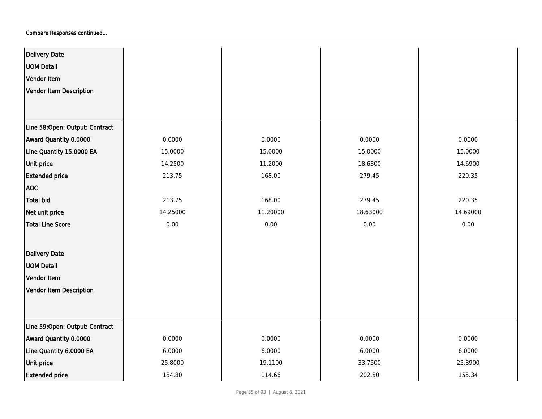| <b>Delivery Date</b>           |          |          |          |          |
|--------------------------------|----------|----------|----------|----------|
| <b>UOM Detail</b>              |          |          |          |          |
| Vendor Item                    |          |          |          |          |
| Vendor Item Description        |          |          |          |          |
|                                |          |          |          |          |
|                                |          |          |          |          |
| Line 58:Open: Output: Contract |          |          |          |          |
| Award Quantity 0.0000          | 0.0000   | 0.0000   | 0.0000   | 0.0000   |
| Line Quantity 15.0000 EA       | 15.0000  | 15.0000  | 15.0000  | 15.0000  |
| Unit price                     | 14.2500  | 11.2000  | 18.6300  | 14.6900  |
| <b>Extended price</b>          | 213.75   | 168.00   | 279.45   | 220.35   |
| <b>AOC</b>                     |          |          |          |          |
| Total bid                      | 213.75   | 168.00   | 279.45   | 220.35   |
| Net unit price                 | 14.25000 | 11.20000 | 18.63000 | 14.69000 |
| <b>Total Line Score</b>        | 0.00     | 0.00     | 0.00     | 0.00     |
|                                |          |          |          |          |
| <b>Delivery Date</b>           |          |          |          |          |
| <b>UOM Detail</b>              |          |          |          |          |
| Vendor Item                    |          |          |          |          |
| Vendor Item Description        |          |          |          |          |
|                                |          |          |          |          |
|                                |          |          |          |          |
| Line 59:Open: Output: Contract |          |          |          |          |
| Award Quantity 0.0000          | 0.0000   | 0.0000   | 0.0000   | 0.0000   |
| Line Quantity 6.0000 EA        | 6.0000   | 6.0000   | 6.0000   | 6.0000   |
| Unit price                     | 25.8000  | 19.1100  | 33.7500  | 25.8900  |
| <b>Extended price</b>          | 154.80   | 114.66   | 202.50   | 155.34   |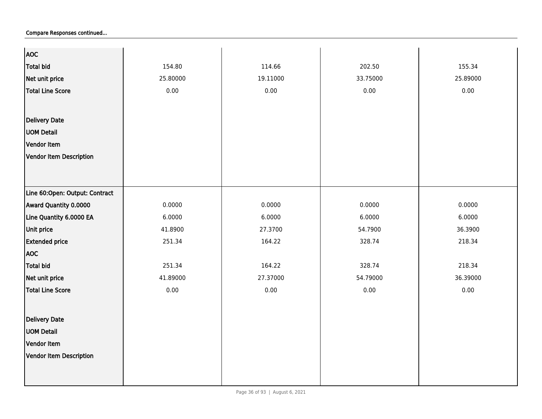| <b>AOC</b>                     |          |          |          |          |
|--------------------------------|----------|----------|----------|----------|
| <b>Total bid</b>               | 154.80   | 114.66   | 202.50   | 155.34   |
| Net unit price                 | 25.80000 | 19.11000 | 33.75000 | 25.89000 |
| <b>Total Line Score</b>        | 0.00     | 0.00     | 0.00     | 0.00     |
|                                |          |          |          |          |
| <b>Delivery Date</b>           |          |          |          |          |
| <b>UOM Detail</b>              |          |          |          |          |
|                                |          |          |          |          |
| Vendor Item                    |          |          |          |          |
| <b>Vendor Item Description</b> |          |          |          |          |
|                                |          |          |          |          |
|                                |          |          |          |          |
| Line 60:Open: Output: Contract |          |          |          |          |
| Award Quantity 0.0000          | 0.0000   | 0.0000   | 0.0000   | 0.0000   |
| Line Quantity 6.0000 EA        | 6.0000   | 6.0000   | 6.0000   | 6.0000   |
| Unit price                     | 41.8900  | 27.3700  | 54.7900  | 36.3900  |
| <b>Extended price</b>          | 251.34   | 164.22   | 328.74   | 218.34   |
| <b>AOC</b>                     |          |          |          |          |
| <b>Total bid</b>               | 251.34   | 164.22   | 328.74   | 218.34   |
| Net unit price                 | 41.89000 | 27.37000 | 54.79000 | 36.39000 |
| <b>Total Line Score</b>        | 0.00     | 0.00     | 0.00     | 0.00     |
|                                |          |          |          |          |
| <b>Delivery Date</b>           |          |          |          |          |
| <b>UOM Detail</b>              |          |          |          |          |
| Vendor Item                    |          |          |          |          |
| <b>Vendor Item Description</b> |          |          |          |          |
|                                |          |          |          |          |
|                                |          |          |          |          |
|                                |          |          |          |          |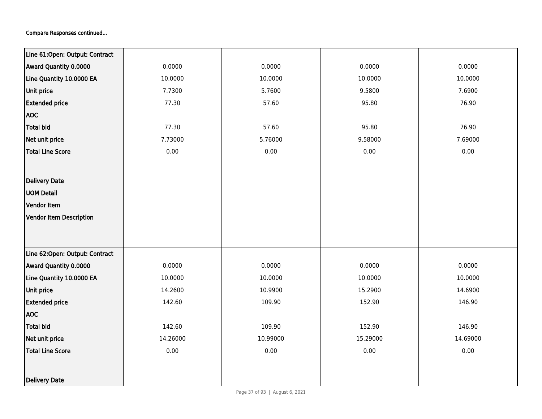| Line 61:Open: Output: Contract |          |          |          |          |
|--------------------------------|----------|----------|----------|----------|
| Award Quantity 0.0000          | 0.0000   | 0.0000   | 0.0000   | 0.0000   |
| Line Quantity 10.0000 EA       | 10.0000  | 10.0000  | 10.0000  | 10.0000  |
| Unit price                     | 7.7300   | 5.7600   | 9.5800   | 7.6900   |
| <b>Extended price</b>          | 77.30    | 57.60    | 95.80    | 76.90    |
| <b>AOC</b>                     |          |          |          |          |
| <b>Total bid</b>               | 77.30    | 57.60    | 95.80    | 76.90    |
| Net unit price                 | 7.73000  | 5.76000  | 9.58000  | 7.69000  |
| <b>Total Line Score</b>        | 0.00     | 0.00     | 0.00     | 0.00     |
|                                |          |          |          |          |
| <b>Delivery Date</b>           |          |          |          |          |
| <b>UOM Detail</b>              |          |          |          |          |
| Vendor Item                    |          |          |          |          |
| <b>Vendor Item Description</b> |          |          |          |          |
|                                |          |          |          |          |
|                                |          |          |          |          |
| Line 62:Open: Output: Contract |          |          |          |          |
| Award Quantity 0.0000          | 0.0000   | 0.0000   | 0.0000   | 0.0000   |
| Line Quantity 10.0000 EA       | 10.0000  | 10.0000  | 10.0000  | 10.0000  |
| Unit price                     | 14.2600  | 10.9900  | 15.2900  | 14.6900  |
| <b>Extended price</b>          | 142.60   | 109.90   | 152.90   | 146.90   |
| <b>AOC</b>                     |          |          |          |          |
| <b>Total bid</b>               | 142.60   | 109.90   | 152.90   | 146.90   |
| Net unit price                 | 14.26000 | 10.99000 | 15.29000 | 14.69000 |
| <b>Total Line Score</b>        | 0.00     | 0.00     | 0.00     | 0.00     |
|                                |          |          |          |          |
| Delivery Date                  |          |          |          |          |
|                                |          |          |          |          |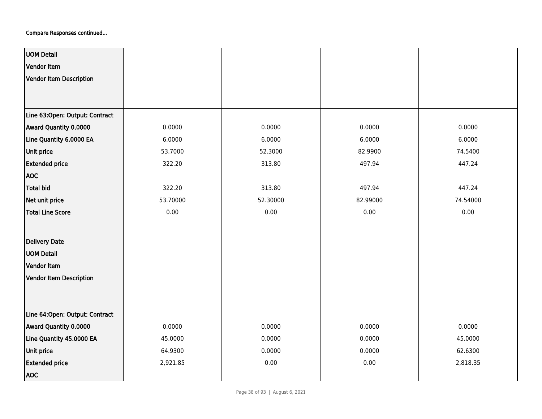| <b>UOM Detail</b>              |          |          |          |          |
|--------------------------------|----------|----------|----------|----------|
| Vendor Item                    |          |          |          |          |
| Vendor Item Description        |          |          |          |          |
|                                |          |          |          |          |
|                                |          |          |          |          |
| Line 63:Open: Output: Contract |          |          |          |          |
| Award Quantity 0.0000          | 0.0000   | 0.0000   | 0.0000   | 0.0000   |
| Line Quantity 6.0000 EA        | 6.0000   | 6.0000   | 6.0000   | 6.0000   |
| Unit price                     | 53.7000  | 52.3000  | 82.9900  | 74.5400  |
| <b>Extended price</b>          | 322.20   | 313.80   | 497.94   | 447.24   |
| <b>AOC</b>                     |          |          |          |          |
| Total bid                      | 322.20   | 313.80   | 497.94   | 447.24   |
| Net unit price                 | 53.70000 | 52.30000 | 82.99000 | 74.54000 |
| <b>Total Line Score</b>        | 0.00     | 0.00     | 0.00     | 0.00     |
|                                |          |          |          |          |
| <b>Delivery Date</b>           |          |          |          |          |
| <b>UOM Detail</b>              |          |          |          |          |
| Vendor Item                    |          |          |          |          |
| Vendor Item Description        |          |          |          |          |
|                                |          |          |          |          |
|                                |          |          |          |          |
| Line 64:Open: Output: Contract |          |          |          |          |
| Award Quantity 0.0000          | 0.0000   | 0.0000   | 0.0000   | 0.0000   |
| Line Quantity 45.0000 EA       | 45.0000  | 0.0000   | 0.0000   | 45.0000  |
| Unit price                     | 64.9300  | 0.0000   | 0.0000   | 62.6300  |
| <b>Extended price</b>          | 2,921.85 | 0.00     | 0.00     | 2,818.35 |
| <b>AOC</b>                     |          |          |          |          |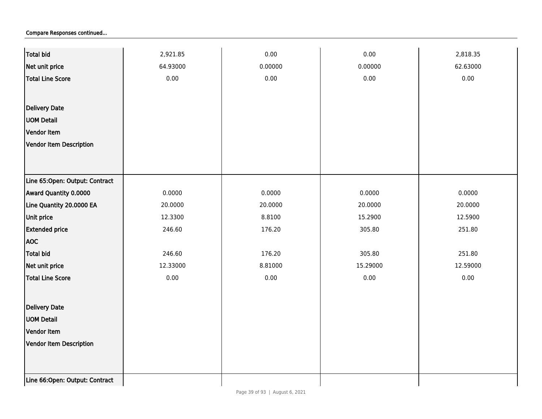| <b>Total bid</b>               | 2,921.85 | 0.00    | 0.00     | 2,818.35 |
|--------------------------------|----------|---------|----------|----------|
| Net unit price                 | 64.93000 | 0.00000 | 0.00000  | 62.63000 |
| <b>Total Line Score</b>        | 0.00     | 0.00    | 0.00     | 0.00     |
|                                |          |         |          |          |
| Delivery Date                  |          |         |          |          |
| <b>UOM Detail</b>              |          |         |          |          |
| Vendor Item                    |          |         |          |          |
| <b>Vendor Item Description</b> |          |         |          |          |
|                                |          |         |          |          |
|                                |          |         |          |          |
| Line 65:Open: Output: Contract |          |         |          |          |
| Award Quantity 0.0000          | 0.0000   | 0.0000  | 0.0000   | 0.0000   |
| Line Quantity 20.0000 EA       | 20.0000  | 20.0000 | 20.0000  | 20.0000  |
| Unit price                     | 12.3300  | 8.8100  | 15.2900  | 12.5900  |
| <b>Extended price</b>          | 246.60   | 176.20  | 305.80   | 251.80   |
| <b>AOC</b>                     |          |         |          |          |
| <b>Total bid</b>               | 246.60   | 176.20  | 305.80   | 251.80   |
| Net unit price                 | 12.33000 | 8.81000 | 15.29000 | 12.59000 |
| <b>Total Line Score</b>        | 0.00     | 0.00    | 0.00     | $0.00\,$ |
|                                |          |         |          |          |
| Delivery Date                  |          |         |          |          |
| <b>UOM Detail</b>              |          |         |          |          |
| Vendor Item                    |          |         |          |          |
| <b>Vendor Item Description</b> |          |         |          |          |
|                                |          |         |          |          |
|                                |          |         |          |          |
| Line 66:Open: Output: Contract |          |         |          |          |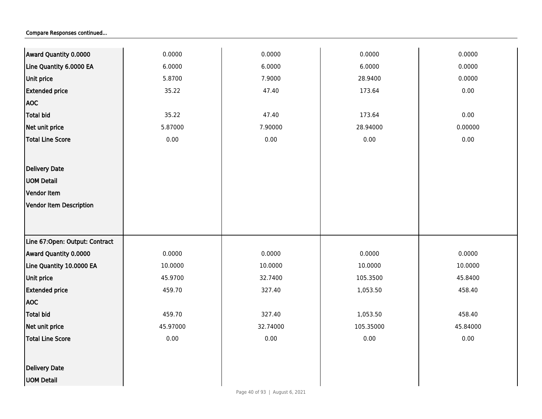| Award Quantity 0.0000          | 0.0000   | 0.0000   | 0.0000    | 0.0000   |
|--------------------------------|----------|----------|-----------|----------|
| Line Quantity 6.0000 EA        | 6.0000   | 6.0000   | 6.0000    | 0.0000   |
| <b>Unit price</b>              | 5.8700   | 7.9000   | 28.9400   | 0.0000   |
| <b>Extended price</b>          | 35.22    | 47.40    | 173.64    | 0.00     |
| <b>AOC</b>                     |          |          |           |          |
| <b>Total bid</b>               | 35.22    | 47.40    | 173.64    | 0.00     |
| Net unit price                 | 5.87000  | 7.90000  | 28.94000  | 0.00000  |
| <b>Total Line Score</b>        | $0.00\,$ | 0.00     | $0.00\,$  | 0.00     |
|                                |          |          |           |          |
| Delivery Date                  |          |          |           |          |
| <b>UOM Detail</b>              |          |          |           |          |
| Vendor Item                    |          |          |           |          |
| Vendor Item Description        |          |          |           |          |
|                                |          |          |           |          |
|                                |          |          |           |          |
| Line 67:Open: Output: Contract |          |          |           |          |
| Award Quantity 0.0000          | 0.0000   | 0.0000   | 0.0000    | 0.0000   |
| Line Quantity 10.0000 EA       | 10.0000  | 10.0000  | 10.0000   | 10.0000  |
| <b>Unit price</b>              | 45.9700  | 32.7400  | 105.3500  | 45.8400  |
| <b>Extended price</b>          | 459.70   | 327.40   | 1,053.50  | 458.40   |
| <b>AOC</b>                     |          |          |           |          |
| Total bid                      | 459.70   | 327.40   | 1,053.50  | 458.40   |
| Net unit price                 | 45.97000 | 32.74000 | 105.35000 | 45.84000 |
| <b>Total Line Score</b>        | $0.00\,$ | 0.00     | $0.00\,$  | 0.00     |
|                                |          |          |           |          |
| Delivery Date                  |          |          |           |          |
| <b>UOM Detail</b>              |          |          |           |          |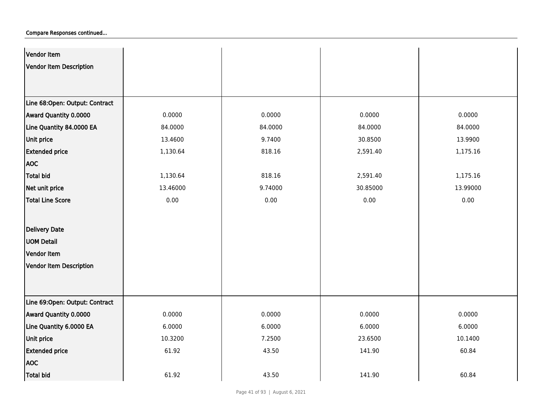| Vendor Item                    |          |         |          |          |
|--------------------------------|----------|---------|----------|----------|
| Vendor Item Description        |          |         |          |          |
|                                |          |         |          |          |
|                                |          |         |          |          |
| Line 68:Open: Output: Contract |          |         |          |          |
| Award Quantity 0.0000          | 0.0000   | 0.0000  | 0.0000   | 0.0000   |
| Line Quantity 84.0000 EA       | 84.0000  | 84.0000 | 84.0000  | 84.0000  |
| Unit price                     | 13.4600  | 9.7400  | 30.8500  | 13.9900  |
| <b>Extended price</b>          | 1,130.64 | 818.16  | 2,591.40 | 1,175.16 |
| <b>AOC</b>                     |          |         |          |          |
| Total bid                      | 1,130.64 | 818.16  | 2,591.40 | 1,175.16 |
| Net unit price                 | 13.46000 | 9.74000 | 30.85000 | 13.99000 |
| Total Line Score               | 0.00     | 0.00    | 0.00     | 0.00     |
|                                |          |         |          |          |
| <b>Delivery Date</b>           |          |         |          |          |
| <b>UOM Detail</b>              |          |         |          |          |
| Vendor Item                    |          |         |          |          |
| Vendor Item Description        |          |         |          |          |
|                                |          |         |          |          |
|                                |          |         |          |          |
| Line 69:Open: Output: Contract |          |         |          |          |
| Award Quantity 0.0000          | 0.0000   | 0.0000  | 0.0000   | 0.0000   |
| Line Quantity 6.0000 EA        | 6.0000   | 6.0000  | 6.0000   | 6.0000   |
| Unit price                     | 10.3200  | 7.2500  | 23.6500  | 10.1400  |
| <b>Extended price</b>          | 61.92    | 43.50   | 141.90   | 60.84    |
| <b>AOC</b>                     |          |         |          |          |
| Total bid                      | 61.92    | 43.50   | 141.90   | 60.84    |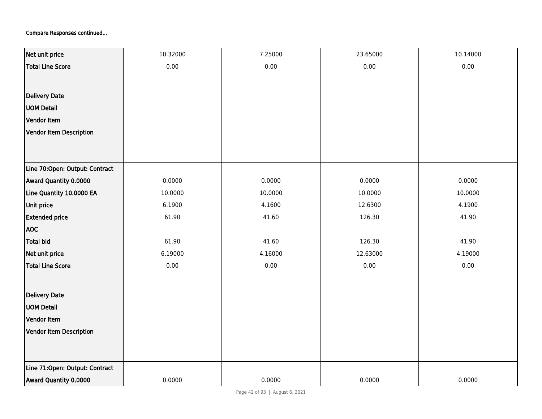| Net unit price                 | 10.32000 | 7.25000 | 23.65000 | 10.14000 |
|--------------------------------|----------|---------|----------|----------|
| <b>Total Line Score</b>        | 0.00     | 0.00    | 0.00     | 0.00     |
|                                |          |         |          |          |
| <b>Delivery Date</b>           |          |         |          |          |
| <b>UOM Detail</b>              |          |         |          |          |
| Vendor Item                    |          |         |          |          |
| Vendor Item Description        |          |         |          |          |
|                                |          |         |          |          |
|                                |          |         |          |          |
| Line 70:Open: Output: Contract |          |         |          |          |
| Award Quantity 0.0000          | 0.0000   | 0.0000  | 0.0000   | 0.0000   |
| Line Quantity 10.0000 EA       | 10.0000  | 10.0000 | 10.0000  | 10.0000  |
| Unit price                     | 6.1900   | 4.1600  | 12.6300  | 4.1900   |
| <b>Extended price</b>          | 61.90    | 41.60   | 126.30   | 41.90    |
| <b>AOC</b>                     |          |         |          |          |
| <b>Total bid</b>               | 61.90    | 41.60   | 126.30   | 41.90    |
| Net unit price                 | 6.19000  | 4.16000 | 12.63000 | 4.19000  |
| <b>Total Line Score</b>        | 0.00     | 0.00    | 0.00     | 0.00     |
|                                |          |         |          |          |
| Delivery Date                  |          |         |          |          |
| <b>UOM Detail</b>              |          |         |          |          |
| Vendor Item                    |          |         |          |          |
| <b>Vendor Item Description</b> |          |         |          |          |
|                                |          |         |          |          |
| Line 71:Open: Output: Contract |          |         |          |          |
| Award Quantity 0.0000          | 0.0000   | 0.0000  | 0.0000   | 0.0000   |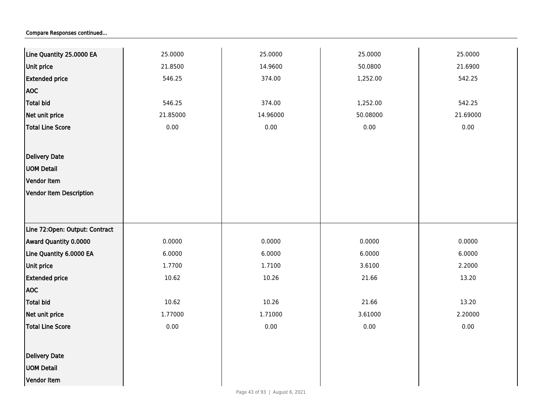| Line Quantity 25.0000 EA       | 25.0000  | 25.0000  | 25.0000  | 25.0000  |
|--------------------------------|----------|----------|----------|----------|
| <b>Unit price</b>              | 21.8500  | 14.9600  | 50.0800  | 21.6900  |
| <b>Extended price</b>          | 546.25   | 374.00   | 1,252.00 | 542.25   |
| <b>AOC</b>                     |          |          |          |          |
| Total bid                      | 546.25   | 374.00   | 1,252.00 | 542.25   |
| Net unit price                 | 21.85000 | 14.96000 | 50.08000 | 21.69000 |
| <b>Total Line Score</b>        | 0.00     | 0.00     | 0.00     | 0.00     |
|                                |          |          |          |          |
| Delivery Date                  |          |          |          |          |
| <b>UOM Detail</b>              |          |          |          |          |
| Vendor Item                    |          |          |          |          |
| Vendor Item Description        |          |          |          |          |
|                                |          |          |          |          |
|                                |          |          |          |          |
| Line 72:Open: Output: Contract |          |          |          |          |
| Award Quantity 0.0000          | 0.0000   | 0.0000   | 0.0000   | 0.0000   |
| Line Quantity 6.0000 EA        | 6.0000   | 6.0000   | 6.0000   | 6.0000   |
| <b>Unit price</b>              | 1.7700   | 1.7100   | 3.6100   | 2.2000   |
| <b>Extended price</b>          | 10.62    | 10.26    | 21.66    | 13.20    |
| <b>AOC</b>                     |          |          |          |          |
| <b>Total bid</b>               | 10.62    | 10.26    | 21.66    | 13.20    |
| Net unit price                 | 1.77000  | 1.71000  | 3.61000  | 2.20000  |
| <b>Total Line Score</b>        | 0.00     | 0.00     | 0.00     | 0.00     |
|                                |          |          |          |          |
| <b>Delivery Date</b>           |          |          |          |          |
| <b>UOM Detail</b>              |          |          |          |          |
| Vendor Item                    |          |          |          |          |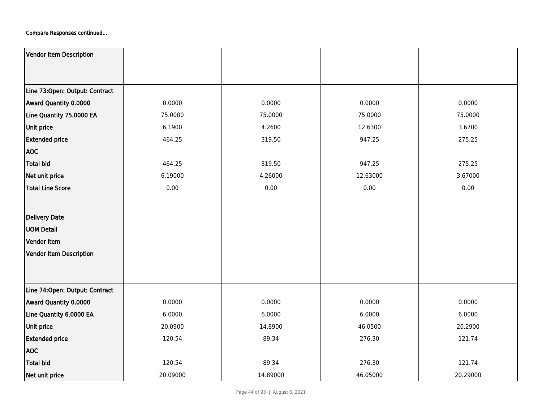| Vendor Item Description         |          |          |          |          |
|---------------------------------|----------|----------|----------|----------|
|                                 |          |          |          |          |
| Line 73:Open: Output: Contract  |          |          |          |          |
| Award Quantity 0.0000           | 0.0000   | 0.0000   | 0.0000   | 0.0000   |
| Line Quantity 75.0000 EA        | 75.0000  | 75.0000  | 75.0000  | 75.0000  |
| <b>Unit price</b>               | 6.1900   | 4.2600   | 12.6300  | 3.6700   |
| <b>Extended price</b>           | 464.25   | 319.50   | 947.25   | 275.25   |
| <b>AOC</b>                      |          |          |          |          |
| Total bid                       | 464.25   | 319.50   | 947.25   | 275.25   |
| Net unit price                  | 6.19000  | 4.26000  | 12.63000 | 3.67000  |
| Total Line Score                | 0.00     | 0.00     | 0.00     | 0.00     |
|                                 |          |          |          |          |
| Delivery Date                   |          |          |          |          |
| <b>UOM Detail</b>               |          |          |          |          |
| Vendor Item                     |          |          |          |          |
| Vendor Item Description         |          |          |          |          |
|                                 |          |          |          |          |
|                                 |          |          |          |          |
| Line 74: Open: Output: Contract |          |          |          |          |
| Award Quantity 0.0000           | 0.0000   | 0.0000   | 0.0000   | 0.0000   |
| Line Quantity 6.0000 EA         | 6.0000   | 6.0000   | 6.0000   | 6.0000   |
| <b>Unit price</b>               | 20.0900  | 14.8900  | 46.0500  | 20.2900  |
| <b>Extended price</b>           | 120.54   | 89.34    | 276.30   | 121.74   |
| <b>AOC</b>                      |          |          |          |          |
| <b>Total bid</b>                | 120.54   | 89.34    | 276.30   | 121.74   |
| Net unit price                  | 20.09000 | 14.89000 | 46.05000 | 20.29000 |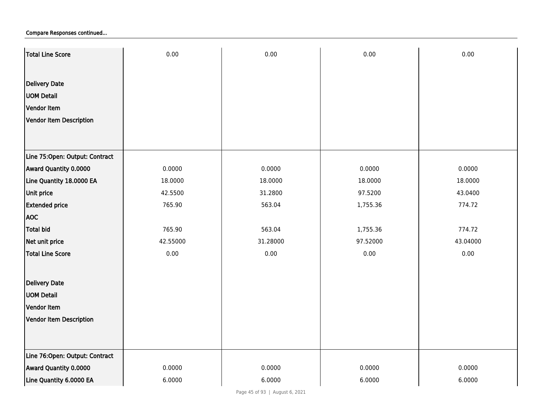| Total Line Score               | 0.00     | 0.00     | 0.00     | 0.00     |
|--------------------------------|----------|----------|----------|----------|
|                                |          |          |          |          |
| <b>Delivery Date</b>           |          |          |          |          |
| <b>UOM Detail</b>              |          |          |          |          |
| Vendor Item                    |          |          |          |          |
| Vendor Item Description        |          |          |          |          |
|                                |          |          |          |          |
|                                |          |          |          |          |
| Line 75:Open: Output: Contract |          |          |          |          |
| Award Quantity 0.0000          | 0.0000   | 0.0000   | 0.0000   | 0.0000   |
| Line Quantity 18.0000 EA       | 18.0000  | 18.0000  | 18.0000  | 18.0000  |
| Unit price                     | 42.5500  | 31.2800  | 97.5200  | 43.0400  |
| <b>Extended price</b>          | 765.90   | 563.04   | 1,755.36 | 774.72   |
| <b>AOC</b>                     |          |          |          |          |
| <b>Total bid</b>               | 765.90   | 563.04   | 1,755.36 | 774.72   |
| Net unit price                 | 42.55000 | 31.28000 | 97.52000 | 43.04000 |
| <b>Total Line Score</b>        | 0.00     | 0.00     | 0.00     | 0.00     |
|                                |          |          |          |          |
| <b>Delivery Date</b>           |          |          |          |          |
| <b>UOM Detail</b>              |          |          |          |          |
| Vendor Item                    |          |          |          |          |
| <b>Vendor Item Description</b> |          |          |          |          |
|                                |          |          |          |          |
|                                |          |          |          |          |
| Line 76:Open: Output: Contract |          |          |          |          |
| Award Quantity 0.0000          | 0.0000   | 0.0000   | 0.0000   | 0.0000   |
| Line Quantity 6.0000 EA        | 6.0000   | 6.0000   | 6.0000   | 6.0000   |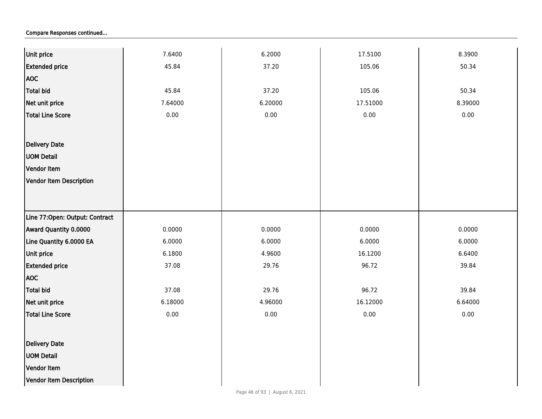| Unit price                     | 7.6400   | 6.2000  | 17.5100  | 8.3900  |
|--------------------------------|----------|---------|----------|---------|
| <b>Extended price</b>          | 45.84    | 37.20   | 105.06   | 50.34   |
| <b>AOC</b>                     |          |         |          |         |
| Total bid                      | 45.84    | 37.20   | 105.06   | 50.34   |
| Net unit price                 | 7.64000  | 6.20000 | 17.51000 | 8.39000 |
| Total Line Score               | 0.00     | 0.00    | 0.00     | 0.00    |
|                                |          |         |          |         |
| Delivery Date                  |          |         |          |         |
| <b>UOM Detail</b>              |          |         |          |         |
| Vendor Item                    |          |         |          |         |
| Vendor Item Description        |          |         |          |         |
|                                |          |         |          |         |
|                                |          |         |          |         |
| Line 77:Open: Output: Contract |          |         |          |         |
| <b>Award Quantity 0.0000</b>   | 0.0000   | 0.0000  | 0.0000   | 0.0000  |
| Line Quantity 6.0000 EA        | 6.0000   | 6.0000  | 6.0000   | 6.0000  |
| Unit price                     | 6.1800   | 4.9600  | 16.1200  | 6.6400  |
| <b>Extended price</b>          | 37.08    | 29.76   | 96.72    | 39.84   |
| <b>AOC</b>                     |          |         |          |         |
| Total bid                      | 37.08    | 29.76   | 96.72    | 39.84   |
| Net unit price                 | 6.18000  | 4.96000 | 16.12000 | 6.64000 |
| Total Line Score               | $0.00\,$ | 0.00    | 0.00     | 0.00    |
|                                |          |         |          |         |
| Delivery Date                  |          |         |          |         |
| <b>UOM Detail</b>              |          |         |          |         |
| Vendor Item                    |          |         |          |         |
| Vendor Item Description        |          |         |          |         |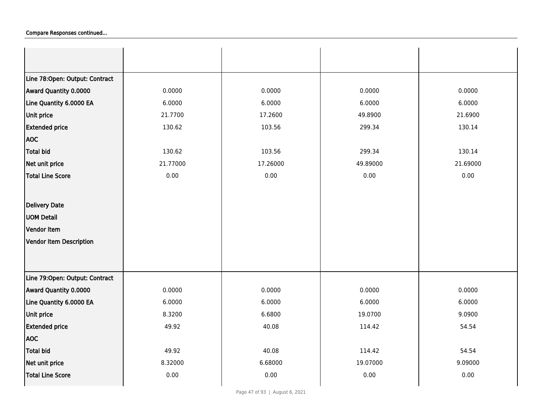| Line 78:Open: Output: Contract |          |          |          |          |
|--------------------------------|----------|----------|----------|----------|
| Award Quantity 0.0000          | 0.0000   | 0.0000   | 0.0000   | 0.0000   |
| Line Quantity 6.0000 EA        | 6.0000   | 6.0000   | 6.0000   | 6.0000   |
| <b>Unit price</b>              | 21.7700  | 17.2600  | 49.8900  | 21.6900  |
| <b>Extended price</b>          | 130.62   | 103.56   | 299.34   | 130.14   |
| <b>AOC</b>                     |          |          |          |          |
| <b>Total bid</b>               | 130.62   | 103.56   | 299.34   | 130.14   |
| Net unit price                 | 21.77000 | 17.26000 | 49.89000 | 21.69000 |
| <b>Total Line Score</b>        | 0.00     | 0.00     | 0.00     | 0.00     |
|                                |          |          |          |          |
| Delivery Date                  |          |          |          |          |
| <b>UOM Detail</b>              |          |          |          |          |
| Vendor Item                    |          |          |          |          |
| Vendor Item Description        |          |          |          |          |
|                                |          |          |          |          |
|                                |          |          |          |          |
| Line 79:Open: Output: Contract |          |          |          |          |
| Award Quantity 0.0000          | 0.0000   | 0.0000   | 0.0000   | 0.0000   |
| Line Quantity 6.0000 EA        | 6.0000   | 6.0000   | 6.0000   | 6.0000   |
| Unit price                     | 8.3200   | 6.6800   | 19.0700  | 9.0900   |
| <b>Extended price</b>          | 49.92    | 40.08    | 114.42   | 54.54    |
| <b>AOC</b>                     |          |          |          |          |
| <b>Total bid</b>               | 49.92    | 40.08    | 114.42   | 54.54    |
| Net unit price                 | 8.32000  | 6.68000  | 19.07000 | 9.09000  |
| <b>Total Line Score</b>        | 0.00     | 0.00     | 0.00     | 0.00     |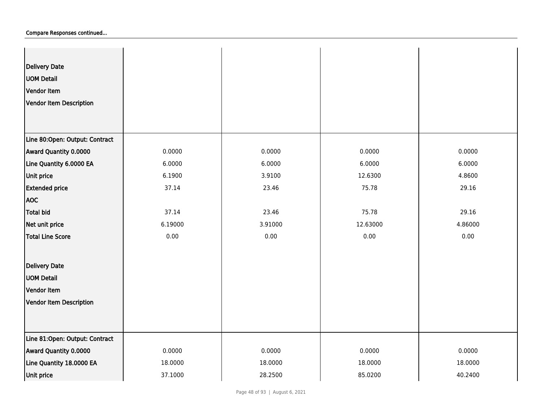| <b>Delivery Date</b><br><b>UOM Detail</b><br>Vendor Item<br>Vendor Item Description |         |         |          |         |
|-------------------------------------------------------------------------------------|---------|---------|----------|---------|
| Line 80:Open: Output: Contract                                                      |         |         |          |         |
| Award Quantity 0.0000                                                               | 0.0000  | 0.0000  | 0.0000   | 0.0000  |
| Line Quantity 6.0000 EA                                                             | 6.0000  | 6.0000  | 6.0000   | 6.0000  |
| Unit price                                                                          | 6.1900  | 3.9100  | 12.6300  | 4.8600  |
| <b>Extended price</b>                                                               | 37.14   | 23.46   | 75.78    | 29.16   |
| <b>AOC</b>                                                                          |         |         |          |         |
| Total bid                                                                           | 37.14   | 23.46   | 75.78    | 29.16   |
| Net unit price                                                                      | 6.19000 | 3.91000 | 12.63000 | 4.86000 |
| Total Line Score                                                                    | 0.00    | 0.00    | 0.00     | 0.00    |
| <b>Delivery Date</b>                                                                |         |         |          |         |
| <b>UOM Detail</b>                                                                   |         |         |          |         |
| Vendor Item                                                                         |         |         |          |         |
| Vendor Item Description                                                             |         |         |          |         |
|                                                                                     |         |         |          |         |
| Line 81:Open: Output: Contract                                                      |         |         |          |         |
| Award Quantity 0.0000                                                               | 0.0000  | 0.0000  | 0.0000   | 0.0000  |
| Line Quantity 18.0000 EA                                                            | 18.0000 | 18.0000 | 18.0000  | 18.0000 |
| Unit price                                                                          | 37.1000 | 28.2500 | 85.0200  | 40.2400 |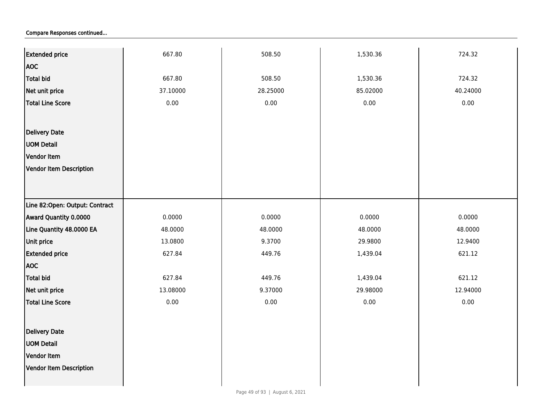| <b>Extended price</b>          | 667.80   | 508.50   | 1,530.36 | 724.32   |
|--------------------------------|----------|----------|----------|----------|
| <b>AOC</b>                     |          |          |          |          |
| Total bid                      | 667.80   | 508.50   | 1,530.36 | 724.32   |
| Net unit price                 | 37.10000 | 28.25000 | 85.02000 | 40.24000 |
|                                | 0.00     | 0.00     | 0.00     | $0.00\,$ |
| <b>Total Line Score</b>        |          |          |          |          |
|                                |          |          |          |          |
| Delivery Date                  |          |          |          |          |
| <b>UOM Detail</b>              |          |          |          |          |
| Vendor Item                    |          |          |          |          |
| Vendor Item Description        |          |          |          |          |
|                                |          |          |          |          |
|                                |          |          |          |          |
| Line 82:Open: Output: Contract |          |          |          |          |
| Award Quantity 0.0000          | 0.0000   | 0.0000   | 0.0000   | 0.0000   |
| Line Quantity 48.0000 EA       | 48.0000  | 48.0000  | 48.0000  | 48.0000  |
| Unit price                     | 13.0800  | 9.3700   | 29.9800  | 12.9400  |
| <b>Extended price</b>          | 627.84   | 449.76   | 1,439.04 | 621.12   |
| <b>AOC</b>                     |          |          |          |          |
| <b>Total bid</b>               | 627.84   | 449.76   | 1,439.04 | 621.12   |
| Net unit price                 | 13.08000 | 9.37000  | 29.98000 | 12.94000 |
| Total Line Score               | 0.00     | 0.00     | 0.00     | 0.00     |
|                                |          |          |          |          |
| Delivery Date                  |          |          |          |          |
| <b>UOM Detail</b>              |          |          |          |          |
| Vendor Item                    |          |          |          |          |
|                                |          |          |          |          |
| Vendor Item Description        |          |          |          |          |
|                                |          |          |          |          |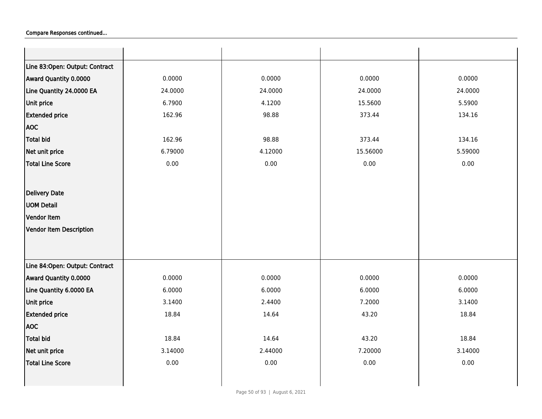| Line 83:Open: Output: Contract |         |         |          |          |
|--------------------------------|---------|---------|----------|----------|
| Award Quantity 0.0000          | 0.0000  | 0.0000  | 0.0000   | 0.0000   |
| Line Quantity 24.0000 EA       | 24.0000 | 24.0000 | 24.0000  | 24.0000  |
| Unit price                     | 6.7900  | 4.1200  | 15.5600  | 5.5900   |
| <b>Extended price</b>          | 162.96  | 98.88   | 373.44   | 134.16   |
| <b>AOC</b>                     |         |         |          |          |
| <b>Total bid</b>               | 162.96  | 98.88   | 373.44   | 134.16   |
| Net unit price                 | 6.79000 | 4.12000 | 15.56000 | 5.59000  |
| <b>Total Line Score</b>        | 0.00    | 0.00    | 0.00     | 0.00     |
|                                |         |         |          |          |
| Delivery Date                  |         |         |          |          |
| <b>UOM Detail</b>              |         |         |          |          |
| Vendor Item                    |         |         |          |          |
| Vendor Item Description        |         |         |          |          |
|                                |         |         |          |          |
|                                |         |         |          |          |
| Line 84:Open: Output: Contract |         |         |          |          |
| Award Quantity 0.0000          | 0.0000  | 0.0000  | 0.0000   | 0.0000   |
| Line Quantity 6.0000 EA        | 6.0000  | 6.0000  | 6.0000   | 6.0000   |
| Unit price                     | 3.1400  | 2.4400  | 7.2000   | 3.1400   |
| <b>Extended price</b>          | 18.84   | 14.64   | 43.20    | 18.84    |
| <b>AOC</b>                     |         |         |          |          |
| Total bid                      | 18.84   | 14.64   | 43.20    | 18.84    |
| Net unit price                 | 3.14000 | 2.44000 | 7.20000  | 3.14000  |
| Total Line Score               | 0.00    | 0.00    | 0.00     | $0.00\,$ |
|                                |         |         |          |          |
|                                |         |         |          |          |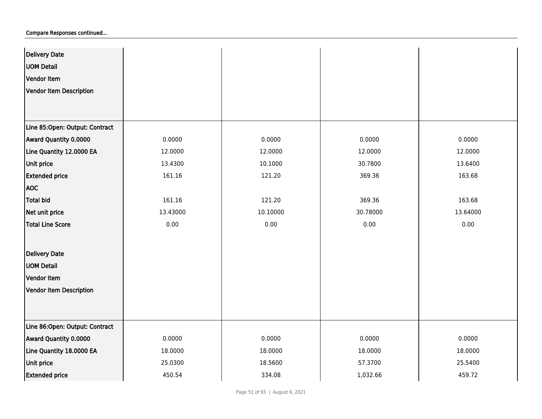| <b>Delivery Date</b>           |          |          |          |          |
|--------------------------------|----------|----------|----------|----------|
| <b>UOM Detail</b>              |          |          |          |          |
| Vendor Item                    |          |          |          |          |
|                                |          |          |          |          |
| <b>Vendor Item Description</b> |          |          |          |          |
|                                |          |          |          |          |
| Line 85:Open: Output: Contract |          |          |          |          |
| Award Quantity 0.0000          | 0.0000   | 0.0000   | 0.0000   | 0.0000   |
| Line Quantity 12.0000 EA       | 12.0000  | 12.0000  | 12.0000  | 12.0000  |
| Unit price                     | 13.4300  | 10.1000  | 30.7800  | 13.6400  |
| <b>Extended price</b>          | 161.16   | 121.20   | 369.36   | 163.68   |
| <b>AOC</b>                     |          |          |          |          |
| <b>Total bid</b>               | 161.16   | 121.20   | 369.36   | 163.68   |
| Net unit price                 | 13.43000 | 10.10000 | 30.78000 | 13.64000 |
| <b>Total Line Score</b>        | 0.00     | 0.00     | 0.00     | 0.00     |
|                                |          |          |          |          |
| <b>Delivery Date</b>           |          |          |          |          |
| <b>UOM Detail</b>              |          |          |          |          |
| Vendor Item                    |          |          |          |          |
| Vendor Item Description        |          |          |          |          |
|                                |          |          |          |          |
|                                |          |          |          |          |
| Line 86:Open: Output: Contract |          |          |          |          |
| Award Quantity 0.0000          | 0.0000   | 0.0000   | 0.0000   | 0.0000   |
| Line Quantity 18.0000 EA       | 18.0000  | 18.0000  | 18.0000  | 18.0000  |
| Unit price                     | 25.0300  | 18.5600  | 57.3700  | 25.5400  |
| <b>Extended price</b>          | 450.54   | 334.08   | 1,032.66 | 459.72   |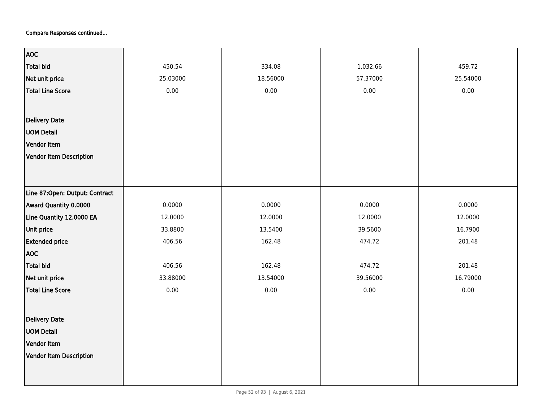| <b>AOC</b>                     |          |          |          |          |
|--------------------------------|----------|----------|----------|----------|
| <b>Total bid</b>               | 450.54   | 334.08   | 1,032.66 | 459.72   |
| Net unit price                 | 25.03000 | 18.56000 | 57.37000 | 25.54000 |
| <b>Total Line Score</b>        | 0.00     | 0.00     | 0.00     | 0.00     |
|                                |          |          |          |          |
| <b>Delivery Date</b>           |          |          |          |          |
|                                |          |          |          |          |
| <b>UOM Detail</b>              |          |          |          |          |
| Vendor Item                    |          |          |          |          |
| Vendor Item Description        |          |          |          |          |
|                                |          |          |          |          |
|                                |          |          |          |          |
| Line 87:Open: Output: Contract |          |          |          |          |
| Award Quantity 0.0000          | 0.0000   | 0.0000   | 0.0000   | 0.0000   |
| Line Quantity 12.0000 EA       | 12.0000  | 12.0000  | 12.0000  | 12.0000  |
| Unit price                     | 33.8800  | 13.5400  | 39.5600  | 16.7900  |
| <b>Extended price</b>          | 406.56   | 162.48   | 474.72   | 201.48   |
| <b>AOC</b>                     |          |          |          |          |
| <b>Total bid</b>               | 406.56   | 162.48   | 474.72   | 201.48   |
| Net unit price                 | 33.88000 | 13.54000 | 39.56000 | 16.79000 |
| <b>Total Line Score</b>        | $0.00\,$ | $0.00\,$ | 0.00     | 0.00     |
|                                |          |          |          |          |
| <b>Delivery Date</b>           |          |          |          |          |
| <b>UOM Detail</b>              |          |          |          |          |
| Vendor Item                    |          |          |          |          |
|                                |          |          |          |          |
| Vendor Item Description        |          |          |          |          |
|                                |          |          |          |          |
|                                |          |          |          |          |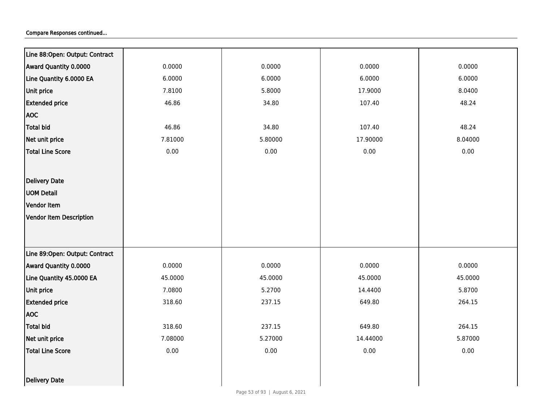| Line 88:Open: Output: Contract |         |          |          |         |
|--------------------------------|---------|----------|----------|---------|
| Award Quantity 0.0000          | 0.0000  | 0.0000   | 0.0000   | 0.0000  |
| Line Quantity 6.0000 EA        | 6.0000  | 6.0000   | 6.0000   | 6.0000  |
| Unit price                     | 7.8100  | 5.8000   | 17.9000  | 8.0400  |
| <b>Extended price</b>          | 46.86   | 34.80    | 107.40   | 48.24   |
| <b>AOC</b>                     |         |          |          |         |
| <b>Total bid</b>               | 46.86   | 34.80    | 107.40   | 48.24   |
| Net unit price                 | 7.81000 | 5.80000  | 17.90000 | 8.04000 |
| <b>Total Line Score</b>        | 0.00    | 0.00     | 0.00     | 0.00    |
|                                |         |          |          |         |
| <b>Delivery Date</b>           |         |          |          |         |
| <b>UOM Detail</b>              |         |          |          |         |
| Vendor Item                    |         |          |          |         |
| <b>Vendor Item Description</b> |         |          |          |         |
|                                |         |          |          |         |
|                                |         |          |          |         |
| Line 89:Open: Output: Contract |         |          |          |         |
| Award Quantity 0.0000          | 0.0000  | 0.0000   | 0.0000   | 0.0000  |
| Line Quantity 45.0000 EA       | 45.0000 | 45.0000  | 45.0000  | 45.0000 |
| Unit price                     | 7.0800  | 5.2700   | 14.4400  | 5.8700  |
| <b>Extended price</b>          | 318.60  | 237.15   | 649.80   | 264.15  |
| <b>AOC</b>                     |         |          |          |         |
| Total bid                      | 318.60  | 237.15   | 649.80   | 264.15  |
| Net unit price                 | 7.08000 | 5.27000  | 14.44000 | 5.87000 |
| <b>Total Line Score</b>        | 0.00    | $0.00\,$ | 0.00     | 0.00    |
|                                |         |          |          |         |
| Delivery Date                  |         |          |          |         |
|                                |         |          |          |         |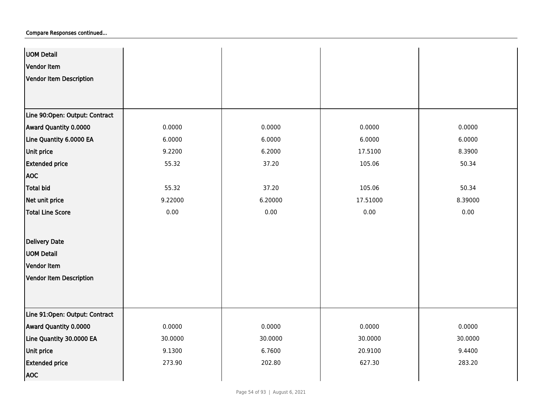| <b>UOM Detail</b>              |          |          |          |         |
|--------------------------------|----------|----------|----------|---------|
| Vendor Item                    |          |          |          |         |
| Vendor Item Description        |          |          |          |         |
|                                |          |          |          |         |
|                                |          |          |          |         |
| Line 90:Open: Output: Contract |          |          |          |         |
| Award Quantity 0.0000          | 0.0000   | 0.0000   | 0.0000   | 0.0000  |
| Line Quantity 6.0000 EA        | 6.0000   | 6.0000   | 6.0000   | 6.0000  |
| Unit price                     | 9.2200   | 6.2000   | 17.5100  | 8.3900  |
| <b>Extended price</b>          | 55.32    | 37.20    | 105.06   | 50.34   |
| <b>AOC</b>                     |          |          |          |         |
| Total bid                      | 55.32    | 37.20    | 105.06   | 50.34   |
| Net unit price                 | 9.22000  | 6.20000  | 17.51000 | 8.39000 |
| <b>Total Line Score</b>        | $0.00\,$ | $0.00\,$ | 0.00     | 0.00    |
|                                |          |          |          |         |
| <b>Delivery Date</b>           |          |          |          |         |
| <b>UOM Detail</b>              |          |          |          |         |
| Vendor Item                    |          |          |          |         |
| Vendor Item Description        |          |          |          |         |
|                                |          |          |          |         |
|                                |          |          |          |         |
| Line 91:Open: Output: Contract |          |          |          |         |
| Award Quantity 0.0000          | 0.0000   | 0.0000   | 0.0000   | 0.0000  |
| Line Quantity 30.0000 EA       | 30.0000  | 30.0000  | 30.0000  | 30.0000 |
| Unit price                     | 9.1300   | 6.7600   | 20.9100  | 9.4400  |
| <b>Extended price</b>          | 273.90   | 202.80   | 627.30   | 283.20  |
| <b>AOC</b>                     |          |          |          |         |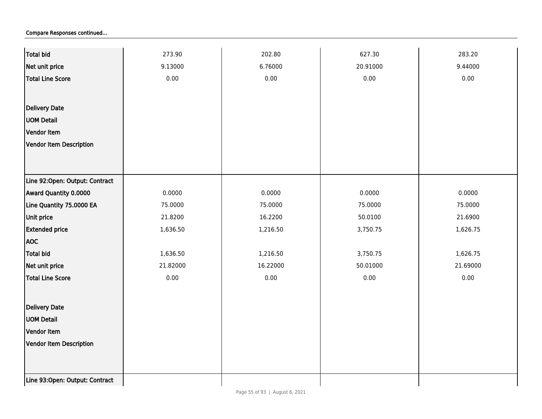| <b>Total bid</b>               | 273.90   | 202.80   | 627.30   | 283.20   |
|--------------------------------|----------|----------|----------|----------|
| Net unit price                 | 9.13000  | 6.76000  | 20.91000 | 9.44000  |
| <b>Total Line Score</b>        | 0.00     | 0.00     | 0.00     | 0.00     |
|                                |          |          |          |          |
| Delivery Date                  |          |          |          |          |
| <b>UOM Detail</b>              |          |          |          |          |
| Vendor Item                    |          |          |          |          |
| Vendor Item Description        |          |          |          |          |
|                                |          |          |          |          |
|                                |          |          |          |          |
| Line 92:Open: Output: Contract |          |          |          |          |
| Award Quantity 0.0000          | 0.0000   | 0.0000   | 0.0000   | 0.0000   |
| Line Quantity 75.0000 EA       | 75.0000  | 75.0000  | 75.0000  | 75.0000  |
| Unit price                     | 21.8200  | 16.2200  | 50.0100  | 21.6900  |
| <b>Extended price</b>          | 1,636.50 | 1,216.50 | 3,750.75 | 1,626.75 |
| <b>AOC</b>                     |          |          |          |          |
| <b>Total bid</b>               | 1,636.50 | 1,216.50 | 3,750.75 | 1,626.75 |
| Net unit price                 | 21.82000 | 16.22000 | 50.01000 | 21.69000 |
| <b>Total Line Score</b>        | 0.00     | 0.00     | 0.00     | 0.00     |
|                                |          |          |          |          |
| Delivery Date                  |          |          |          |          |
| <b>UOM Detail</b>              |          |          |          |          |
| Vendor Item                    |          |          |          |          |
| Vendor Item Description        |          |          |          |          |
|                                |          |          |          |          |
|                                |          |          |          |          |
| Line 93:Open: Output: Contract |          |          |          |          |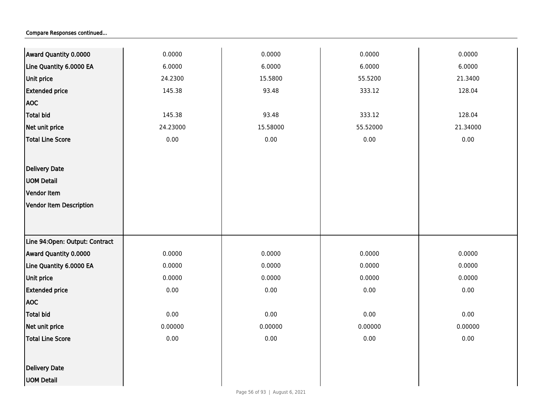| Award Quantity 0.0000          | 0.0000   | 0.0000   | 0.0000   | 0.0000   |
|--------------------------------|----------|----------|----------|----------|
| Line Quantity 6.0000 EA        | 6.0000   | 6.0000   | 6.0000   | 6.0000   |
| Unit price                     | 24.2300  | 15.5800  | 55.5200  | 21.3400  |
| <b>Extended price</b>          | 145.38   | 93.48    | 333.12   | 128.04   |
| <b>AOC</b>                     |          |          |          |          |
| Total bid                      | 145.38   | 93.48    | 333.12   | 128.04   |
| Net unit price                 | 24.23000 | 15.58000 | 55.52000 | 21.34000 |
| <b>Total Line Score</b>        | 0.00     | 0.00     | 0.00     | 0.00     |
|                                |          |          |          |          |
| <b>Delivery Date</b>           |          |          |          |          |
| <b>UOM Detail</b>              |          |          |          |          |
| <b>Vendor Item</b>             |          |          |          |          |
| Vendor Item Description        |          |          |          |          |
|                                |          |          |          |          |
|                                |          |          |          |          |
| Line 94:Open: Output: Contract |          |          |          |          |
| Award Quantity 0.0000          | 0.0000   | 0.0000   | 0.0000   | 0.0000   |
| Line Quantity 6.0000 EA        | 0.0000   | 0.0000   | 0.0000   | 0.0000   |
| Unit price                     | 0.0000   | 0.0000   | 0.0000   | 0.0000   |
| <b>Extended price</b>          | 0.00     | 0.00     | 0.00     | 0.00     |
| <b>AOC</b>                     |          |          |          |          |
| <b>Total bid</b>               | 0.00     | 0.00     | 0.00     | 0.00     |
| Net unit price                 | 0.00000  | 0.00000  | 0.00000  | 0.00000  |
| <b>Total Line Score</b>        | 0.00     | 0.00     | 0.00     | 0.00     |
|                                |          |          |          |          |
| <b>Delivery Date</b>           |          |          |          |          |
| <b>UOM Detail</b>              |          |          |          |          |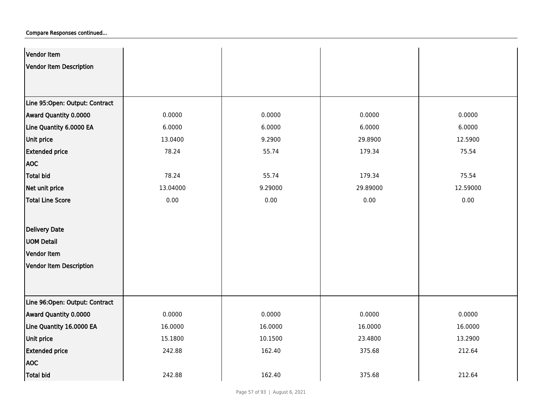| Vendor Item                    |          |         |          |          |
|--------------------------------|----------|---------|----------|----------|
| <b>Vendor Item Description</b> |          |         |          |          |
|                                |          |         |          |          |
|                                |          |         |          |          |
| Line 95:Open: Output: Contract |          |         |          |          |
| Award Quantity 0.0000          | 0.0000   | 0.0000  | 0.0000   | 0.0000   |
| Line Quantity 6.0000 EA        | 6.0000   | 6.0000  | 6.0000   | 6.0000   |
| Unit price                     | 13.0400  | 9.2900  | 29.8900  | 12.5900  |
| <b>Extended price</b>          | 78.24    | 55.74   | 179.34   | 75.54    |
| <b>AOC</b>                     |          |         |          |          |
| Total bid                      | 78.24    | 55.74   | 179.34   | 75.54    |
| Net unit price                 | 13.04000 | 9.29000 | 29.89000 | 12.59000 |
| <b>Total Line Score</b>        | 0.00     | 0.00    | 0.00     | 0.00     |
|                                |          |         |          |          |
| <b>Delivery Date</b>           |          |         |          |          |
| <b>UOM Detail</b>              |          |         |          |          |
| Vendor Item                    |          |         |          |          |
| Vendor Item Description        |          |         |          |          |
|                                |          |         |          |          |
|                                |          |         |          |          |
| Line 96:Open: Output: Contract |          |         |          |          |
| Award Quantity 0.0000          | 0.0000   | 0.0000  | 0.0000   | 0.0000   |
| Line Quantity 16.0000 EA       | 16.0000  | 16.0000 | 16.0000  | 16.0000  |
| Unit price                     | 15.1800  | 10.1500 | 23.4800  | 13.2900  |
| <b>Extended price</b>          | 242.88   | 162.40  | 375.68   | 212.64   |
| <b>AOC</b>                     |          |         |          |          |
| Total bid                      | 242.88   | 162.40  | 375.68   | 212.64   |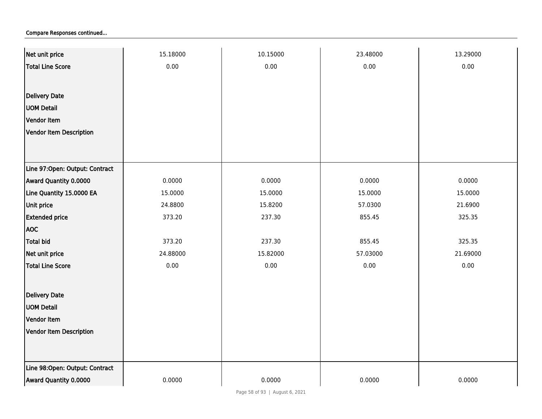| Net unit price                 | 15.18000 | 10.15000 | 23.48000 | 13.29000 |
|--------------------------------|----------|----------|----------|----------|
| <b>Total Line Score</b>        | 0.00     | $0.00\,$ | 0.00     | 0.00     |
|                                |          |          |          |          |
| <b>Delivery Date</b>           |          |          |          |          |
| <b>UOM Detail</b>              |          |          |          |          |
| Vendor Item                    |          |          |          |          |
| Vendor Item Description        |          |          |          |          |
|                                |          |          |          |          |
|                                |          |          |          |          |
| Line 97:Open: Output: Contract |          |          |          |          |
| Award Quantity 0.0000          | 0.0000   | 0.0000   | 0.0000   | 0.0000   |
| Line Quantity 15.0000 EA       | 15.0000  | 15.0000  | 15.0000  | 15.0000  |
| Unit price                     | 24.8800  | 15.8200  | 57.0300  | 21.6900  |
| <b>Extended price</b>          | 373.20   | 237.30   | 855.45   | 325.35   |
| <b>AOC</b>                     |          |          |          |          |
| <b>Total bid</b>               | 373.20   | 237.30   | 855.45   | 325.35   |
| Net unit price                 | 24.88000 | 15.82000 | 57.03000 | 21.69000 |
| Total Line Score               | 0.00     | 0.00     | 0.00     | 0.00     |
|                                |          |          |          |          |
| Delivery Date                  |          |          |          |          |
| <b>UOM Detail</b>              |          |          |          |          |
| Vendor Item                    |          |          |          |          |
| <b>Vendor Item Description</b> |          |          |          |          |
|                                |          |          |          |          |
|                                |          |          |          |          |
| Line 98:Open: Output: Contract |          |          |          |          |
| Award Quantity 0.0000          | 0.0000   | 0.0000   | 0.0000   | 0.0000   |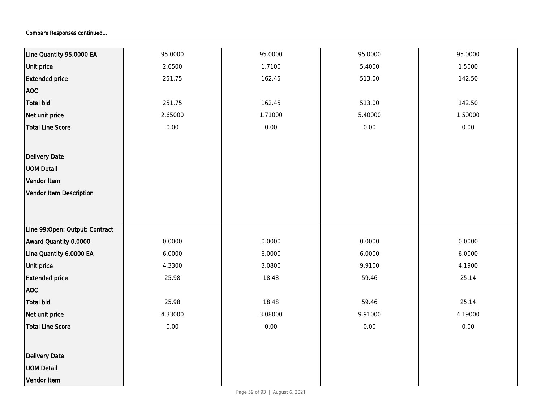| Line Quantity 95.0000 EA       | 95.0000 | 95.0000 | 95.0000  | 95.0000 |
|--------------------------------|---------|---------|----------|---------|
| Unit price                     | 2.6500  | 1.7100  | 5.4000   | 1.5000  |
| <b>Extended price</b>          | 251.75  | 162.45  | 513.00   | 142.50  |
| <b>AOC</b>                     |         |         |          |         |
| Total bid                      | 251.75  | 162.45  | 513.00   | 142.50  |
| Net unit price                 | 2.65000 | 1.71000 | 5.40000  | 1.50000 |
| <b>Total Line Score</b>        | 0.00    | 0.00    | $0.00\,$ | 0.00    |
|                                |         |         |          |         |
| Delivery Date                  |         |         |          |         |
| <b>UOM Detail</b>              |         |         |          |         |
| Vendor Item                    |         |         |          |         |
| Vendor Item Description        |         |         |          |         |
|                                |         |         |          |         |
|                                |         |         |          |         |
| Line 99:Open: Output: Contract |         |         |          |         |
| Award Quantity 0.0000          | 0.0000  | 0.0000  | 0.0000   | 0.0000  |
| Line Quantity 6.0000 EA        | 6.0000  | 6.0000  | 6.0000   | 6.0000  |
| Unit price                     | 4.3300  | 3.0800  | 9.9100   | 4.1900  |
| <b>Extended price</b>          | 25.98   | 18.48   | 59.46    | 25.14   |
| <b>AOC</b>                     |         |         |          |         |
| <b>Total bid</b>               | 25.98   | 18.48   | 59.46    | 25.14   |
| Net unit price                 | 4.33000 | 3.08000 | 9.91000  | 4.19000 |
| <b>Total Line Score</b>        | 0.00    | 0.00    | $0.00\,$ | 0.00    |
|                                |         |         |          |         |
| <b>Delivery Date</b>           |         |         |          |         |
| <b>UOM Detail</b>              |         |         |          |         |
| Vendor Item                    |         |         |          |         |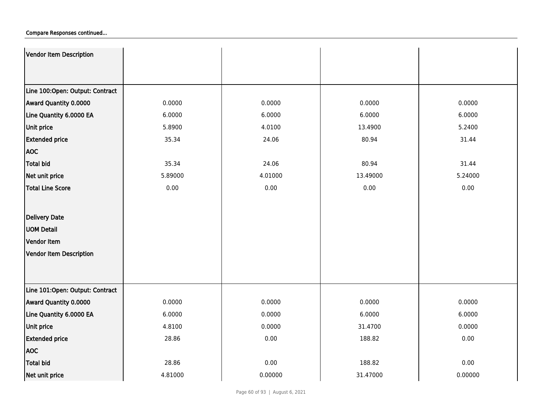| Vendor Item Description         |         |         |          |         |
|---------------------------------|---------|---------|----------|---------|
|                                 |         |         |          |         |
| Line 100:Open: Output: Contract |         |         |          |         |
| Award Quantity 0.0000           | 0.0000  | 0.0000  | 0.0000   | 0.0000  |
| Line Quantity 6.0000 EA         | 6.0000  | 6.0000  | 6.0000   | 6.0000  |
| <b>Unit price</b>               | 5.8900  | 4.0100  | 13.4900  | 5.2400  |
| <b>Extended price</b>           | 35.34   | 24.06   | 80.94    | 31.44   |
| <b>AOC</b>                      |         |         |          |         |
| <b>Total bid</b>                | 35.34   | 24.06   | 80.94    | 31.44   |
| Net unit price                  | 5.89000 | 4.01000 | 13.49000 | 5.24000 |
| <b>Total Line Score</b>         | 0.00    | 0.00    | 0.00     | 0.00    |
|                                 |         |         |          |         |
| Delivery Date                   |         |         |          |         |
| <b>UOM Detail</b>               |         |         |          |         |
| Vendor Item                     |         |         |          |         |
| Vendor Item Description         |         |         |          |         |
|                                 |         |         |          |         |
|                                 |         |         |          |         |
| Line 101:Open: Output: Contract |         |         |          |         |
| Award Quantity 0.0000           | 0.0000  | 0.0000  | 0.0000   | 0.0000  |
| Line Quantity 6.0000 EA         | 6.0000  | 0.0000  | 6.0000   | 6.0000  |
| <b>Unit price</b>               | 4.8100  | 0.0000  | 31.4700  | 0.0000  |
| <b>Extended price</b>           | 28.86   | 0.00    | 188.82   | 0.00    |
| <b>AOC</b>                      |         |         |          |         |
| <b>Total bid</b>                | 28.86   | 0.00    | 188.82   | 0.00    |
| Net unit price                  | 4.81000 | 0.00000 | 31.47000 | 0.00000 |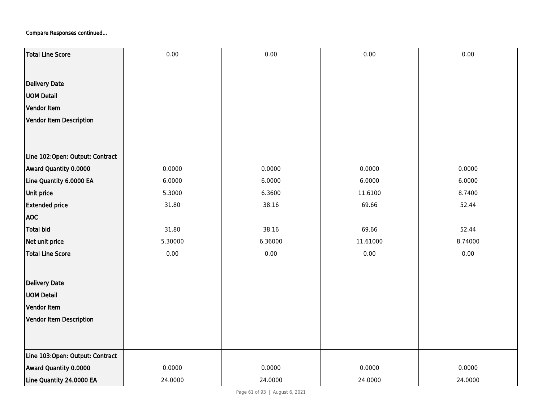| Total Line Score                | 0.00    | 0.00    | 0.00     | 0.00    |
|---------------------------------|---------|---------|----------|---------|
|                                 |         |         |          |         |
| <b>Delivery Date</b>            |         |         |          |         |
| <b>UOM Detail</b>               |         |         |          |         |
| Vendor Item                     |         |         |          |         |
| Vendor Item Description         |         |         |          |         |
|                                 |         |         |          |         |
|                                 |         |         |          |         |
| Line 102:Open: Output: Contract |         |         |          |         |
| Award Quantity 0.0000           | 0.0000  | 0.0000  | 0.0000   | 0.0000  |
| Line Quantity 6.0000 EA         | 6.0000  | 6.0000  | 6.0000   | 6.0000  |
| Unit price                      | 5.3000  | 6.3600  | 11.6100  | 8.7400  |
| <b>Extended price</b>           | 31.80   | 38.16   | 69.66    | 52.44   |
| <b>AOC</b>                      |         |         |          |         |
| <b>Total bid</b>                | 31.80   | 38.16   | 69.66    | 52.44   |
| Net unit price                  | 5.30000 | 6.36000 | 11.61000 | 8.74000 |
| <b>Total Line Score</b>         | 0.00    | 0.00    | 0.00     | 0.00    |
|                                 |         |         |          |         |
| <b>Delivery Date</b>            |         |         |          |         |
| <b>UOM Detail</b>               |         |         |          |         |
| Vendor Item                     |         |         |          |         |
| <b>Vendor Item Description</b>  |         |         |          |         |
|                                 |         |         |          |         |
|                                 |         |         |          |         |
| Line 103:Open: Output: Contract |         |         |          |         |
| Award Quantity 0.0000           | 0.0000  | 0.0000  | 0.0000   | 0.0000  |
| Line Quantity 24.0000 EA        | 24.0000 | 24.0000 | 24.0000  | 24.0000 |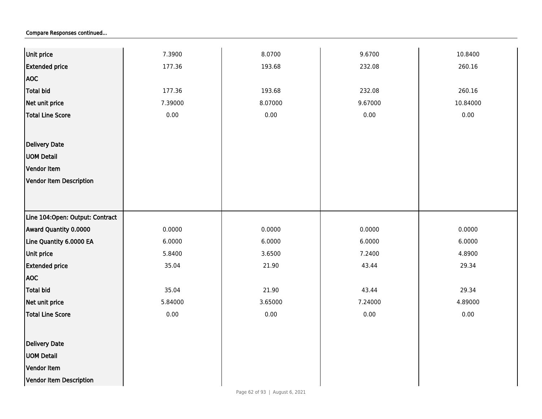| Unit price                      | 7.3900   | 8.0700  | 9.6700  | 10.8400  |
|---------------------------------|----------|---------|---------|----------|
| <b>Extended price</b>           | 177.36   | 193.68  | 232.08  | 260.16   |
|                                 |          |         |         |          |
| <b>AOC</b>                      |          |         |         |          |
| Total bid                       | 177.36   | 193.68  | 232.08  | 260.16   |
| Net unit price                  | 7.39000  | 8.07000 | 9.67000 | 10.84000 |
| Total Line Score                | 0.00     | 0.00    | 0.00    | 0.00     |
|                                 |          |         |         |          |
| Delivery Date                   |          |         |         |          |
| <b>UOM Detail</b>               |          |         |         |          |
| Vendor Item                     |          |         |         |          |
| Vendor Item Description         |          |         |         |          |
|                                 |          |         |         |          |
|                                 |          |         |         |          |
| Line 104:Open: Output: Contract |          |         |         |          |
| Award Quantity 0.0000           | 0.0000   | 0.0000  | 0.0000  | 0.0000   |
| Line Quantity 6.0000 EA         | 6.0000   | 6.0000  | 6.0000  | 6.0000   |
| Unit price                      | 5.8400   | 3.6500  | 7.2400  | 4.8900   |
| <b>Extended price</b>           | 35.04    | 21.90   | 43.44   | 29.34    |
| <b>AOC</b>                      |          |         |         |          |
| Total bid                       | 35.04    | 21.90   | 43.44   | 29.34    |
| Net unit price                  | 5.84000  | 3.65000 | 7.24000 | 4.89000  |
| Total Line Score                | $0.00\,$ | 0.00    | 0.00    | 0.00     |
|                                 |          |         |         |          |
| Delivery Date                   |          |         |         |          |
| <b>UOM Detail</b>               |          |         |         |          |
| Vendor Item                     |          |         |         |          |
| Vendor Item Description         |          |         |         |          |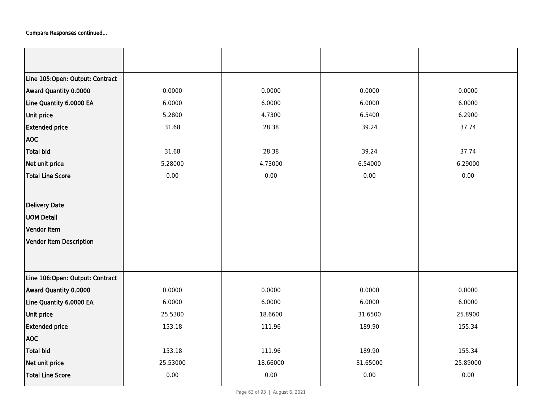| Line 105:Open: Output: Contract |          |          |          |          |
|---------------------------------|----------|----------|----------|----------|
| Award Quantity 0.0000           | 0.0000   | 0.0000   | 0.0000   | 0.0000   |
| Line Quantity 6.0000 EA         | 6.0000   | 6.0000   | 6.0000   | 6.0000   |
| <b>Unit price</b>               | 5.2800   | 4.7300   | 6.5400   | 6.2900   |
| <b>Extended price</b>           | 31.68    | 28.38    | 39.24    | 37.74    |
| <b>AOC</b>                      |          |          |          |          |
| <b>Total bid</b>                | 31.68    | 28.38    | 39.24    | 37.74    |
| Net unit price                  | 5.28000  | 4.73000  | 6.54000  | 6.29000  |
| <b>Total Line Score</b>         | 0.00     | 0.00     | 0.00     | 0.00     |
|                                 |          |          |          |          |
| Delivery Date                   |          |          |          |          |
| <b>UOM Detail</b>               |          |          |          |          |
| Vendor Item                     |          |          |          |          |
| Vendor Item Description         |          |          |          |          |
|                                 |          |          |          |          |
|                                 |          |          |          |          |
| Line 106:Open: Output: Contract |          |          |          |          |
| Award Quantity 0.0000           | 0.0000   | 0.0000   | 0.0000   | 0.0000   |
| Line Quantity 6.0000 EA         | 6.0000   | 6.0000   | 6.0000   | 6.0000   |
| Unit price                      | 25.5300  | 18.6600  | 31.6500  | 25.8900  |
| <b>Extended price</b>           | 153.18   | 111.96   | 189.90   | 155.34   |
| <b>AOC</b>                      |          |          |          |          |
| <b>Total bid</b>                | 153.18   | 111.96   | 189.90   | 155.34   |
| Net unit price                  | 25.53000 | 18.66000 | 31.65000 | 25.89000 |
| <b>Total Line Score</b>         | 0.00     | 0.00     | 0.00     | 0.00     |
|                                 |          |          |          |          |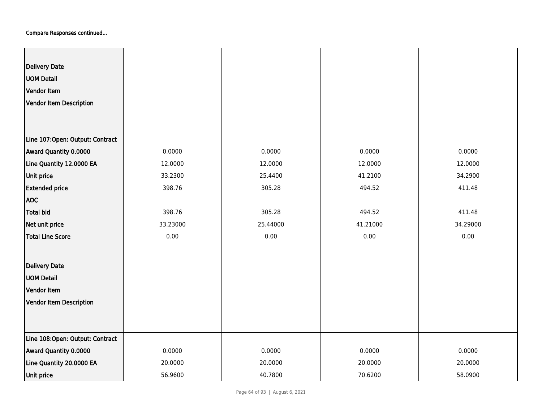| <b>Delivery Date</b><br><b>UOM Detail</b><br>Vendor Item<br>Vendor Item Description |          |          |          |          |
|-------------------------------------------------------------------------------------|----------|----------|----------|----------|
| Line 107:Open: Output: Contract                                                     |          |          |          |          |
| Award Quantity 0.0000                                                               | 0.0000   | 0.0000   | 0.0000   | 0.0000   |
| Line Quantity 12.0000 EA                                                            | 12.0000  | 12.0000  | 12.0000  | 12.0000  |
| Unit price                                                                          | 33.2300  | 25.4400  | 41.2100  | 34.2900  |
| <b>Extended price</b>                                                               | 398.76   | 305.28   | 494.52   | 411.48   |
| <b>AOC</b>                                                                          |          |          |          |          |
| Total bid                                                                           | 398.76   | 305.28   | 494.52   | 411.48   |
| Net unit price                                                                      | 33.23000 | 25.44000 | 41.21000 | 34.29000 |
| Total Line Score                                                                    | 0.00     | 0.00     | 0.00     | 0.00     |
| Delivery Date                                                                       |          |          |          |          |
| <b>UOM Detail</b>                                                                   |          |          |          |          |
| Vendor Item                                                                         |          |          |          |          |
| Vendor Item Description                                                             |          |          |          |          |
|                                                                                     |          |          |          |          |
| Line 108:Open: Output: Contract                                                     |          |          |          |          |
| Award Quantity 0.0000                                                               | 0.0000   | 0.0000   | 0.0000   | 0.0000   |
| Line Quantity 20.0000 EA                                                            | 20.0000  | 20.0000  | 20.0000  | 20.0000  |
| Unit price                                                                          | 56.9600  | 40.7800  | 70.6200  | 58.0900  |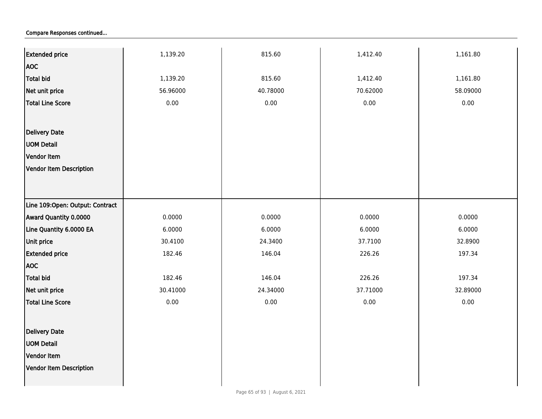| <b>Extended price</b>           | 1,139.20 | 815.60   | 1,412.40 | 1,161.80 |
|---------------------------------|----------|----------|----------|----------|
| <b>AOC</b>                      |          |          |          |          |
| <b>Total bid</b>                | 1,139.20 | 815.60   | 1,412.40 | 1,161.80 |
| Net unit price                  | 56.96000 | 40.78000 | 70.62000 | 58.09000 |
| <b>Total Line Score</b>         | $0.00\,$ | 0.00     | 0.00     | 0.00     |
|                                 |          |          |          |          |
|                                 |          |          |          |          |
| Delivery Date                   |          |          |          |          |
| <b>UOM Detail</b>               |          |          |          |          |
| Vendor Item                     |          |          |          |          |
| Vendor Item Description         |          |          |          |          |
|                                 |          |          |          |          |
|                                 |          |          |          |          |
| Line 109:Open: Output: Contract |          |          |          |          |
| Award Quantity 0.0000           | 0.0000   | 0.0000   | 0.0000   | 0.0000   |
| Line Quantity 6.0000 EA         | 6.0000   | 6.0000   | 6.0000   | 6.0000   |
| <b>Unit price</b>               | 30.4100  | 24.3400  | 37.7100  | 32.8900  |
| <b>Extended price</b>           | 182.46   | 146.04   | 226.26   | 197.34   |
| <b>AOC</b>                      |          |          |          |          |
| Total bid                       | 182.46   | 146.04   | 226.26   | 197.34   |
| Net unit price                  | 30.41000 | 24.34000 | 37.71000 | 32.89000 |
| <b>Total Line Score</b>         | 0.00     | 0.00     | $0.00\,$ | 0.00     |
|                                 |          |          |          |          |
| Delivery Date                   |          |          |          |          |
| <b>UOM Detail</b>               |          |          |          |          |
| Vendor Item                     |          |          |          |          |
| Vendor Item Description         |          |          |          |          |
|                                 |          |          |          |          |
|                                 |          |          |          |          |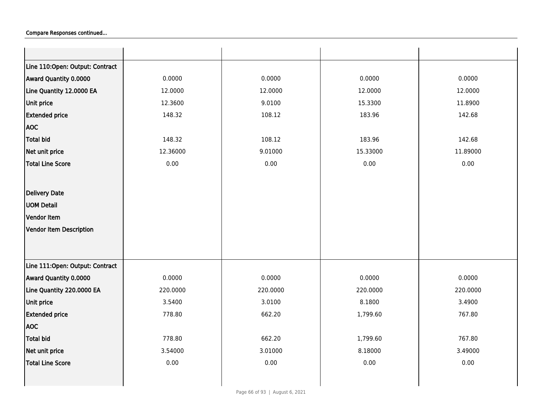| Line 110:Open: Output: Contract |          |          |          |          |
|---------------------------------|----------|----------|----------|----------|
| Award Quantity 0.0000           | 0.0000   | 0.0000   | 0.0000   | 0.0000   |
| Line Quantity 12.0000 EA        | 12.0000  | 12.0000  | 12.0000  | 12.0000  |
| Unit price                      | 12.3600  | 9.0100   | 15.3300  | 11.8900  |
| <b>Extended price</b>           | 148.32   | 108.12   | 183.96   | 142.68   |
| <b>AOC</b>                      |          |          |          |          |
| <b>Total bid</b>                | 148.32   | 108.12   | 183.96   | 142.68   |
| Net unit price                  | 12.36000 | 9.01000  | 15.33000 | 11.89000 |
| <b>Total Line Score</b>         | 0.00     | 0.00     | 0.00     | 0.00     |
|                                 |          |          |          |          |
| Delivery Date                   |          |          |          |          |
| <b>UOM Detail</b>               |          |          |          |          |
| Vendor Item                     |          |          |          |          |
| <b>Vendor Item Description</b>  |          |          |          |          |
|                                 |          |          |          |          |
|                                 |          |          |          |          |
| Line 111:Open: Output: Contract |          |          |          |          |
| Award Quantity 0.0000           | 0.0000   | 0.0000   | 0.0000   | 0.0000   |
| Line Quantity 220.0000 EA       | 220.0000 | 220.0000 | 220.0000 | 220.0000 |
| Unit price                      | 3.5400   | 3.0100   | 8.1800   | 3.4900   |
| <b>Extended price</b>           | 778.80   | 662.20   | 1,799.60 | 767.80   |
| <b>AOC</b>                      |          |          |          |          |
| <b>Total bid</b>                | 778.80   | 662.20   | 1,799.60 | 767.80   |
| Net unit price                  | 3.54000  | 3.01000  | 8.18000  | 3.49000  |
| <b>Total Line Score</b>         | 0.00     | 0.00     | 0.00     | 0.00     |
|                                 |          |          |          |          |
|                                 |          |          |          |          |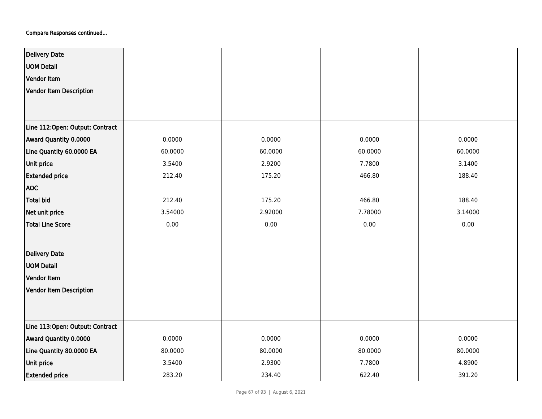| <b>Delivery Date</b>            |         |         |         |         |
|---------------------------------|---------|---------|---------|---------|
| <b>UOM Detail</b>               |         |         |         |         |
| <b>Vendor Item</b>              |         |         |         |         |
| <b>Vendor Item Description</b>  |         |         |         |         |
|                                 |         |         |         |         |
|                                 |         |         |         |         |
| Line 112:Open: Output: Contract |         |         |         |         |
| Award Quantity 0.0000           | 0.0000  | 0.0000  | 0.0000  | 0.0000  |
| Line Quantity 60.0000 EA        | 60.0000 | 60.0000 | 60.0000 | 60.0000 |
| Unit price                      | 3.5400  | 2.9200  | 7.7800  | 3.1400  |
| <b>Extended price</b>           | 212.40  | 175.20  | 466.80  | 188.40  |
| <b>AOC</b>                      |         |         |         |         |
| <b>Total bid</b>                | 212.40  | 175.20  | 466.80  | 188.40  |
| Net unit price                  | 3.54000 | 2.92000 | 7.78000 | 3.14000 |
| <b>Total Line Score</b>         | 0.00    | 0.00    | 0.00    | 0.00    |
|                                 |         |         |         |         |
| <b>Delivery Date</b>            |         |         |         |         |
| <b>UOM Detail</b>               |         |         |         |         |
| Vendor Item                     |         |         |         |         |
| <b>Vendor Item Description</b>  |         |         |         |         |
|                                 |         |         |         |         |
|                                 |         |         |         |         |
| Line 113:Open: Output: Contract |         |         |         |         |
| Award Quantity 0.0000           | 0.0000  | 0.0000  | 0.0000  | 0.0000  |
| Line Quantity 80.0000 EA        | 80.0000 | 80.0000 | 80.0000 | 80.0000 |
| Unit price                      | 3.5400  | 2.9300  | 7.7800  | 4.8900  |
| <b>Extended price</b>           | 283.20  | 234.40  | 622.40  | 391.20  |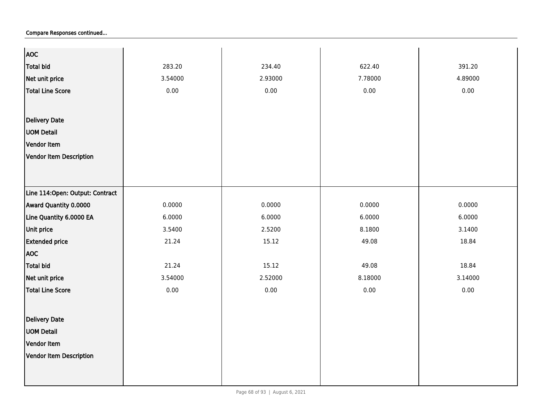| <b>AOC</b>                       |         |         |         |         |
|----------------------------------|---------|---------|---------|---------|
| <b>Total bid</b>                 | 283.20  | 234.40  | 622.40  | 391.20  |
| Net unit price                   | 3.54000 | 2.93000 | 7.78000 | 4.89000 |
| <b>Total Line Score</b>          | 0.00    | 0.00    | 0.00    | 0.00    |
|                                  |         |         |         |         |
| <b>Delivery Date</b>             |         |         |         |         |
|                                  |         |         |         |         |
| <b>UOM Detail</b>                |         |         |         |         |
| Vendor Item                      |         |         |         |         |
| Vendor Item Description          |         |         |         |         |
|                                  |         |         |         |         |
|                                  |         |         |         |         |
| Line 114: Open: Output: Contract |         |         |         |         |
| Award Quantity 0.0000            | 0.0000  | 0.0000  | 0.0000  | 0.0000  |
| Line Quantity 6.0000 EA          | 6.0000  | 6.0000  | 6.0000  | 6.0000  |
| Unit price                       | 3.5400  | 2.5200  | 8.1800  | 3.1400  |
| <b>Extended price</b>            | 21.24   | 15.12   | 49.08   | 18.84   |
| <b>AOC</b>                       |         |         |         |         |
| <b>Total bid</b>                 | 21.24   | 15.12   | 49.08   | 18.84   |
| Net unit price                   | 3.54000 | 2.52000 | 8.18000 | 3.14000 |
| <b>Total Line Score</b>          | 0.00    | 0.00    | 0.00    | 0.00    |
|                                  |         |         |         |         |
| <b>Delivery Date</b>             |         |         |         |         |
| <b>UOM Detail</b>                |         |         |         |         |
| Vendor Item                      |         |         |         |         |
|                                  |         |         |         |         |
| <b>Vendor Item Description</b>   |         |         |         |         |
|                                  |         |         |         |         |
|                                  |         |         |         |         |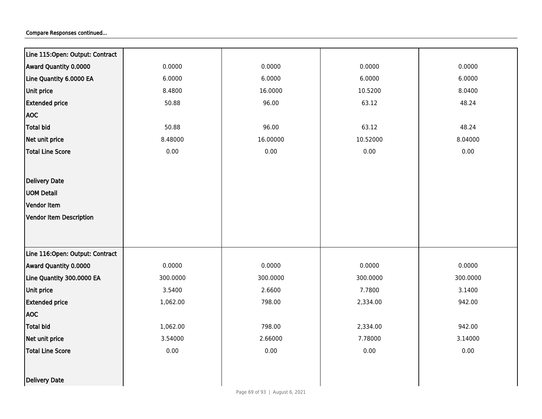| Line 115:Open: Output: Contract |          |          |          |          |
|---------------------------------|----------|----------|----------|----------|
| Award Quantity 0.0000           | 0.0000   | 0.0000   | 0.0000   | 0.0000   |
| Line Quantity 6.0000 EA         | 6.0000   | 6.0000   | 6.0000   | 6.0000   |
| Unit price                      | 8.4800   | 16.0000  | 10.5200  | 8.0400   |
| <b>Extended price</b>           | 50.88    | 96.00    | 63.12    | 48.24    |
| <b>AOC</b>                      |          |          |          |          |
| <b>Total bid</b>                | 50.88    | 96.00    | 63.12    | 48.24    |
| Net unit price                  | 8.48000  | 16.00000 | 10.52000 | 8.04000  |
| <b>Total Line Score</b>         | 0.00     | 0.00     | 0.00     | 0.00     |
|                                 |          |          |          |          |
| <b>Delivery Date</b>            |          |          |          |          |
| <b>UOM Detail</b>               |          |          |          |          |
| Vendor Item                     |          |          |          |          |
| <b>Vendor Item Description</b>  |          |          |          |          |
|                                 |          |          |          |          |
|                                 |          |          |          |          |
| Line 116:Open: Output: Contract |          |          |          |          |
| Award Quantity 0.0000           | 0.0000   | 0.0000   | 0.0000   | 0.0000   |
| Line Quantity 300.0000 EA       | 300.0000 | 300.0000 | 300.0000 | 300.0000 |
| Unit price                      | 3.5400   | 2.6600   | 7.7800   | 3.1400   |
| <b>Extended price</b>           | 1,062.00 | 798.00   | 2,334.00 | 942.00   |
| <b>AOC</b>                      |          |          |          |          |
| <b>Total bid</b>                | 1,062.00 | 798.00   | 2,334.00 | 942.00   |
| Net unit price                  | 3.54000  | 2.66000  | 7.78000  | 3.14000  |
| <b>Total Line Score</b>         | 0.00     | 0.00     | 0.00     | 0.00     |
|                                 |          |          |          |          |
| Delivery Date                   |          |          |          |          |
|                                 |          |          |          |          |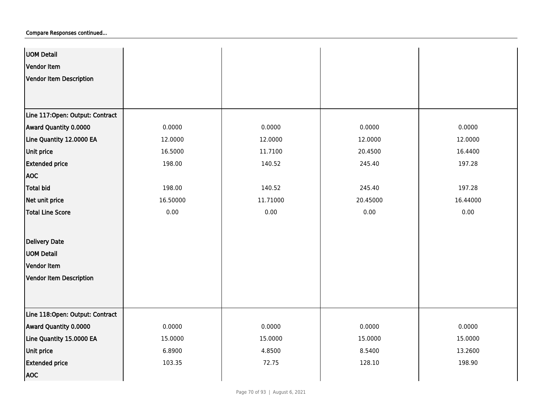| <b>UOM Detail</b>               |          |          |          |          |
|---------------------------------|----------|----------|----------|----------|
| Vendor Item                     |          |          |          |          |
| Vendor Item Description         |          |          |          |          |
|                                 |          |          |          |          |
|                                 |          |          |          |          |
| Line 117:Open: Output: Contract |          |          |          |          |
| Award Quantity 0.0000           | 0.0000   | 0.0000   | 0.0000   | 0.0000   |
| Line Quantity 12.0000 EA        | 12.0000  | 12.0000  | 12.0000  | 12.0000  |
| Unit price                      | 16.5000  | 11.7100  | 20.4500  | 16.4400  |
| <b>Extended price</b>           | 198.00   | 140.52   | 245.40   | 197.28   |
| <b>AOC</b>                      |          |          |          |          |
| Total bid                       | 198.00   | 140.52   | 245.40   | 197.28   |
| Net unit price                  | 16.50000 | 11.71000 | 20.45000 | 16.44000 |
| <b>Total Line Score</b>         | 0.00     | 0.00     | 0.00     | 0.00     |
|                                 |          |          |          |          |
| <b>Delivery Date</b>            |          |          |          |          |
| <b>UOM Detail</b>               |          |          |          |          |
| Vendor Item                     |          |          |          |          |
| Vendor Item Description         |          |          |          |          |
|                                 |          |          |          |          |
|                                 |          |          |          |          |
| Line 118:Open: Output: Contract |          |          |          |          |
| Award Quantity 0.0000           | 0.0000   | 0.0000   | 0.0000   | 0.0000   |
| Line Quantity 15.0000 EA        | 15.0000  | 15.0000  | 15.0000  | 15.0000  |
| Unit price                      | 6.8900   | 4.8500   | 8.5400   | 13.2600  |
| <b>Extended price</b>           | 103.35   | 72.75    | 128.10   | 198.90   |
| <b>AOC</b>                      |          |          |          |          |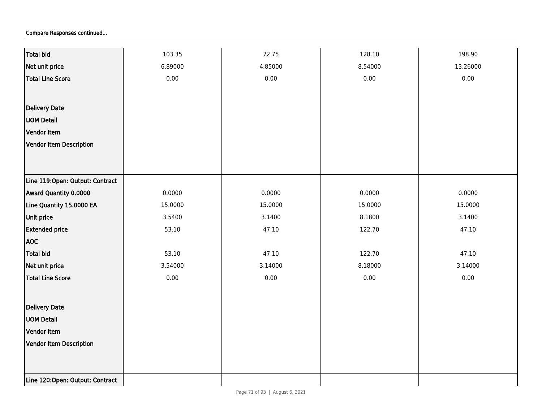| <b>Total bid</b>                | 103.35  | 72.75   | 128.10  | 198.90   |
|---------------------------------|---------|---------|---------|----------|
| Net unit price                  | 6.89000 | 4.85000 | 8.54000 | 13.26000 |
| <b>Total Line Score</b>         | 0.00    | 0.00    | 0.00    | 0.00     |
|                                 |         |         |         |          |
| Delivery Date                   |         |         |         |          |
| <b>UOM Detail</b>               |         |         |         |          |
| Vendor Item                     |         |         |         |          |
| Vendor Item Description         |         |         |         |          |
|                                 |         |         |         |          |
|                                 |         |         |         |          |
| Line 119:Open: Output: Contract |         |         |         |          |
| Award Quantity 0.0000           | 0.0000  | 0.0000  | 0.0000  | 0.0000   |
| Line Quantity 15.0000 EA        | 15.0000 | 15.0000 | 15.0000 | 15.0000  |
| Unit price                      | 3.5400  | 3.1400  | 8.1800  | 3.1400   |
| <b>Extended price</b>           | 53.10   | 47.10   | 122.70  | 47.10    |
| <b>AOC</b>                      |         |         |         |          |
| <b>Total bid</b>                | 53.10   | 47.10   | 122.70  | 47.10    |
| Net unit price                  | 3.54000 | 3.14000 | 8.18000 | 3.14000  |
| <b>Total Line Score</b>         | 0.00    | 0.00    | 0.00    | 0.00     |
|                                 |         |         |         |          |
| Delivery Date                   |         |         |         |          |
| <b>UOM Detail</b>               |         |         |         |          |
| Vendor Item                     |         |         |         |          |
| Vendor Item Description         |         |         |         |          |
|                                 |         |         |         |          |
|                                 |         |         |         |          |
| Line 120:Open: Output: Contract |         |         |         |          |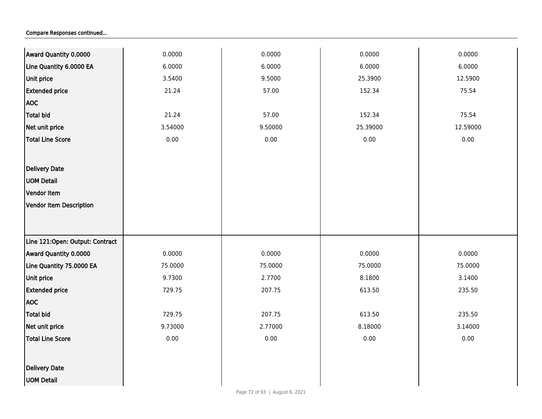| Award Quantity 0.0000           | 0.0000  | 0.0000  | 0.0000   | 0.0000   |
|---------------------------------|---------|---------|----------|----------|
| Line Quantity 6.0000 EA         | 6.0000  | 6.0000  | 6.0000   | 6.0000   |
| Unit price                      | 3.5400  | 9.5000  | 25.3900  | 12.5900  |
| <b>Extended price</b>           | 21.24   | 57.00   | 152.34   | 75.54    |
| <b>AOC</b>                      |         |         |          |          |
| Total bid                       | 21.24   | 57.00   | 152.34   | 75.54    |
| Net unit price                  | 3.54000 | 9.50000 | 25.39000 | 12.59000 |
| <b>Total Line Score</b>         | 0.00    | 0.00    | 0.00     | 0.00     |
|                                 |         |         |          |          |
| <b>Delivery Date</b>            |         |         |          |          |
| <b>UOM Detail</b>               |         |         |          |          |
| Vendor Item                     |         |         |          |          |
| Vendor Item Description         |         |         |          |          |
|                                 |         |         |          |          |
|                                 |         |         |          |          |
| Line 121:Open: Output: Contract |         |         |          |          |
| Award Quantity 0.0000           | 0.0000  | 0.0000  | 0.0000   | 0.0000   |
| Line Quantity 75.0000 EA        | 75.0000 | 75.0000 | 75.0000  | 75.0000  |
| Unit price                      | 9.7300  | 2.7700  | 8.1800   | 3.1400   |
| <b>Extended price</b>           | 729.75  | 207.75  | 613.50   | 235.50   |
| <b>AOC</b>                      |         |         |          |          |
| Total bid                       | 729.75  | 207.75  | 613.50   | 235.50   |
| Net unit price                  | 9.73000 | 2.77000 | 8.18000  | 3.14000  |
| <b>Total Line Score</b>         | 0.00    | 0.00    | 0.00     | 0.00     |
|                                 |         |         |          |          |
| <b>Delivery Date</b>            |         |         |          |          |
| <b>UOM Detail</b>               |         |         |          |          |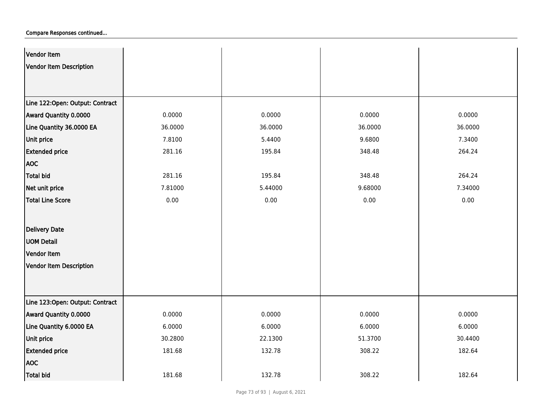| Vendor Item                     |         |         |         |         |
|---------------------------------|---------|---------|---------|---------|
| <b>Vendor Item Description</b>  |         |         |         |         |
|                                 |         |         |         |         |
|                                 |         |         |         |         |
| Line 122:Open: Output: Contract |         |         |         |         |
| Award Quantity 0.0000           | 0.0000  | 0.0000  | 0.0000  | 0.0000  |
| Line Quantity 36.0000 EA        | 36.0000 | 36.0000 | 36.0000 | 36.0000 |
| Unit price                      | 7.8100  | 5.4400  | 9.6800  | 7.3400  |
| <b>Extended price</b>           | 281.16  | 195.84  | 348.48  | 264.24  |
| <b>AOC</b>                      |         |         |         |         |
| <b>Total bid</b>                | 281.16  | 195.84  | 348.48  | 264.24  |
| Net unit price                  | 7.81000 | 5.44000 | 9.68000 | 7.34000 |
| <b>Total Line Score</b>         | 0.00    | 0.00    | 0.00    | 0.00    |
|                                 |         |         |         |         |
| <b>Delivery Date</b>            |         |         |         |         |
| <b>UOM Detail</b>               |         |         |         |         |
| Vendor Item                     |         |         |         |         |
| <b>Vendor Item Description</b>  |         |         |         |         |
|                                 |         |         |         |         |
|                                 |         |         |         |         |
| Line 123:Open: Output: Contract |         |         |         |         |
| Award Quantity 0.0000           | 0.0000  | 0.0000  | 0.0000  | 0.0000  |
| Line Quantity 6.0000 EA         | 6.0000  | 6.0000  | 6.0000  | 6.0000  |
| Unit price                      | 30.2800 | 22.1300 | 51.3700 | 30.4400 |
| <b>Extended price</b>           | 181.68  | 132.78  | 308.22  | 182.64  |
| <b>AOC</b>                      |         |         |         |         |
| <b>Total bid</b>                | 181.68  | 132.78  | 308.22  | 182.64  |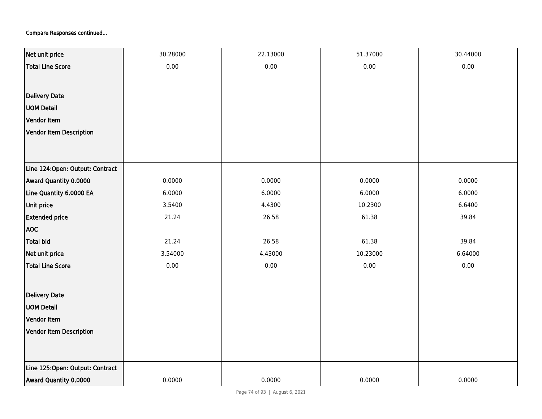| Net unit price                  | 30.28000 | 22.13000 | 51.37000 | 30.44000 |
|---------------------------------|----------|----------|----------|----------|
| <b>Total Line Score</b>         | 0.00     | 0.00     | 0.00     | 0.00     |
|                                 |          |          |          |          |
| <b>Delivery Date</b>            |          |          |          |          |
| <b>UOM Detail</b>               |          |          |          |          |
| Vendor Item                     |          |          |          |          |
| Vendor Item Description         |          |          |          |          |
|                                 |          |          |          |          |
|                                 |          |          |          |          |
| Line 124:Open: Output: Contract |          |          |          |          |
| Award Quantity 0.0000           | 0.0000   | 0.0000   | 0.0000   | 0.0000   |
| Line Quantity 6.0000 EA         | 6.0000   | 6.0000   | 6.0000   | 6.0000   |
| Unit price                      | 3.5400   | 4.4300   | 10.2300  | 6.6400   |
| <b>Extended price</b>           | 21.24    | 26.58    | 61.38    | 39.84    |
| <b>AOC</b>                      |          |          |          |          |
| <b>Total bid</b>                | 21.24    | 26.58    | 61.38    | 39.84    |
| Net unit price                  | 3.54000  | 4.43000  | 10.23000 | 6.64000  |
| Total Line Score                | 0.00     | 0.00     | 0.00     | 0.00     |
|                                 |          |          |          |          |
| Delivery Date                   |          |          |          |          |
| <b>UOM Detail</b>               |          |          |          |          |
| Vendor Item                     |          |          |          |          |
| <b>Vendor Item Description</b>  |          |          |          |          |
|                                 |          |          |          |          |
|                                 |          |          |          |          |
| Line 125:Open: Output: Contract |          |          |          |          |
| Award Quantity 0.0000           | 0.0000   | 0.0000   | 0.0000   | 0.0000   |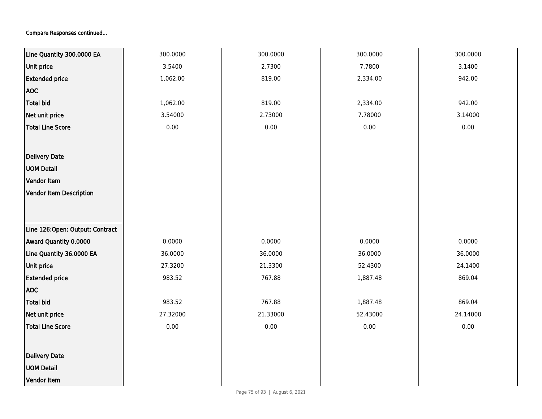| Line Quantity 300.0000 EA       | 300.0000 | 300.0000 | 300.0000 | 300.0000 |
|---------------------------------|----------|----------|----------|----------|
|                                 |          | 2.7300   | 7.7800   |          |
| Unit price                      | 3.5400   |          |          | 3.1400   |
| <b>Extended price</b>           | 1,062.00 | 819.00   | 2,334.00 | 942.00   |
| <b>AOC</b>                      |          |          |          |          |
| <b>Total bid</b>                | 1,062.00 | 819.00   | 2,334.00 | 942.00   |
| Net unit price                  | 3.54000  | 2.73000  | 7.78000  | 3.14000  |
| <b>Total Line Score</b>         | $0.00\,$ | $0.00\,$ | $0.00\,$ | 0.00     |
|                                 |          |          |          |          |
| Delivery Date                   |          |          |          |          |
| <b>UOM Detail</b>               |          |          |          |          |
| Vendor Item                     |          |          |          |          |
| <b>Vendor Item Description</b>  |          |          |          |          |
|                                 |          |          |          |          |
|                                 |          |          |          |          |
| Line 126:Open: Output: Contract |          |          |          |          |
| Award Quantity 0.0000           | 0.0000   | 0.0000   | 0.0000   | 0.0000   |
| Line Quantity 36.0000 EA        | 36.0000  | 36.0000  | 36.0000  | 36.0000  |
| <b>Unit price</b>               | 27.3200  | 21.3300  | 52.4300  | 24.1400  |
| <b>Extended price</b>           | 983.52   | 767.88   | 1,887.48 | 869.04   |
| <b>AOC</b>                      |          |          |          |          |
| <b>Total bid</b>                | 983.52   | 767.88   | 1,887.48 | 869.04   |
| Net unit price                  | 27.32000 | 21.33000 | 52.43000 | 24.14000 |
| <b>Total Line Score</b>         | $0.00\,$ | $0.00\,$ | 0.00     | 0.00     |
|                                 |          |          |          |          |
| Delivery Date                   |          |          |          |          |
| <b>UOM Detail</b>               |          |          |          |          |
| Vendor Item                     |          |          |          |          |
|                                 |          |          |          |          |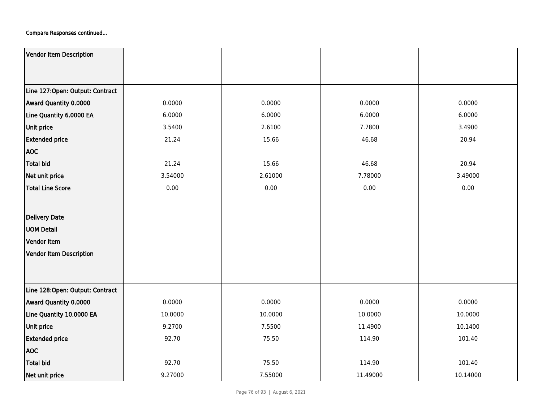| Vendor Item Description         |         |         |          |          |
|---------------------------------|---------|---------|----------|----------|
|                                 |         |         |          |          |
|                                 |         |         |          |          |
| Line 127:Open: Output: Contract |         |         |          |          |
| Award Quantity 0.0000           | 0.0000  | 0.0000  | 0.0000   | 0.0000   |
| Line Quantity 6.0000 EA         | 6.0000  | 6.0000  | 6.0000   | 6.0000   |
| <b>Unit price</b>               | 3.5400  | 2.6100  | 7.7800   | 3.4900   |
| <b>Extended price</b>           | 21.24   | 15.66   | 46.68    | 20.94    |
| <b>AOC</b>                      |         |         |          |          |
| <b>Total bid</b>                | 21.24   | 15.66   | 46.68    | 20.94    |
| Net unit price                  | 3.54000 | 2.61000 | 7.78000  | 3.49000  |
| <b>Total Line Score</b>         | 0.00    | 0.00    | 0.00     | 0.00     |
|                                 |         |         |          |          |
| Delivery Date                   |         |         |          |          |
| <b>UOM Detail</b>               |         |         |          |          |
| Vendor Item                     |         |         |          |          |
| Vendor Item Description         |         |         |          |          |
|                                 |         |         |          |          |
|                                 |         |         |          |          |
| Line 128:Open: Output: Contract |         |         |          |          |
| Award Quantity 0.0000           | 0.0000  | 0.0000  | 0.0000   | 0.0000   |
| Line Quantity 10.0000 EA        | 10.0000 | 10.0000 | 10.0000  | 10.0000  |
| Unit price                      | 9.2700  | 7.5500  | 11.4900  | 10.1400  |
| <b>Extended price</b>           | 92.70   | 75.50   | 114.90   | 101.40   |
| <b>AOC</b>                      |         |         |          |          |
| <b>Total bid</b>                | 92.70   | 75.50   | 114.90   | 101.40   |
| Net unit price                  | 9.27000 | 7.55000 | 11.49000 | 10.14000 |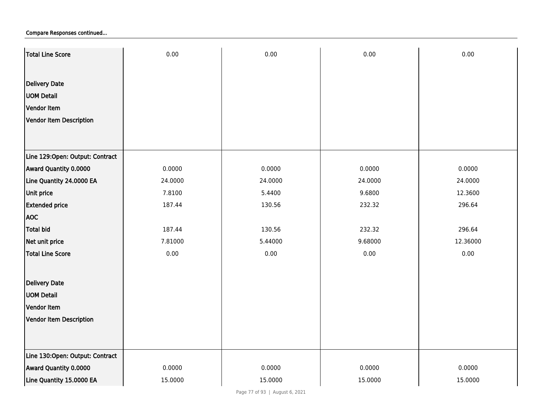| Total Line Score                | 0.00    | 0.00    | 0.00    | 0.00     |
|---------------------------------|---------|---------|---------|----------|
|                                 |         |         |         |          |
| <b>Delivery Date</b>            |         |         |         |          |
| <b>UOM Detail</b>               |         |         |         |          |
| Vendor Item                     |         |         |         |          |
| Vendor Item Description         |         |         |         |          |
|                                 |         |         |         |          |
|                                 |         |         |         |          |
| Line 129:Open: Output: Contract |         |         |         |          |
| Award Quantity 0.0000           | 0.0000  | 0.0000  | 0.0000  | 0.0000   |
| Line Quantity 24.0000 EA        | 24.0000 | 24.0000 | 24.0000 | 24.0000  |
| Unit price                      | 7.8100  | 5.4400  | 9.6800  | 12.3600  |
| <b>Extended price</b>           | 187.44  | 130.56  | 232.32  | 296.64   |
| <b>AOC</b>                      |         |         |         |          |
| <b>Total bid</b>                | 187.44  | 130.56  | 232.32  | 296.64   |
| Net unit price                  | 7.81000 | 5.44000 | 9.68000 | 12.36000 |
| <b>Total Line Score</b>         | 0.00    | 0.00    | 0.00    | 0.00     |
|                                 |         |         |         |          |
| <b>Delivery Date</b>            |         |         |         |          |
| <b>UOM Detail</b>               |         |         |         |          |
| Vendor Item                     |         |         |         |          |
| <b>Vendor Item Description</b>  |         |         |         |          |
|                                 |         |         |         |          |
| Line 130:Open: Output: Contract |         |         |         |          |
| Award Quantity 0.0000           | 0.0000  | 0.0000  | 0.0000  | 0.0000   |
| Line Quantity 15.0000 EA        | 15.0000 | 15.0000 | 15.0000 | 15.0000  |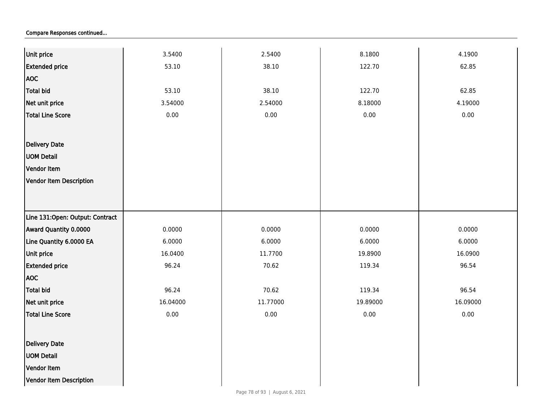| Unit price                      | 3.5400   | 2.5400   | 8.1800   | 4.1900   |
|---------------------------------|----------|----------|----------|----------|
| <b>Extended price</b>           | 53.10    | 38.10    | 122.70   | 62.85    |
| <b>AOC</b>                      |          |          |          |          |
| <b>Total bid</b>                | 53.10    | 38.10    | 122.70   | 62.85    |
| Net unit price                  | 3.54000  | 2.54000  | 8.18000  | 4.19000  |
| Total Line Score                | 0.00     | 0.00     | 0.00     | 0.00     |
|                                 |          |          |          |          |
| Delivery Date                   |          |          |          |          |
| <b>UOM Detail</b>               |          |          |          |          |
| Vendor Item                     |          |          |          |          |
| Vendor Item Description         |          |          |          |          |
|                                 |          |          |          |          |
|                                 |          |          |          |          |
| Line 131:Open: Output: Contract |          |          |          |          |
| Award Quantity 0.0000           | 0.0000   | 0.0000   | 0.0000   | 0.0000   |
| Line Quantity 6.0000 EA         | 6.0000   | 6.0000   | 6.0000   | 6.0000   |
| Unit price                      | 16.0400  | 11.7700  | 19.8900  | 16.0900  |
| <b>Extended price</b>           | 96.24    | 70.62    | 119.34   | 96.54    |
| <b>AOC</b>                      |          |          |          |          |
| Total bid                       | 96.24    | 70.62    | 119.34   | 96.54    |
| Net unit price                  | 16.04000 | 11.77000 | 19.89000 | 16.09000 |
| Total Line Score                | 0.00     | 0.00     | 0.00     | 0.00     |
|                                 |          |          |          |          |
| Delivery Date                   |          |          |          |          |
| <b>UOM Detail</b>               |          |          |          |          |
| Vendor Item                     |          |          |          |          |
| Vendor Item Description         |          |          |          |          |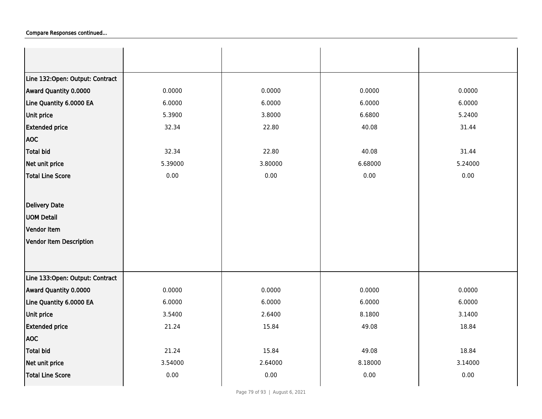| Line 132:Open: Output: Contract |         |         |         |         |
|---------------------------------|---------|---------|---------|---------|
| Award Quantity 0.0000           | 0.0000  | 0.0000  | 0.0000  | 0.0000  |
| Line Quantity 6.0000 EA         | 6.0000  | 6.0000  | 6.0000  | 6.0000  |
| <b>Unit price</b>               | 5.3900  | 3.8000  | 6.6800  | 5.2400  |
| <b>Extended price</b>           | 32.34   | 22.80   | 40.08   | 31.44   |
| <b>AOC</b>                      |         |         |         |         |
| <b>Total bid</b>                | 32.34   | 22.80   | 40.08   | 31.44   |
| Net unit price                  | 5.39000 | 3.80000 | 6.68000 | 5.24000 |
| <b>Total Line Score</b>         | 0.00    | 0.00    | 0.00    | 0.00    |
|                                 |         |         |         |         |
| Delivery Date                   |         |         |         |         |
| <b>UOM Detail</b>               |         |         |         |         |
| Vendor Item                     |         |         |         |         |
| Vendor Item Description         |         |         |         |         |
|                                 |         |         |         |         |
|                                 |         |         |         |         |
| Line 133:Open: Output: Contract |         |         |         |         |
| Award Quantity 0.0000           | 0.0000  | 0.0000  | 0.0000  | 0.0000  |
| Line Quantity 6.0000 EA         | 6.0000  | 6.0000  | 6.0000  | 6.0000  |
| Unit price                      | 3.5400  | 2.6400  | 8.1800  | 3.1400  |
| <b>Extended price</b>           | 21.24   | 15.84   | 49.08   | 18.84   |
| <b>AOC</b>                      |         |         |         |         |
| <b>Total bid</b>                | 21.24   | 15.84   | 49.08   | 18.84   |
| Net unit price                  | 3.54000 | 2.64000 | 8.18000 | 3.14000 |
| <b>Total Line Score</b>         | 0.00    | 0.00    | 0.00    | 0.00    |
|                                 |         |         |         |         |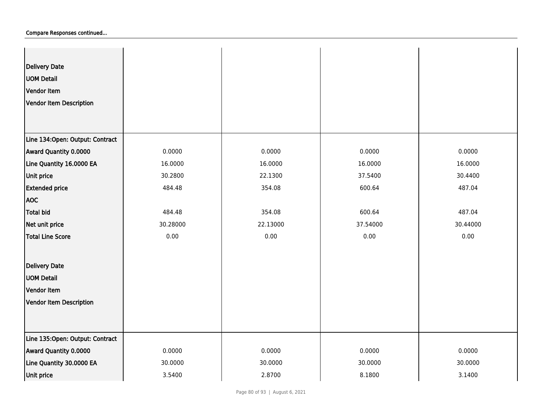| <b>Delivery Date</b><br><b>UOM Detail</b><br>Vendor Item<br>Vendor Item Description |          |          |          |          |
|-------------------------------------------------------------------------------------|----------|----------|----------|----------|
| Line 134:Open: Output: Contract                                                     |          |          |          |          |
| Award Quantity 0.0000                                                               | 0.0000   | 0.0000   | 0.0000   | 0.0000   |
| Line Quantity 16.0000 EA                                                            | 16.0000  | 16.0000  | 16.0000  | 16.0000  |
| Unit price                                                                          | 30.2800  | 22.1300  | 37.5400  | 30.4400  |
| <b>Extended price</b>                                                               | 484.48   | 354.08   | 600.64   | 487.04   |
| <b>AOC</b>                                                                          |          |          |          |          |
| Total bid                                                                           | 484.48   | 354.08   | 600.64   | 487.04   |
| Net unit price                                                                      | 30.28000 | 22.13000 | 37.54000 | 30.44000 |
| Total Line Score                                                                    | 0.00     | 0.00     | 0.00     | 0.00     |
| Delivery Date                                                                       |          |          |          |          |
| <b>UOM Detail</b>                                                                   |          |          |          |          |
| Vendor Item                                                                         |          |          |          |          |
| Vendor Item Description                                                             |          |          |          |          |
|                                                                                     |          |          |          |          |
| Line 135:Open: Output: Contract                                                     |          |          |          |          |
| Award Quantity 0.0000                                                               | 0.0000   | 0.0000   | 0.0000   | 0.0000   |
| Line Quantity 30.0000 EA                                                            | 30.0000  | 30.0000  | 30.0000  | 30.0000  |
| Unit price                                                                          | 3.5400   | 2.8700   | 8.1800   | 3.1400   |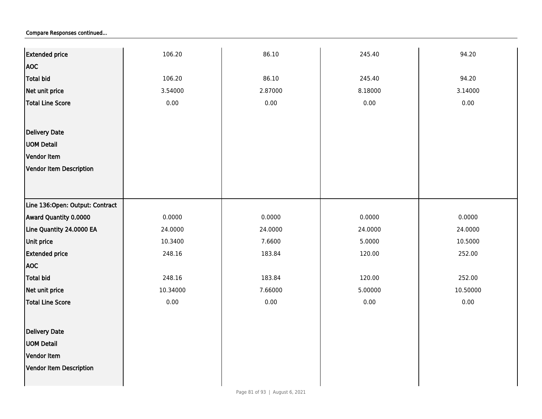| <b>Extended price</b>           | 106.20   | 86.10   | 245.40  | 94.20    |
|---------------------------------|----------|---------|---------|----------|
| <b>AOC</b>                      |          |         |         |          |
| <b>Total bid</b>                | 106.20   | 86.10   | 245.40  | 94.20    |
| Net unit price                  | 3.54000  | 2.87000 | 8.18000 | 3.14000  |
| <b>Total Line Score</b>         | 0.00     | 0.00    | 0.00    | 0.00     |
|                                 |          |         |         |          |
|                                 |          |         |         |          |
| Delivery Date                   |          |         |         |          |
| <b>UOM Detail</b>               |          |         |         |          |
| Vendor Item                     |          |         |         |          |
| Vendor Item Description         |          |         |         |          |
|                                 |          |         |         |          |
| Line 136:Open: Output: Contract |          |         |         |          |
| Award Quantity 0.0000           | 0.0000   | 0.0000  | 0.0000  | 0.0000   |
| Line Quantity 24.0000 EA        | 24.0000  | 24.0000 | 24.0000 | 24.0000  |
| <b>Unit price</b>               | 10.3400  | 7.6600  | 5.0000  | 10.5000  |
| <b>Extended price</b>           | 248.16   | 183.84  | 120.00  | 252.00   |
| <b>AOC</b>                      |          |         |         |          |
| Total bid                       | 248.16   | 183.84  | 120.00  | 252.00   |
| Net unit price                  | 10.34000 | 7.66000 | 5.00000 | 10.50000 |
| <b>Total Line Score</b>         | 0.00     | 0.00    | 0.00    | 0.00     |
|                                 |          |         |         |          |
| Delivery Date                   |          |         |         |          |
| <b>UOM Detail</b>               |          |         |         |          |
| Vendor Item                     |          |         |         |          |
| Vendor Item Description         |          |         |         |          |
|                                 |          |         |         |          |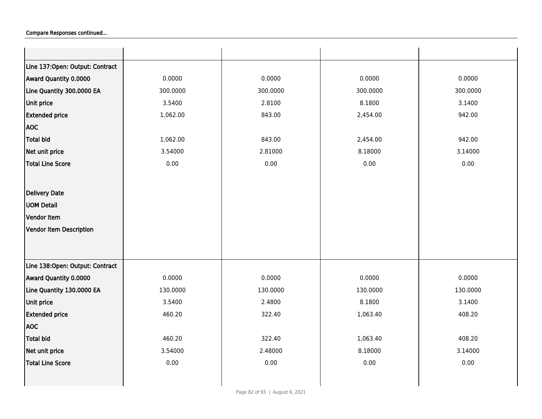| Line 137:Open: Output: Contract |          |          |          |          |
|---------------------------------|----------|----------|----------|----------|
| Award Quantity 0.0000           | 0.0000   | 0.0000   | 0.0000   | 0.0000   |
| Line Quantity 300.0000 EA       | 300.0000 | 300.0000 | 300.0000 | 300.0000 |
| Unit price                      | 3.5400   | 2.8100   | 8.1800   | 3.1400   |
| <b>Extended price</b>           | 1,062.00 | 843.00   | 2,454.00 | 942.00   |
| <b>AOC</b>                      |          |          |          |          |
| <b>Total bid</b>                | 1,062.00 | 843.00   | 2,454.00 | 942.00   |
| Net unit price                  | 3.54000  | 2.81000  | 8.18000  | 3.14000  |
| <b>Total Line Score</b>         | 0.00     | 0.00     | 0.00     | 0.00     |
|                                 |          |          |          |          |
| <b>Delivery Date</b>            |          |          |          |          |
| <b>UOM Detail</b>               |          |          |          |          |
| Vendor Item                     |          |          |          |          |
| Vendor Item Description         |          |          |          |          |
|                                 |          |          |          |          |
|                                 |          |          |          |          |
| Line 138:Open: Output: Contract |          |          |          |          |
| Award Quantity 0.0000           | 0.0000   | 0.0000   | 0.0000   | 0.0000   |
| Line Quantity 130.0000 EA       | 130.0000 | 130.0000 | 130.0000 | 130.0000 |
| Unit price                      | 3.5400   | 2.4800   | 8.1800   | 3.1400   |
| <b>Extended price</b>           | 460.20   | 322.40   | 1,063.40 | 408.20   |
| <b>AOC</b>                      |          |          |          |          |
| Total bid                       | 460.20   | 322.40   | 1,063.40 | 408.20   |
| Net unit price                  | 3.54000  | 2.48000  | 8.18000  | 3.14000  |
| Total Line Score                | 0.00     | 0.00     | 0.00     | 0.00     |
|                                 |          |          |          |          |
|                                 |          |          |          |          |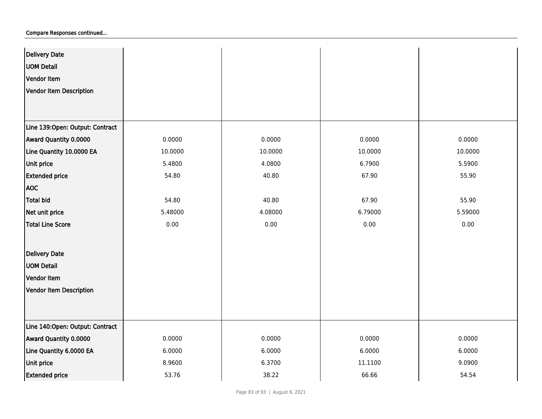| <b>Delivery Date</b>            |          |          |         |         |
|---------------------------------|----------|----------|---------|---------|
| <b>UOM Detail</b>               |          |          |         |         |
| Vendor Item                     |          |          |         |         |
| <b>Vendor Item Description</b>  |          |          |         |         |
|                                 |          |          |         |         |
|                                 |          |          |         |         |
| Line 139:Open: Output: Contract |          |          |         |         |
| Award Quantity 0.0000           | 0.0000   | 0.0000   | 0.0000  | 0.0000  |
| Line Quantity 10.0000 EA        | 10.0000  | 10.0000  | 10.0000 | 10.0000 |
| Unit price                      | 5.4800   | 4.0800   | 6.7900  | 5.5900  |
| <b>Extended price</b>           | 54.80    | 40.80    | 67.90   | 55.90   |
| <b>AOC</b>                      |          |          |         |         |
| <b>Total bid</b>                | 54.80    | 40.80    | 67.90   | 55.90   |
| Net unit price                  | 5.48000  | 4.08000  | 6.79000 | 5.59000 |
| <b>Total Line Score</b>         | $0.00\,$ | $0.00\,$ | 0.00    | 0.00    |
|                                 |          |          |         |         |
| <b>Delivery Date</b>            |          |          |         |         |
| <b>UOM Detail</b>               |          |          |         |         |
| Vendor Item                     |          |          |         |         |
| <b>Vendor Item Description</b>  |          |          |         |         |
|                                 |          |          |         |         |
|                                 |          |          |         |         |
| Line 140:Open: Output: Contract |          |          |         |         |
| Award Quantity 0.0000           | 0.0000   | 0.0000   | 0.0000  | 0.0000  |
| Line Quantity 6.0000 EA         | 6.0000   | 6.0000   | 6.0000  | 6.0000  |
| Unit price                      | 8.9600   | 6.3700   | 11.1100 | 9.0900  |
| <b>Extended price</b>           | 53.76    | 38.22    | 66.66   | 54.54   |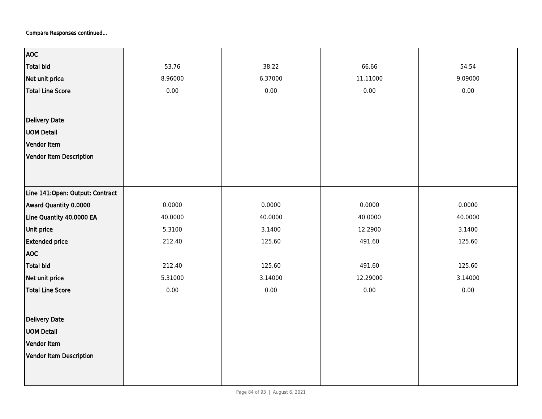| <b>AOC</b>                       |         |         |          |         |
|----------------------------------|---------|---------|----------|---------|
| <b>Total bid</b>                 | 53.76   | 38.22   | 66.66    | 54.54   |
| Net unit price                   | 8.96000 | 6.37000 | 11.11000 | 9.09000 |
| <b>Total Line Score</b>          | 0.00    | 0.00    | 0.00     | 0.00    |
|                                  |         |         |          |         |
| <b>Delivery Date</b>             |         |         |          |         |
|                                  |         |         |          |         |
| <b>UOM Detail</b>                |         |         |          |         |
| Vendor Item                      |         |         |          |         |
| <b>Vendor Item Description</b>   |         |         |          |         |
|                                  |         |         |          |         |
|                                  |         |         |          |         |
| Line 141: Open: Output: Contract |         |         |          |         |
| Award Quantity 0.0000            | 0.0000  | 0.0000  | 0.0000   | 0.0000  |
| Line Quantity 40.0000 EA         | 40.0000 | 40.0000 | 40.0000  | 40.0000 |
| Unit price                       | 5.3100  | 3.1400  | 12.2900  | 3.1400  |
| <b>Extended price</b>            | 212.40  | 125.60  | 491.60   | 125.60  |
| <b>AOC</b>                       |         |         |          |         |
| <b>Total bid</b>                 | 212.40  | 125.60  | 491.60   | 125.60  |
| Net unit price                   | 5.31000 | 3.14000 | 12.29000 | 3.14000 |
| <b>Total Line Score</b>          | 0.00    | 0.00    | 0.00     | 0.00    |
|                                  |         |         |          |         |
| <b>Delivery Date</b>             |         |         |          |         |
| <b>UOM Detail</b>                |         |         |          |         |
| Vendor Item                      |         |         |          |         |
| <b>Vendor Item Description</b>   |         |         |          |         |
|                                  |         |         |          |         |
|                                  |         |         |          |         |
|                                  |         |         |          |         |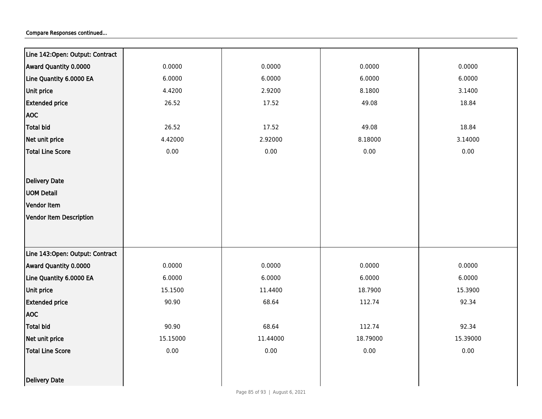| Line 142:Open: Output: Contract  |          |          |          |          |
|----------------------------------|----------|----------|----------|----------|
| Award Quantity 0.0000            | 0.0000   | 0.0000   | 0.0000   | 0.0000   |
| Line Quantity 6.0000 EA          | 6.0000   | 6.0000   | 6.0000   | 6.0000   |
| Unit price                       | 4.4200   | 2.9200   | 8.1800   | 3.1400   |
| <b>Extended price</b>            | 26.52    | 17.52    | 49.08    | 18.84    |
| <b>AOC</b>                       |          |          |          |          |
| <b>Total bid</b>                 | 26.52    | 17.52    | 49.08    | 18.84    |
| Net unit price                   | 4.42000  | 2.92000  | 8.18000  | 3.14000  |
| <b>Total Line Score</b>          | 0.00     | 0.00     | 0.00     | 0.00     |
|                                  |          |          |          |          |
| Delivery Date                    |          |          |          |          |
| <b>UOM Detail</b>                |          |          |          |          |
| Vendor Item                      |          |          |          |          |
| <b>Vendor Item Description</b>   |          |          |          |          |
|                                  |          |          |          |          |
|                                  |          |          |          |          |
| Line 143: Open: Output: Contract |          |          |          |          |
| Award Quantity 0.0000            | 0.0000   | 0.0000   | 0.0000   | 0.0000   |
| Line Quantity 6.0000 EA          | 6.0000   | 6.0000   | 6.0000   | 6.0000   |
| Unit price                       | 15.1500  | 11.4400  | 18.7900  | 15.3900  |
| <b>Extended price</b>            | 90.90    | 68.64    | 112.74   | 92.34    |
| <b>AOC</b>                       |          |          |          |          |
| <b>Total bid</b>                 | 90.90    | 68.64    | 112.74   | 92.34    |
| Net unit price                   | 15.15000 | 11.44000 | 18.79000 | 15.39000 |
| <b>Total Line Score</b>          | 0.00     | 0.00     | 0.00     | 0.00     |
|                                  |          |          |          |          |
| Delivery Date                    |          |          |          |          |
|                                  |          |          |          |          |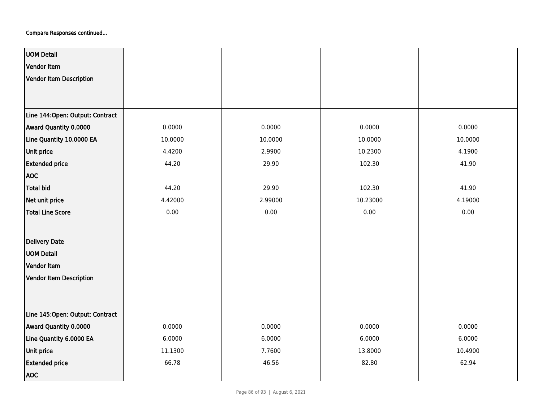| <b>UOM Detail</b>               |         |         |          |         |
|---------------------------------|---------|---------|----------|---------|
| Vendor Item                     |         |         |          |         |
| Vendor Item Description         |         |         |          |         |
|                                 |         |         |          |         |
|                                 |         |         |          |         |
| Line 144:Open: Output: Contract |         |         |          |         |
| Award Quantity 0.0000           | 0.0000  | 0.0000  | 0.0000   | 0.0000  |
| Line Quantity 10.0000 EA        | 10.0000 | 10.0000 | 10.0000  | 10.0000 |
| Unit price                      | 4.4200  | 2.9900  | 10.2300  | 4.1900  |
| <b>Extended price</b>           | 44.20   | 29.90   | 102.30   | 41.90   |
| <b>AOC</b>                      |         |         |          |         |
| Total bid                       | 44.20   | 29.90   | 102.30   | 41.90   |
| Net unit price                  | 4.42000 | 2.99000 | 10.23000 | 4.19000 |
| <b>Total Line Score</b>         | 0.00    | 0.00    | 0.00     | 0.00    |
|                                 |         |         |          |         |
| <b>Delivery Date</b>            |         |         |          |         |
| <b>UOM Detail</b>               |         |         |          |         |
| Vendor Item                     |         |         |          |         |
| Vendor Item Description         |         |         |          |         |
|                                 |         |         |          |         |
|                                 |         |         |          |         |
| Line 145:Open: Output: Contract |         |         |          |         |
| Award Quantity 0.0000           | 0.0000  | 0.0000  | 0.0000   | 0.0000  |
| Line Quantity 6.0000 EA         | 6.0000  | 6.0000  | 6.0000   | 6.0000  |
| Unit price                      | 11.1300 | 7.7600  | 13.8000  | 10.4900 |
| <b>Extended price</b>           | 66.78   | 46.56   | 82.80    | 62.94   |
| <b>AOC</b>                      |         |         |          |         |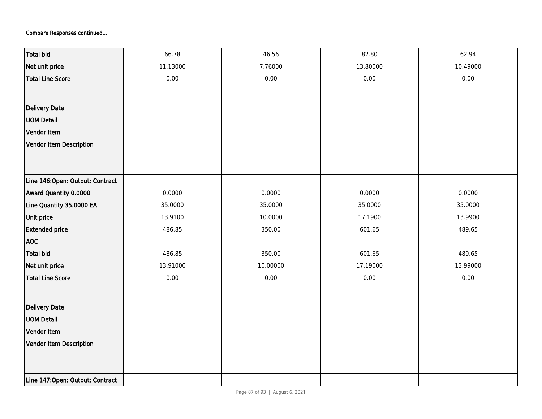| <b>Total bid</b>                | 66.78    | 46.56    | 82.80    | 62.94    |
|---------------------------------|----------|----------|----------|----------|
| Net unit price                  | 11.13000 | 7.76000  | 13.80000 | 10.49000 |
| <b>Total Line Score</b>         | 0.00     | 0.00     | 0.00     | 0.00     |
|                                 |          |          |          |          |
| Delivery Date                   |          |          |          |          |
| <b>UOM Detail</b>               |          |          |          |          |
| Vendor Item                     |          |          |          |          |
| <b>Vendor Item Description</b>  |          |          |          |          |
|                                 |          |          |          |          |
|                                 |          |          |          |          |
| Line 146:Open: Output: Contract |          |          |          |          |
| Award Quantity 0.0000           | 0.0000   | 0.0000   | 0.0000   | 0.0000   |
| Line Quantity 35.0000 EA        | 35.0000  | 35.0000  | 35.0000  | 35.0000  |
| Unit price                      | 13.9100  | 10.0000  | 17.1900  | 13.9900  |
| <b>Extended price</b>           | 486.85   | 350.00   | 601.65   | 489.65   |
| <b>AOC</b>                      |          |          |          |          |
| <b>Total bid</b>                | 486.85   | 350.00   | 601.65   | 489.65   |
| Net unit price                  | 13.91000 | 10.00000 | 17.19000 | 13.99000 |
| <b>Total Line Score</b>         | 0.00     | 0.00     | 0.00     | $0.00\,$ |
|                                 |          |          |          |          |
| Delivery Date                   |          |          |          |          |
| <b>UOM Detail</b>               |          |          |          |          |
| Vendor Item                     |          |          |          |          |
| Vendor Item Description         |          |          |          |          |
|                                 |          |          |          |          |
|                                 |          |          |          |          |
| Line 147:Open: Output: Contract |          |          |          |          |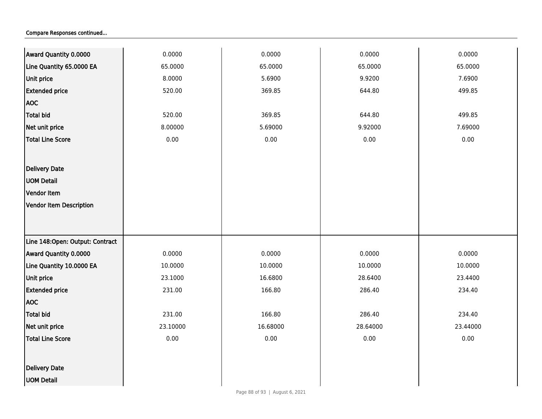| Award Quantity 0.0000           | 0.0000   | 0.0000   | 0.0000   | 0.0000   |
|---------------------------------|----------|----------|----------|----------|
| Line Quantity 65.0000 EA        | 65.0000  | 65.0000  | 65.0000  | 65.0000  |
| Unit price                      | 8.0000   | 5.6900   | 9.9200   | 7.6900   |
| <b>Extended price</b>           | 520.00   | 369.85   | 644.80   | 499.85   |
| <b>AOC</b>                      |          |          |          |          |
| <b>Total bid</b>                | 520.00   | 369.85   | 644.80   | 499.85   |
| Net unit price                  | 8.00000  | 5.69000  | 9.92000  | 7.69000  |
| <b>Total Line Score</b>         | 0.00     | 0.00     | 0.00     | 0.00     |
|                                 |          |          |          |          |
| <b>Delivery Date</b>            |          |          |          |          |
| <b>UOM Detail</b>               |          |          |          |          |
| Vendor Item                     |          |          |          |          |
| <b>Vendor Item Description</b>  |          |          |          |          |
|                                 |          |          |          |          |
|                                 |          |          |          |          |
| Line 148:Open: Output: Contract |          |          |          |          |
| Award Quantity 0.0000           | 0.0000   | 0.0000   | 0.0000   | 0.0000   |
| Line Quantity 10.0000 EA        | 10.0000  | 10.0000  | 10.0000  | 10.0000  |
| Unit price                      | 23.1000  | 16.6800  | 28.6400  | 23.4400  |
| <b>Extended price</b>           | 231.00   | 166.80   | 286.40   | 234.40   |
| <b>AOC</b>                      |          |          |          |          |
| <b>Total bid</b>                | 231.00   | 166.80   | 286.40   | 234.40   |
| Net unit price                  | 23.10000 | 16.68000 | 28.64000 | 23.44000 |
| <b>Total Line Score</b>         | 0.00     | 0.00     | 0.00     | 0.00     |
|                                 |          |          |          |          |
| <b>Delivery Date</b>            |          |          |          |          |
| <b>UOM Detail</b>               |          |          |          |          |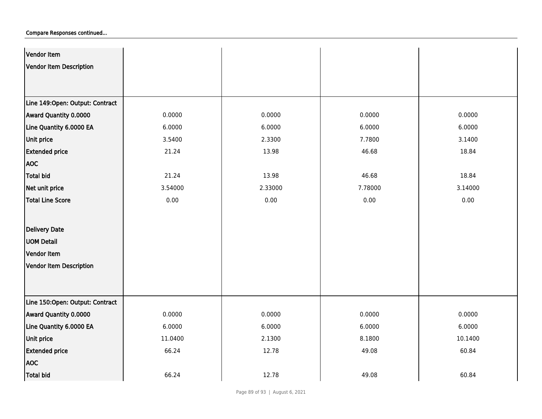| Vendor Item                     |         |         |         |         |
|---------------------------------|---------|---------|---------|---------|
| <b>Vendor Item Description</b>  |         |         |         |         |
|                                 |         |         |         |         |
|                                 |         |         |         |         |
| Line 149:Open: Output: Contract |         |         |         |         |
| Award Quantity 0.0000           | 0.0000  | 0.0000  | 0.0000  | 0.0000  |
| Line Quantity 6.0000 EA         | 6.0000  | 6.0000  | 6.0000  | 6.0000  |
| Unit price                      | 3.5400  | 2.3300  | 7.7800  | 3.1400  |
| <b>Extended price</b>           | 21.24   | 13.98   | 46.68   | 18.84   |
| <b>AOC</b>                      |         |         |         |         |
| <b>Total bid</b>                | 21.24   | 13.98   | 46.68   | 18.84   |
| Net unit price                  | 3.54000 | 2.33000 | 7.78000 | 3.14000 |
| <b>Total Line Score</b>         | 0.00    | 0.00    | 0.00    | 0.00    |
|                                 |         |         |         |         |
| Delivery Date                   |         |         |         |         |
| <b>UOM Detail</b>               |         |         |         |         |
| Vendor Item                     |         |         |         |         |
| <b>Vendor Item Description</b>  |         |         |         |         |
|                                 |         |         |         |         |
|                                 |         |         |         |         |
| Line 150:Open: Output: Contract |         |         |         |         |
| Award Quantity 0.0000           | 0.0000  | 0.0000  | 0.0000  | 0.0000  |
| Line Quantity 6.0000 EA         | 6.0000  | 6.0000  | 6.0000  | 6.0000  |
| Unit price                      | 11.0400 | 2.1300  | 8.1800  | 10.1400 |
| <b>Extended price</b>           | 66.24   | 12.78   | 49.08   | 60.84   |
| <b>AOC</b>                      |         |         |         |         |
| <b>Total bid</b>                | 66.24   | 12.78   | 49.08   | 60.84   |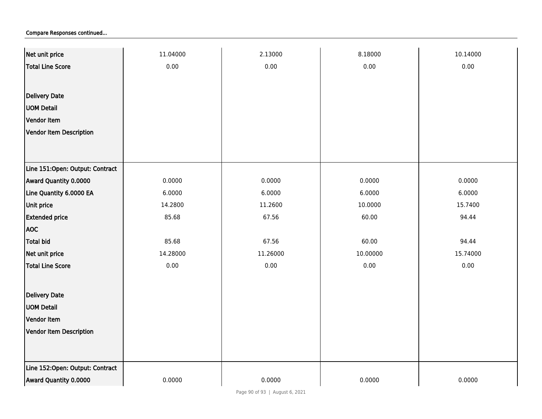| Net unit price                  | 11.04000 | 2.13000  | 8.18000  | 10.14000 |
|---------------------------------|----------|----------|----------|----------|
| <b>Total Line Score</b>         | 0.00     | 0.00     | 0.00     | 0.00     |
|                                 |          |          |          |          |
| <b>Delivery Date</b>            |          |          |          |          |
| <b>UOM Detail</b>               |          |          |          |          |
| Vendor Item                     |          |          |          |          |
| <b>Vendor Item Description</b>  |          |          |          |          |
|                                 |          |          |          |          |
|                                 |          |          |          |          |
| Line 151:Open: Output: Contract |          |          |          |          |
| Award Quantity 0.0000           | 0.0000   | 0.0000   | 0.0000   | 0.0000   |
| Line Quantity 6.0000 EA         | 6.0000   | 6.0000   | 6.0000   | 6.0000   |
| Unit price                      | 14.2800  | 11.2600  | 10.0000  | 15.7400  |
| <b>Extended price</b>           | 85.68    | 67.56    | 60.00    | 94.44    |
| <b>AOC</b>                      |          |          |          |          |
| <b>Total bid</b>                | 85.68    | 67.56    | 60.00    | 94.44    |
| Net unit price                  | 14.28000 | 11.26000 | 10.00000 | 15.74000 |
| Total Line Score                | 0.00     | 0.00     | 0.00     | 0.00     |
|                                 |          |          |          |          |
| <b>Delivery Date</b>            |          |          |          |          |
| <b>UOM Detail</b>               |          |          |          |          |
| Vendor Item                     |          |          |          |          |
| Vendor Item Description         |          |          |          |          |
|                                 |          |          |          |          |
|                                 |          |          |          |          |
| Line 152:Open: Output: Contract |          |          |          |          |
| Award Quantity 0.0000           | 0.0000   | 0.0000   | 0.0000   | 0.0000   |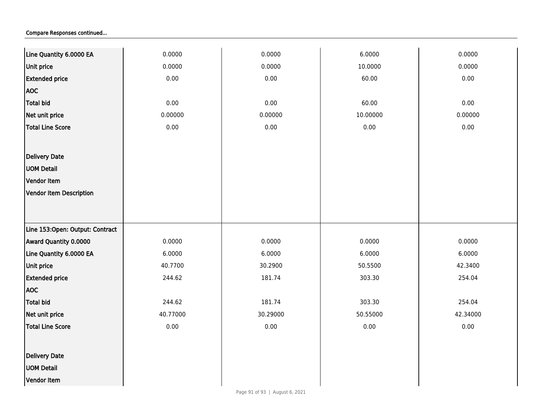| Line Quantity 6.0000 EA         | 0.0000   | 0.0000   | 6.0000   | 0.0000   |
|---------------------------------|----------|----------|----------|----------|
| Unit price                      | 0.0000   | 0.0000   | 10.0000  | 0.0000   |
| <b>Extended price</b>           | 0.00     | 0.00     | 60.00    | 0.00     |
| <b>AOC</b>                      |          |          |          |          |
| <b>Total bid</b>                | 0.00     | $0.00\,$ | 60.00    | 0.00     |
| Net unit price                  | 0.00000  | 0.00000  | 10.00000 | 0.00000  |
| <b>Total Line Score</b>         | $0.00\,$ | $0.00\,$ | $0.00\,$ | 0.00     |
|                                 |          |          |          |          |
| Delivery Date                   |          |          |          |          |
| <b>UOM Detail</b>               |          |          |          |          |
| Vendor Item                     |          |          |          |          |
| <b>Vendor Item Description</b>  |          |          |          |          |
|                                 |          |          |          |          |
|                                 |          |          |          |          |
| Line 153:Open: Output: Contract |          |          |          |          |
| Award Quantity 0.0000           | 0.0000   | 0.0000   | 0.0000   | 0.0000   |
| Line Quantity 6.0000 EA         | 6.0000   | 6.0000   | 6.0000   | 6.0000   |
| Unit price                      | 40.7700  | 30.2900  | 50.5500  | 42.3400  |
| <b>Extended price</b>           | 244.62   | 181.74   | 303.30   | 254.04   |
| <b>AOC</b>                      |          |          |          |          |
| <b>Total bid</b>                | 244.62   | 181.74   | 303.30   | 254.04   |
| Net unit price                  | 40.77000 | 30.29000 | 50.55000 | 42.34000 |
| <b>Total Line Score</b>         | $0.00\,$ | $0.00\,$ | 0.00     | 0.00     |
|                                 |          |          |          |          |
| Delivery Date                   |          |          |          |          |
| <b>UOM Detail</b>               |          |          |          |          |
| Vendor Item                     |          |          |          |          |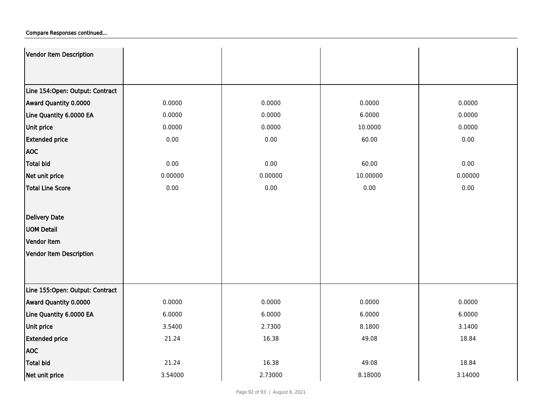| Vendor Item Description         |         |         |          |         |
|---------------------------------|---------|---------|----------|---------|
|                                 |         |         |          |         |
|                                 |         |         |          |         |
| Line 154:Open: Output: Contract |         |         |          |         |
| Award Quantity 0.0000           | 0.0000  | 0.0000  | 0.0000   | 0.0000  |
| Line Quantity 6.0000 EA         | 0.0000  | 0.0000  | 6.0000   | 0.0000  |
| Unit price                      | 0.0000  | 0.0000  | 10.0000  | 0.0000  |
| <b>Extended price</b>           | 0.00    | 0.00    | 60.00    | 0.00    |
| <b>AOC</b>                      |         |         |          |         |
| <b>Total bid</b>                | 0.00    | 0.00    | 60.00    | 0.00    |
| Net unit price                  | 0.00000 | 0.00000 | 10.00000 | 0.00000 |
| <b>Total Line Score</b>         | 0.00    | 0.00    | 0.00     | 0.00    |
|                                 |         |         |          |         |
| <b>Delivery Date</b>            |         |         |          |         |
| <b>UOM Detail</b>               |         |         |          |         |
| Vendor Item                     |         |         |          |         |
| <b>Vendor Item Description</b>  |         |         |          |         |
|                                 |         |         |          |         |
|                                 |         |         |          |         |
| Line 155:Open: Output: Contract |         |         |          |         |
| Award Quantity 0.0000           | 0.0000  | 0.0000  | 0.0000   | 0.0000  |
| Line Quantity 6.0000 EA         | 6.0000  | 6.0000  | 6.0000   | 6.0000  |
| Unit price                      | 3.5400  | 2.7300  | 8.1800   | 3.1400  |
| <b>Extended price</b>           | 21.24   | 16.38   | 49.08    | 18.84   |
| <b>AOC</b>                      |         |         |          |         |
| Total bid                       | 21.24   | 16.38   | 49.08    | 18.84   |
| Net unit price                  | 3.54000 | 2.73000 | 8.18000  | 3.14000 |